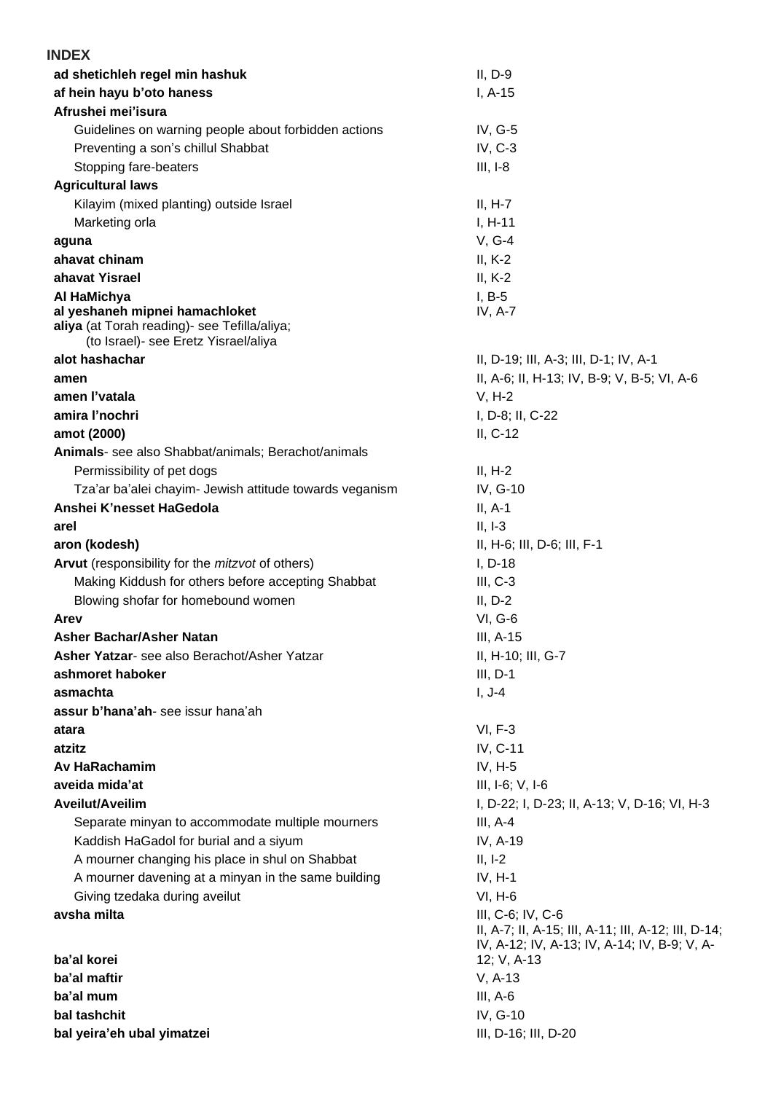| <b>INDEX</b>                                                                         |                                                                                                     |
|--------------------------------------------------------------------------------------|-----------------------------------------------------------------------------------------------------|
| ad shetichleh regel min hashuk                                                       | $II, D-9$                                                                                           |
| af hein hayu b'oto haness                                                            | $I, A-15$                                                                                           |
| Afrushei mei'isura                                                                   |                                                                                                     |
| Guidelines on warning people about forbidden actions                                 | IV, $G-5$                                                                                           |
| Preventing a son's chillul Shabbat                                                   | $IV, C-3$                                                                                           |
| Stopping fare-beaters                                                                | $III, I-8$                                                                                          |
| <b>Agricultural laws</b>                                                             |                                                                                                     |
| Kilayim (mixed planting) outside Israel                                              | $II, H-7$                                                                                           |
| Marketing orla                                                                       | $I, H-11$                                                                                           |
| aguna                                                                                | $V, G-4$                                                                                            |
| ahavat chinam                                                                        | $II, K-2$                                                                                           |
| ahavat Yisrael                                                                       | $II, K-2$                                                                                           |
| Al HaMichya                                                                          | $I, B-5$                                                                                            |
| al yeshaneh mipnei hamachloket                                                       | IV, $A-7$                                                                                           |
| aliya (at Torah reading)- see Tefilla/aliya;<br>(to Israel)- see Eretz Yisrael/aliya |                                                                                                     |
| alot hashachar                                                                       | II, D-19; III, A-3; III, D-1; IV, A-1                                                               |
| amen                                                                                 | II, A-6; II, H-13; IV, B-9; V, B-5; VI, A-6                                                         |
| amen l'vatala                                                                        | $V, H-2$                                                                                            |
| amira l'nochri                                                                       | I, D-8; II, C-22                                                                                    |
| amot (2000)                                                                          | $II, C-12$                                                                                          |
| Animals- see also Shabbat/animals; Berachot/animals                                  |                                                                                                     |
| Permissibility of pet dogs                                                           | $II, H-2$                                                                                           |
| Tza'ar ba'alei chayim- Jewish attitude towards veganism                              | IV, G-10                                                                                            |
| Anshei K'nesset HaGedola                                                             | $II, A-1$                                                                                           |
| arel                                                                                 | $II, I-3$                                                                                           |
| aron (kodesh)                                                                        | II, H-6; III, D-6; III, F-1                                                                         |
| Arvut (responsibility for the <i>mitzvot</i> of others)                              | $I, D-18$                                                                                           |
| Making Kiddush for others before accepting Shabbat                                   | $III, C-3$                                                                                          |
| Blowing shofar for homebound women                                                   | $II, D-2$                                                                                           |
| Arev                                                                                 | <b>VI, G-6</b>                                                                                      |
| <b>Asher Bachar/Asher Natan</b>                                                      | III, A-15                                                                                           |
| Asher Yatzar- see also Berachot/Asher Yatzar                                         | II, H-10; III, G-7                                                                                  |
| ashmoret haboker                                                                     | $III, D-1$                                                                                          |
| asmachta                                                                             | $I, J-4$                                                                                            |
| assur b'hana'ah-see issur hana'ah                                                    |                                                                                                     |
| atara                                                                                | $VI, F-3$                                                                                           |
| atzitz                                                                               | IV, C-11                                                                                            |
| Av HaRachamim                                                                        | IV, $H-5$                                                                                           |
| aveida mida'at                                                                       | $III, I-6; V, I-6$                                                                                  |
| Aveilut/Aveilim                                                                      | I, D-22; I, D-23; II, A-13; V, D-16; VI, H-3                                                        |
| Separate minyan to accommodate multiple mourners                                     | $III, A-4$                                                                                          |
| Kaddish HaGadol for burial and a siyum                                               | IV, A-19                                                                                            |
| A mourner changing his place in shul on Shabbat                                      | $II, I-2$                                                                                           |
| A mourner davening at a minyan in the same building                                  | $IV, H-1$                                                                                           |
| Giving tzedaka during aveilut                                                        | $VI, H-6$                                                                                           |
| avsha milta                                                                          | III, C-6; IV, C-6                                                                                   |
|                                                                                      | II, A-7; II, A-15; III, A-11; III, A-12; III, D-14;<br>IV, A-12; IV, A-13; IV, A-14; IV, B-9; V, A- |
| ba'al korei                                                                          | 12; V, A-13                                                                                         |
| ba'al maftir                                                                         | $V, A-13$                                                                                           |
| ba'al mum                                                                            | $III, A-6$                                                                                          |
| bal tashchit                                                                         | IV, G-10                                                                                            |
| bal yeira'eh ubal yimatzei                                                           | III, D-16; III, D-20                                                                                |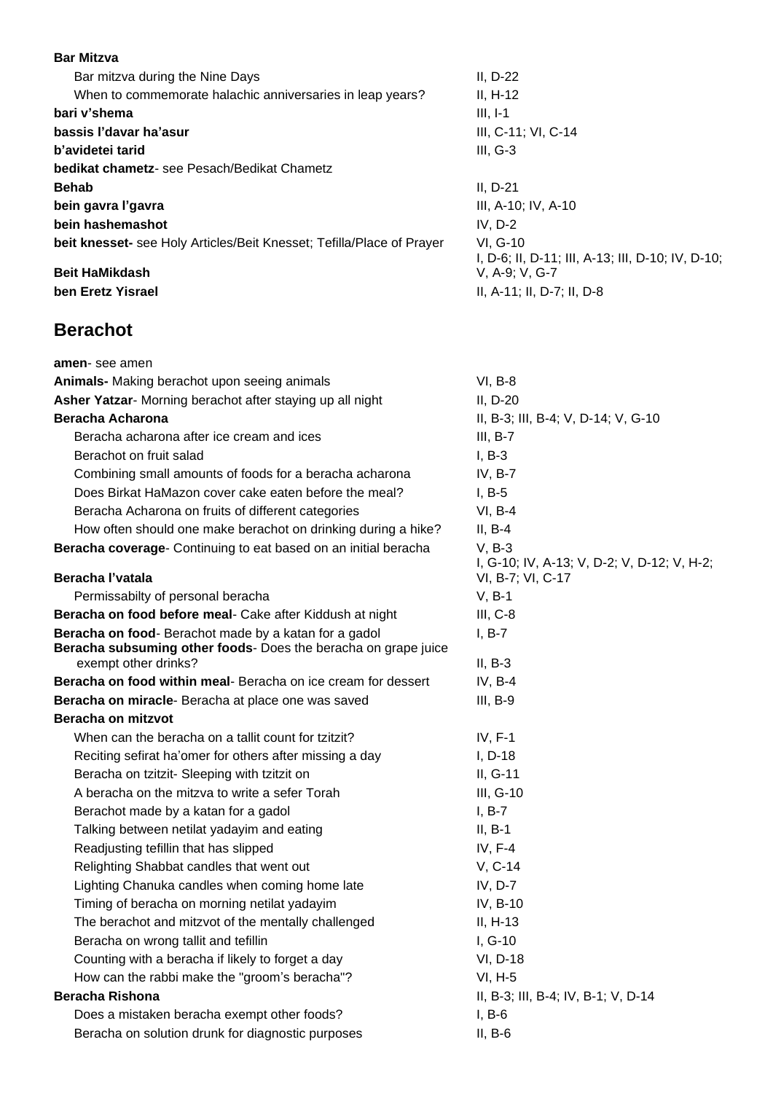#### **Bar Mitzva**

| Bar mitzva during the Nine Days                                       | $II, D-22$   |
|-----------------------------------------------------------------------|--------------|
| When to commemorate halachic anniversaries in leap years?             | $II, H-12$   |
| bari v'shema                                                          | $III, I-1$   |
| bassis l'davar ha'asur                                                | III, C-11    |
| b'avidetei tarid                                                      | $III, G-3$   |
| <b>bedikat chametz-</b> see Pesach/Bedikat Chametz                    |              |
| <b>Behab</b>                                                          | II, D-21     |
| bein gavra l'gavra                                                    | $III, A-10$  |
| bein hashemashot                                                      | IV, D-2      |
| beit knesset- see Holy Articles/Beit Knesset; Tefilla/Place of Prayer | VI, G-10     |
|                                                                       | $I, D-6; II$ |
| <b>Beit HaMikdash</b>                                                 | V. A-9: \    |

#### **Berachot**

**bassis l'davar ha'asur** III, C-11; VI, C-14 **bein gavra l'gavra** III, A-10; IV, A-10 .<br>D-6; II, D-11; III, A-13; III, D-10; IV, D-10; **A-9; V, G-7 ben Eretz Yisrael II**, A-11; II, D-7; II, D-8

| amen-see amen                                                                                                           |                                             |
|-------------------------------------------------------------------------------------------------------------------------|---------------------------------------------|
| Animals- Making berachot upon seeing animals                                                                            | $VI, B-8$                                   |
| Asher Yatzar- Morning berachot after staying up all night                                                               | $II, D-20$                                  |
| <b>Beracha Acharona</b>                                                                                                 | II, B-3; III, B-4; V, D-14; V, G-10         |
| Beracha acharona after ice cream and ices                                                                               | $III, B-7$                                  |
| Berachot on fruit salad                                                                                                 | $I, B-3$                                    |
| Combining small amounts of foods for a beracha acharona                                                                 | IV, $B-7$                                   |
| Does Birkat HaMazon cover cake eaten before the meal?                                                                   | $I, B-5$                                    |
| Beracha Acharona on fruits of different categories                                                                      | $VI, B-4$                                   |
| How often should one make berachot on drinking during a hike?                                                           | $II, B-4$                                   |
| Beracha coverage- Continuing to eat based on an initial beracha                                                         | $V, B-3$                                    |
|                                                                                                                         | I, G-10; IV, A-13; V, D-2; V, D-12; V, H-2; |
| Beracha l'vatala                                                                                                        | VI, B-7; VI, C-17                           |
| Permissabilty of personal beracha                                                                                       | $V, B-1$                                    |
| Beracha on food before meal- Cake after Kiddush at night                                                                | $III, C-8$                                  |
| Beracha on food- Berachot made by a katan for a gadol<br>Beracha subsuming other foods- Does the beracha on grape juice | $I, B-7$                                    |
| exempt other drinks?                                                                                                    | $II, B-3$                                   |
| Beracha on food within meal- Beracha on ice cream for dessert                                                           | IV, $B-4$                                   |
| Beracha on miracle- Beracha at place one was saved                                                                      | $III, B-9$                                  |
| Beracha on mitzvot                                                                                                      |                                             |
| When can the beracha on a tallit count for tzitzit?                                                                     | $IV, F-1$                                   |
| Reciting sefirat ha'omer for others after missing a day                                                                 | $I, D-18$                                   |
| Beracha on tzitzit- Sleeping with tzitzit on                                                                            | II, G-11                                    |
| A beracha on the mitzva to write a sefer Torah                                                                          | $III, G-10$                                 |
| Berachot made by a katan for a gadol                                                                                    | $I, B-7$                                    |
| Talking between netilat yadayim and eating                                                                              | $II, B-1$                                   |
| Readjusting tefillin that has slipped                                                                                   | IV, $F-4$                                   |
| Relighting Shabbat candles that went out                                                                                | V, C-14                                     |
| Lighting Chanuka candles when coming home late                                                                          | IV, D-7                                     |
| Timing of beracha on morning netilat yadayim                                                                            | IV, B-10                                    |
| The berachot and mitzvot of the mentally challenged                                                                     | $II, H-13$                                  |
| Beracha on wrong tallit and tefillin                                                                                    | $I, G-10$                                   |
| Counting with a beracha if likely to forget a day                                                                       | VI, D-18                                    |
| How can the rabbi make the "groom's beracha"?                                                                           | $VI, H-5$                                   |
| <b>Beracha Rishona</b>                                                                                                  | II, B-3; III, B-4; IV, B-1; V, D-14         |
| Does a mistaken beracha exempt other foods?                                                                             | $I, B-6$                                    |
| Beracha on solution drunk for diagnostic purposes                                                                       | $II, B-6$                                   |
|                                                                                                                         |                                             |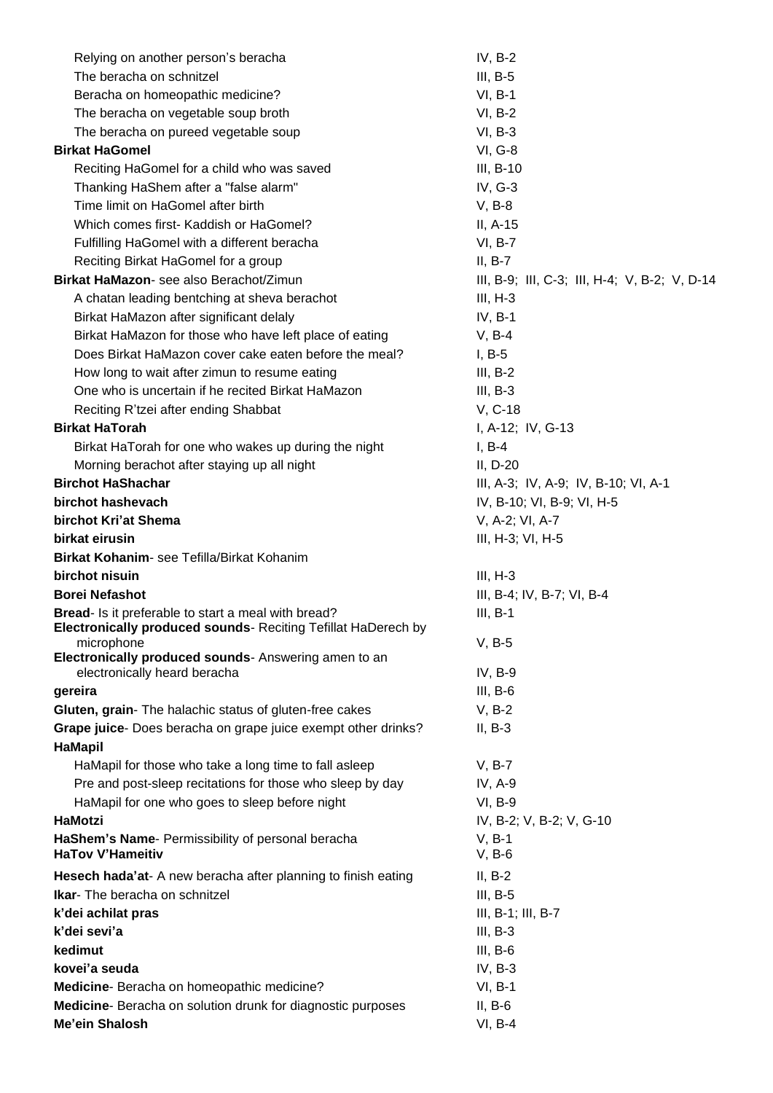| Relying on another person's beracha                                                                                                       | $IV, B-2$                                     |
|-------------------------------------------------------------------------------------------------------------------------------------------|-----------------------------------------------|
| The beracha on schnitzel                                                                                                                  | $III, B-5$                                    |
| Beracha on homeopathic medicine?                                                                                                          | $VI, B-1$                                     |
| The beracha on vegetable soup broth                                                                                                       | VI, B-2                                       |
| The beracha on pureed vegetable soup                                                                                                      | $VI, B-3$                                     |
| <b>Birkat HaGomel</b>                                                                                                                     | <b>VI, G-8</b>                                |
| Reciting HaGomel for a child who was saved                                                                                                | III, B-10                                     |
| Thanking HaShem after a "false alarm"                                                                                                     | IV, G-3                                       |
| Time limit on HaGomel after birth                                                                                                         | $V, B-8$                                      |
| Which comes first- Kaddish or HaGomel?                                                                                                    | II, A-15                                      |
| Fulfilling HaGomel with a different beracha                                                                                               | VI, B-7                                       |
| Reciting Birkat HaGomel for a group                                                                                                       | $II, B-7$                                     |
| Birkat HaMazon- see also Berachot/Zimun                                                                                                   | III, B-9; III, C-3; III, H-4; V, B-2; V, D-14 |
| A chatan leading bentching at sheva berachot                                                                                              | $III, H-3$                                    |
| Birkat HaMazon after significant delaly                                                                                                   | $IV, B-1$                                     |
| Birkat HaMazon for those who have left place of eating                                                                                    | $V, B-4$                                      |
| Does Birkat HaMazon cover cake eaten before the meal?                                                                                     |                                               |
| How long to wait after zimun to resume eating                                                                                             | $I, B-5$<br>$III, B-2$                        |
| One who is uncertain if he recited Birkat HaMazon                                                                                         |                                               |
|                                                                                                                                           | $III, B-3$                                    |
| Reciting R'tzei after ending Shabbat                                                                                                      | V, C-18                                       |
| <b>Birkat HaTorah</b>                                                                                                                     | I, A-12; IV, G-13                             |
| Birkat HaTorah for one who wakes up during the night                                                                                      | $I, B-4$                                      |
| Morning berachot after staying up all night                                                                                               | $II, D-20$                                    |
| <b>Birchot HaShachar</b>                                                                                                                  | III, A-3; IV, A-9; IV, B-10; VI, A-1          |
| birchot hashevach                                                                                                                         | IV, B-10; VI, B-9; VI, H-5                    |
| birchot Kri'at Shema                                                                                                                      | V, A-2; VI, A-7                               |
| birkat eirusin                                                                                                                            | III, H-3; VI, H-5                             |
| Birkat Kohanim- see Tefilla/Birkat Kohanim                                                                                                |                                               |
| birchot nisuin                                                                                                                            | $III, H-3$                                    |
| <b>Borei Nefashot</b>                                                                                                                     | III, B-4; IV, B-7; VI, B-4                    |
| Bread- Is it preferable to start a meal with bread?<br><b>Electronically produced sounds- Reciting Tefillat HaDerech by</b><br>microphone | $III, B-1$<br>$V, B-5$                        |
| Electronically produced sounds- Answering amen to an                                                                                      |                                               |
| electronically heard beracha                                                                                                              | IV, B-9                                       |
| gereira                                                                                                                                   | $III, B-6$                                    |
| Gluten, grain- The halachic status of gluten-free cakes                                                                                   | $V, B-2$                                      |
| Grape juice- Does beracha on grape juice exempt other drinks?<br>HaMapil                                                                  | $II, B-3$                                     |
| HaMapil for those who take a long time to fall asleep                                                                                     | $V, B-7$                                      |
| Pre and post-sleep recitations for those who sleep by day                                                                                 | IV, A-9                                       |
| HaMapil for one who goes to sleep before night                                                                                            | <b>VI, B-9</b>                                |
| HaMotzi                                                                                                                                   | IV, B-2; V, B-2; V, G-10                      |
| HaShem's Name- Permissibility of personal beracha                                                                                         | $V, B-1$                                      |
| <b>HaTov V'Hameitiv</b>                                                                                                                   | $V, B-6$                                      |
| Hesech hada'at- A new beracha after planning to finish eating                                                                             | $II, B-2$                                     |
| <b>Ikar-</b> The beracha on schnitzel                                                                                                     | $III, B-5$                                    |
| k'dei achilat pras                                                                                                                        | $III, B-1; III, B-7$                          |
| k'dei sevi'a                                                                                                                              | $III, B-3$                                    |
| kedimut                                                                                                                                   | $III, B-6$                                    |
| kovei'a seuda                                                                                                                             | $IV, B-3$                                     |
| Medicine- Beracha on homeopathic medicine?                                                                                                | $VI, B-1$                                     |
| Medicine- Beracha on solution drunk for diagnostic purposes                                                                               | $II, B-6$                                     |
| Me'ein Shalosh                                                                                                                            | $VI, B-4$                                     |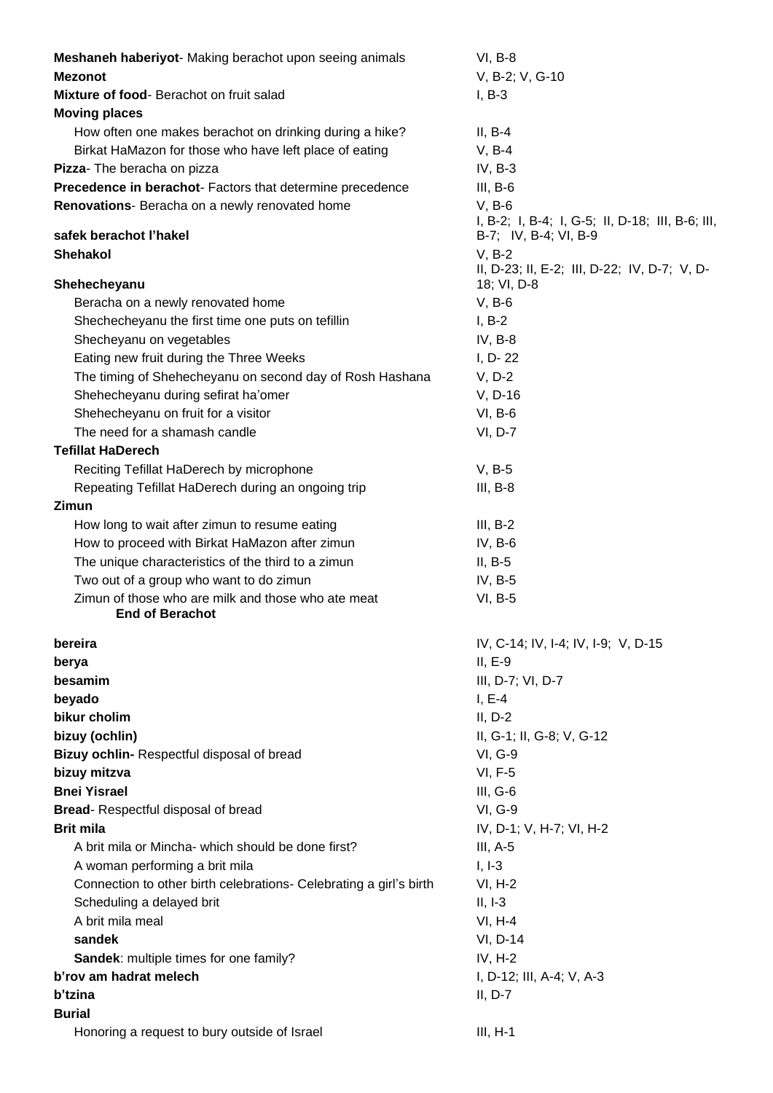| Meshaneh haberiyot- Making berachot upon seeing animals            | $VI, B-8$                                                |
|--------------------------------------------------------------------|----------------------------------------------------------|
| <b>Mezonot</b>                                                     | V, B-2; V, G-10                                          |
| Mixture of food-Berachot on fruit salad                            | $I, B-3$                                                 |
| <b>Moving places</b>                                               |                                                          |
| How often one makes berachot on drinking during a hike?            | $II, B-4$                                                |
| Birkat HaMazon for those who have left place of eating             | $V, B-4$                                                 |
| Pizza- The beracha on pizza                                        | $IV, B-3$                                                |
| Precedence in berachot- Factors that determine precedence          | $III, B-6$                                               |
| Renovations- Beracha on a newly renovated home                     | $V, B-6$                                                 |
|                                                                    | I, B-2; I, B-4; I, G-5; II, D-18; III, B-6; III,         |
| safek berachot l'hakel                                             | B-7; IV, B-4; VI, B-9                                    |
| <b>Shehakol</b>                                                    | $V, B-2$<br>II, D-23; II, E-2; III, D-22; IV, D-7; V, D- |
| Shehecheyanu                                                       | 18; VI, D-8                                              |
| Beracha on a newly renovated home                                  | $V, B-6$                                                 |
| Shechecheyanu the first time one puts on tefillin                  | $I, B-2$                                                 |
| Shecheyanu on vegetables                                           | $IV, B-8$                                                |
| Eating new fruit during the Three Weeks                            | I, D-22                                                  |
| The timing of Shehecheyanu on second day of Rosh Hashana           | $V, D-2$                                                 |
| Shehecheyanu during sefirat ha'omer                                | V, D-16                                                  |
| Shehecheyanu on fruit for a visitor                                | $VI, B-6$                                                |
| The need for a shamash candle                                      | VI, D-7                                                  |
| <b>Tefillat HaDerech</b>                                           |                                                          |
| Reciting Tefillat HaDerech by microphone                           | $V, B-5$                                                 |
| Repeating Tefillat HaDerech during an ongoing trip                 | $III, B-8$                                               |
| <b>Zimun</b>                                                       |                                                          |
| How long to wait after zimun to resume eating                      | $III, B-2$                                               |
| How to proceed with Birkat HaMazon after zimun                     | $IV, B-6$                                                |
| The unique characteristics of the third to a zimun                 | $II, B-5$                                                |
| Two out of a group who want to do zimun                            | IV, $B-5$                                                |
| Zimun of those who are milk and those who ate meat                 | VI, B-5                                                  |
| <b>End of Berachot</b>                                             |                                                          |
| bereira                                                            | IV, C-14; IV, I-4; IV, I-9; V, D-15                      |
| berya                                                              | $II, E-9$                                                |
| besamim                                                            | III, D-7; VI, D-7                                        |
| beyado                                                             | $I, E-4$                                                 |
| bikur cholim                                                       | $II, D-2$                                                |
| bizuy (ochlin)                                                     | II, G-1; II, G-8; V, G-12                                |
| Bizuy ochlin-Respectful disposal of bread                          | <b>VI, G-9</b>                                           |
| bizuy mitzva                                                       | <b>VI, F-5</b>                                           |
| <b>Bnei Yisrael</b>                                                | $III, G-6$                                               |
| <b>Bread-</b> Respectful disposal of bread                         | <b>VI, G-9</b>                                           |
| <b>Brit mila</b>                                                   | IV, D-1; V, H-7; VI, H-2                                 |
| A brit mila or Mincha- which should be done first?                 | $III, A-5$                                               |
| A woman performing a brit mila                                     | $I, I-3$                                                 |
| Connection to other birth celebrations- Celebrating a girl's birth | $VI, H-2$                                                |
| Scheduling a delayed brit                                          | $II, I-3$                                                |
| A brit mila meal                                                   | $VI, H-4$                                                |
| sandek                                                             | VI, D-14                                                 |
| Sandek: multiple times for one family?                             | $IV, H-2$                                                |
| b'rov am hadrat melech                                             | I, D-12; III, A-4; V, A-3                                |
| b'tzina                                                            | $II, D-7$                                                |
| <b>Burial</b>                                                      |                                                          |
| Honoring a request to bury outside of Israel                       | $III, H-1$                                               |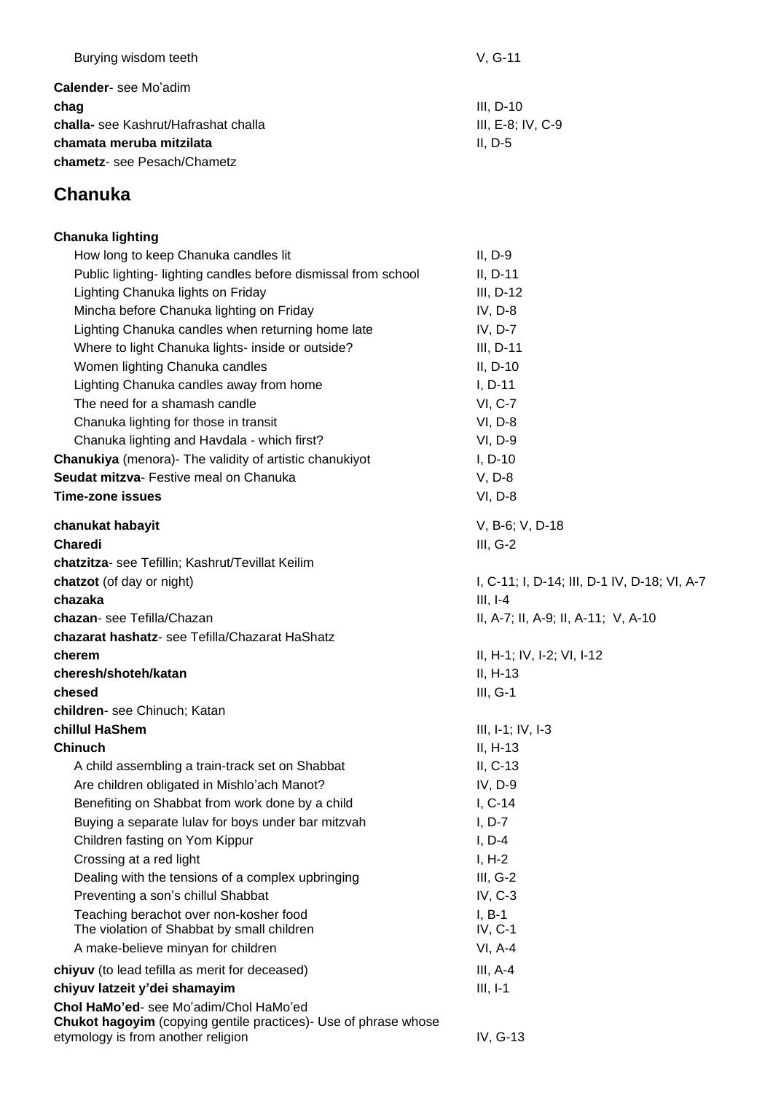| Burying wisdom teeth                | $V. G-11$           |
|-------------------------------------|---------------------|
| <b>Calender-</b> see Mo'adim        |                     |
| chag                                | III. D-10           |
| challa-see Kashrut/Hafrashat challa | $III. E-8. IV. C-9$ |
| chamata meruba mitzilata            | $II. D-5$           |
| chametz- see Pesach/Chametz         |                     |
|                                     |                     |

## **Chanuka**

| <b>Chanuka lighting</b>                                                                                                                         |                                              |
|-------------------------------------------------------------------------------------------------------------------------------------------------|----------------------------------------------|
| How long to keep Chanuka candles lit                                                                                                            | $II, D-9$                                    |
| Public lighting- lighting candles before dismissal from school                                                                                  | $II, D-11$                                   |
| Lighting Chanuka lights on Friday                                                                                                               | $III, D-12$                                  |
| Mincha before Chanuka lighting on Friday                                                                                                        | IV, D-8                                      |
| Lighting Chanuka candles when returning home late                                                                                               | $IV, D-7$                                    |
| Where to light Chanuka lights- inside or outside?                                                                                               | III, D-11                                    |
| Women lighting Chanuka candles                                                                                                                  | $II, D-10$                                   |
| Lighting Chanuka candles away from home                                                                                                         | $I, D-11$                                    |
| The need for a shamash candle                                                                                                                   | <b>VI, C-7</b>                               |
| Chanuka lighting for those in transit                                                                                                           | VI, D-8                                      |
| Chanuka lighting and Havdala - which first?                                                                                                     | VI, D-9                                      |
| <b>Chanukiya</b> (menora)- The validity of artistic chanukiyot                                                                                  | $I, D-10$                                    |
| Seudat mitzva- Festive meal on Chanuka                                                                                                          | $V, D-8$                                     |
| <b>Time-zone issues</b>                                                                                                                         | VI, D-8                                      |
| chanukat habayit                                                                                                                                | V, B-6; V, D-18                              |
| <b>Charedi</b>                                                                                                                                  | $III, G-2$                                   |
| chatzitza- see Tefillin; Kashrut/Tevillat Keilim                                                                                                |                                              |
| chatzot (of day or night)                                                                                                                       | I, C-11; I, D-14; III, D-1 IV, D-18; VI, A-7 |
| chazaka                                                                                                                                         | $III, I-4$                                   |
| chazan- see Tefilla/Chazan                                                                                                                      | II, A-7; II, A-9; II, A-11; V, A-10          |
| chazarat hashatz- see Tefilla/Chazarat HaShatz                                                                                                  |                                              |
| cherem                                                                                                                                          | II, H-1; IV, I-2; VI, I-12                   |
| cheresh/shoteh/katan                                                                                                                            | $II, H-13$                                   |
| chesed                                                                                                                                          | $III, G-1$                                   |
| children- see Chinuch; Katan                                                                                                                    |                                              |
| chillul HaShem                                                                                                                                  | $III, I-1; IV, I-3$                          |
| <b>Chinuch</b>                                                                                                                                  | $II, H-13$                                   |
| A child assembling a train-track set on Shabbat                                                                                                 | $II, C-13$                                   |
| Are children obligated in Mishlo'ach Manot?                                                                                                     | IV, D-9                                      |
| Benefiting on Shabbat from work done by a child                                                                                                 | $I, C-14$                                    |
| Buying a separate lulav for boys under bar mitzvah                                                                                              | $I, D-7$                                     |
| Children fasting on Yom Kippur                                                                                                                  | $I, D-4$                                     |
| Crossing at a red light                                                                                                                         | $I, H-2$                                     |
| Dealing with the tensions of a complex upbringing                                                                                               | $III, G-2$                                   |
| Preventing a son's chillul Shabbat                                                                                                              | $IV, C-3$                                    |
| Teaching berachot over non-kosher food                                                                                                          | $I, B-1$                                     |
| The violation of Shabbat by small children                                                                                                      | $IV, C-1$                                    |
| A make-believe minyan for children                                                                                                              | $VI, A-4$                                    |
| chiyuv (to lead tefilla as merit for deceased)                                                                                                  | $III, A-4$                                   |
| chiyuv latzeit y'dei shamayim                                                                                                                   | $III, I-1$                                   |
| Chol HaMo'ed- see Mo'adim/Chol HaMo'ed<br>Chukot hagoyim (copying gentile practices)- Use of phrase whose<br>etymology is from another religion | IV, G-13                                     |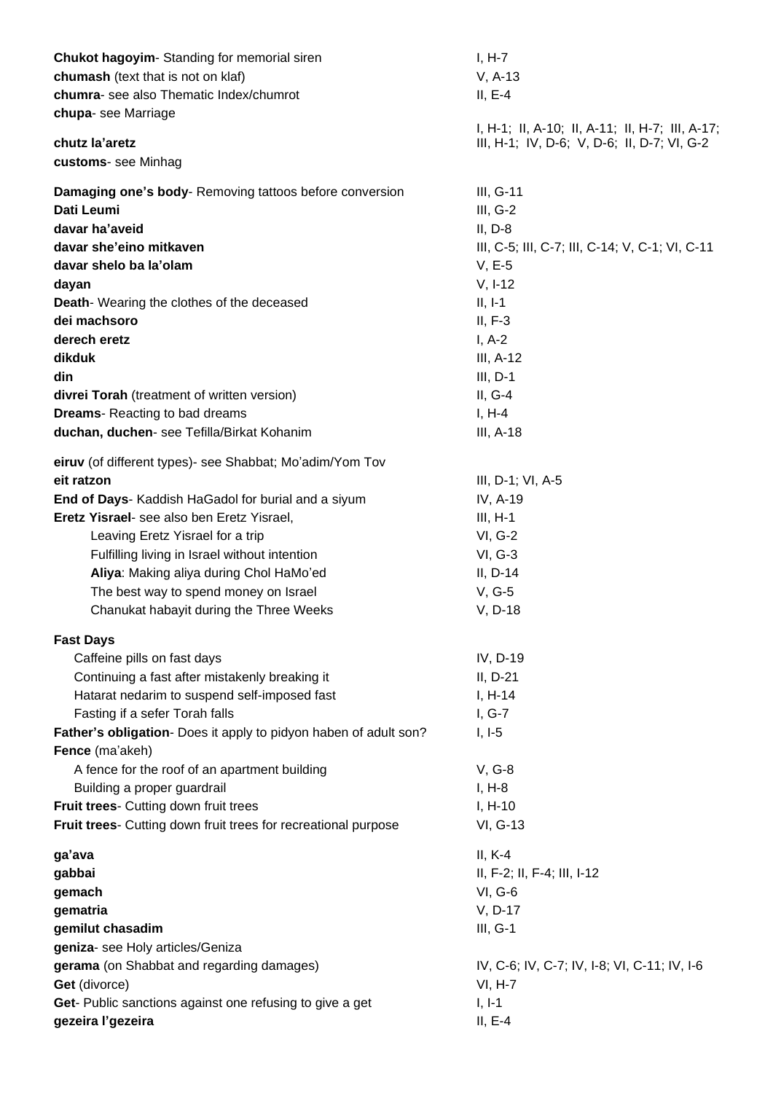| Chukot hagoyim-Standing for memorial siren                       | $I, H-7$                                        |
|------------------------------------------------------------------|-------------------------------------------------|
| chumash (text that is not on klaf)                               | $V, A-13$                                       |
| chumra- see also Thematic Index/chumrot                          | $II, E-4$                                       |
| chupa- see Marriage                                              |                                                 |
|                                                                  | I, H-1; II, A-10; II, A-11; II, H-7; III, A-17; |
| chutz la'aretz                                                   | III, H-1; IV, D-6; V, D-6; II, D-7; VI, G-2     |
| customs- see Minhag                                              |                                                 |
| Damaging one's body-Removing tattoos before conversion           | III, G-11                                       |
| Dati Leumi                                                       | $III, G-2$                                      |
| davar ha'aveid                                                   | $II, D-8$                                       |
| davar she'eino mitkaven                                          | III, C-5; III, C-7; III, C-14; V, C-1; VI, C-11 |
| davar shelo ba la'olam                                           | $V, E-5$                                        |
| dayan                                                            | $V, I-12$                                       |
| Death-Wearing the clothes of the deceased                        | $II, I-1$                                       |
| dei machsoro                                                     | $II, F-3$                                       |
| derech eretz                                                     | $I, A-2$                                        |
| dikduk                                                           | III, A-12                                       |
| din                                                              | $III, D-1$                                      |
| divrei Torah (treatment of written version)                      | $II, G-4$                                       |
| <b>Dreams-Reacting to bad dreams</b>                             | $I, H-4$                                        |
|                                                                  |                                                 |
| duchan, duchen- see Tefilla/Birkat Kohanim                       | III, A-18                                       |
| eiruv (of different types)- see Shabbat; Mo'adim/Yom Tov         |                                                 |
| eit ratzon                                                       | III, D-1; VI, A-5                               |
| End of Days- Kaddish HaGadol for burial and a siyum              | IV, A-19                                        |
| Eretz Yisrael- see also ben Eretz Yisrael,                       | $III, H-1$                                      |
| Leaving Eretz Yisrael for a trip                                 | VI, G-2                                         |
| Fulfilling living in Israel without intention                    | $VI, G-3$                                       |
| Aliya: Making aliya during Chol HaMo'ed                          | $II, D-14$                                      |
| The best way to spend money on Israel                            | V, G-5                                          |
| Chanukat habayit during the Three Weeks                          | V, D-18                                         |
|                                                                  |                                                 |
| <b>Fast Days</b>                                                 |                                                 |
| Caffeine pills on fast days                                      | IV, D-19                                        |
| Continuing a fast after mistakenly breaking it                   | $II, D-21$                                      |
| Hatarat nedarim to suspend self-imposed fast                     | $I, H-14$                                       |
| Fasting if a sefer Torah falls                                   | $I, G-7$                                        |
| Father's obligation- Does it apply to pidyon haben of adult son? | $I, I-5$                                        |
| Fence (ma'akeh)                                                  |                                                 |
| A fence for the roof of an apartment building                    | $V, G-8$                                        |
| Building a proper guardrail                                      | $I, H-8$                                        |
| Fruit trees- Cutting down fruit trees                            | $I, H-10$                                       |
| Fruit trees- Cutting down fruit trees for recreational purpose   | VI, G-13                                        |
|                                                                  | $II, K-4$                                       |
| ga'ava                                                           |                                                 |
| gabbai                                                           | II, F-2; II, F-4; III, I-12                     |
| gemach                                                           | VI, G-6                                         |
| gematria                                                         | V, D-17                                         |
| gemilut chasadim                                                 | $III, G-1$                                      |
| geniza- see Holy articles/Geniza                                 |                                                 |
| gerama (on Shabbat and regarding damages)                        | IV, C-6; IV, C-7; IV, I-8; VI, C-11; IV, I-6    |
| Get (divorce)                                                    | <b>VI, H-7</b>                                  |
| Get- Public sanctions against one refusing to give a get         | $I, I-1$                                        |
| gezeira l'gezeira                                                | $II, E-4$                                       |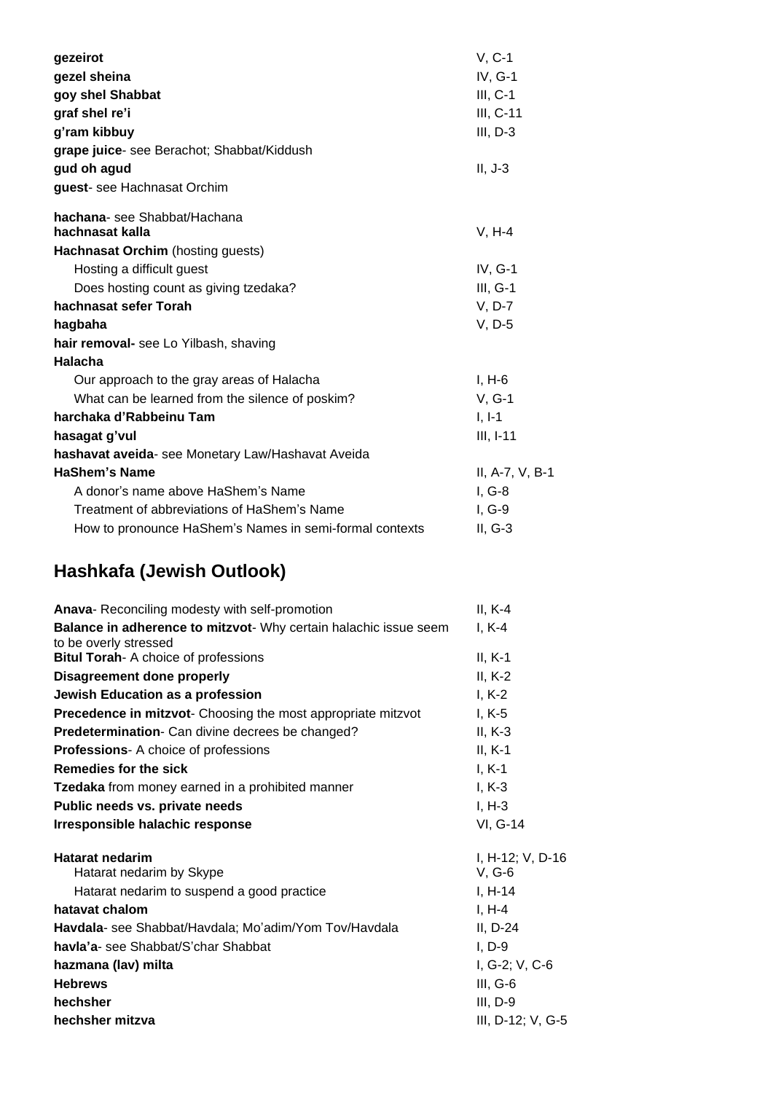| gezeirot                                                | $V, C-1$        |
|---------------------------------------------------------|-----------------|
| gezel sheina                                            | IV, G-1         |
| goy shel Shabbat                                        | $III, C-1$      |
| graf shel re'i                                          | III, C-11       |
| g'ram kibbuy                                            | $III, D-3$      |
| grape juice- see Berachot; Shabbat/Kiddush              |                 |
| gud oh agud                                             | $II, J-3$       |
| guest- see Hachnasat Orchim                             |                 |
| hachana-see Shabbat/Hachana                             |                 |
| hachnasat kalla                                         | $V, H-4$        |
| Hachnasat Orchim (hosting guests)                       |                 |
| Hosting a difficult guest                               | IV, G-1         |
| Does hosting count as giving tzedaka?                   | $III, G-1$      |
| hachnasat sefer Torah                                   | $V, D-7$        |
| hagbaha                                                 | V, D-5          |
| hair removal- see Lo Yilbash, shaving                   |                 |
| Halacha                                                 |                 |
| Our approach to the gray areas of Halacha               | $I, H-6$        |
| What can be learned from the silence of poskim?         | $V, G-1$        |
| harchaka d'Rabbeinu Tam                                 | $I, I-1$        |
| hasagat g'vul                                           | $III, I-11$     |
| hashavat aveida- see Monetary Law/Hashavat Aveida       |                 |
| <b>HaShem's Name</b>                                    | II, A-7, V, B-1 |
| A donor's name above HaShem's Name                      | $I, G-8$        |
| Treatment of abbreviations of HaShem's Name             | $I, G-9$        |
| How to pronounce HaShem's Names in semi-formal contexts | $II, G-3$       |
|                                                         |                 |

# **Hashkafa (Jewish Outlook)**

| Anava-Reconciling modesty with self-promotion                                             | $II, K-4$                    |
|-------------------------------------------------------------------------------------------|------------------------------|
| Balance in adherence to mitzvot- Why certain halachic issue seem<br>to be overly stressed | $I, K-4$                     |
| Bitul Torah- A choice of professions                                                      | $II, K-1$                    |
| <b>Disagreement done properly</b>                                                         | $II, K-2$                    |
| Jewish Education as a profession                                                          | $I, K-2$                     |
| Precedence in mitzvot- Choosing the most appropriate mitzvot                              | $I, K-5$                     |
| Predetermination- Can divine decrees be changed?                                          | $II, K-3$                    |
| <b>Professions-</b> A choice of professions                                               | $II, K-1$                    |
| Remedies for the sick                                                                     | $I, K-1$                     |
| Tzedaka from money earned in a prohibited manner                                          | $I, K-3$                     |
| Public needs vs. private needs                                                            | $I, H-3$                     |
| Irresponsible halachic response                                                           | VI, G-14                     |
| <b>Hatarat nedarim</b><br>Hatarat nedarim by Skype                                        | I, H-12; V, D-16<br>$V, G-6$ |
| Hatarat nedarim to suspend a good practice                                                | $I, H-14$                    |
| hatavat chalom                                                                            | $I, H-4$                     |
| Havdala- see Shabbat/Havdala; Mo'adim/Yom Tov/Havdala                                     | II, D-24                     |
| havla'a- see Shabbat/S'char Shabbat                                                       | $I, D-9$                     |
| hazmana (lav) milta                                                                       | I, G-2; V, C-6               |
| <b>Hebrews</b>                                                                            | $III, G-6$                   |
| hechsher                                                                                  | $III, D-9$                   |
| hechsher mitzva                                                                           | III, D-12; V, G-5            |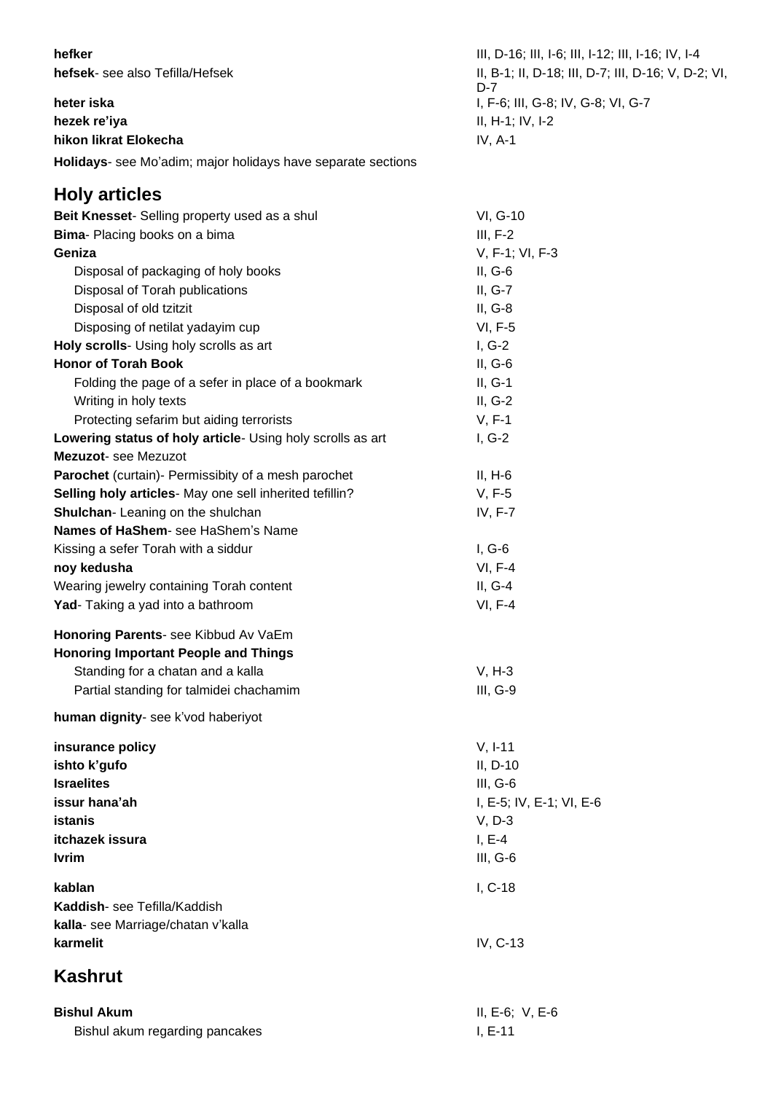**hefsek**- see also Tefilla/Hefsek

**hezek re'iya** II, H-1; IV, I-2 **hikon likrat Elokecha IV, A-1** 

**Holidays**- see Mo'adim; major holidays have separate sections

### **Holy articles**

**heffer** III, D-16; III, I-6; III, I-12; III, I-16; IV, I-4 II, B-1; II, D-18; III, D-7; III, D-16; V, D-2; VI, D-7 **heter iska** I, F-6; III, G-8; IV, G-8; VI, G-7

| Beit Knesset- Selling property used as a shul              | VI, G-10                 |
|------------------------------------------------------------|--------------------------|
| Bima- Placing books on a bima                              | $III, F-2$               |
| Geniza                                                     | V, F-1; VI, F-3          |
| Disposal of packaging of holy books                        | $II, G-6$                |
| Disposal of Torah publications                             | II, G-7                  |
| Disposal of old tzitzit                                    | II, G-8                  |
| Disposing of netilat yadayim cup                           | <b>VI, F-5</b>           |
| Holy scrolls- Using holy scrolls as art                    | $I, G-2$                 |
| <b>Honor of Torah Book</b>                                 | $II, G-6$                |
| Folding the page of a sefer in place of a bookmark         | $II, G-1$                |
| Writing in holy texts                                      | $II, G-2$                |
| Protecting sefarim but aiding terrorists                   | $V, F-1$                 |
| Lowering status of holy article- Using holy scrolls as art | $I, G-2$                 |
| Mezuzot- see Mezuzot                                       |                          |
| Parochet (curtain)- Permissibity of a mesh parochet        | $II, H-6$                |
| Selling holy articles- May one sell inherited tefillin?    | $V, F-5$                 |
| Shulchan- Leaning on the shulchan                          | IV, F-7                  |
| Names of HaShem- see HaShem's Name                         |                          |
| Kissing a sefer Torah with a siddur                        | $I, G-6$                 |
| noy kedusha                                                | VI, F-4                  |
| Wearing jewelry containing Torah content                   | $II, G-4$                |
| Yad- Taking a yad into a bathroom                          | <b>VI, F-4</b>           |
| Honoring Parents- see Kibbud Av VaEm                       |                          |
| <b>Honoring Important People and Things</b>                |                          |
| Standing for a chatan and a kalla                          | $V, H-3$                 |
| Partial standing for talmidei chachamim                    | III, G-9                 |
| human dignity- see k'vod haberiyot                         |                          |
| insurance policy                                           | $V, I-11$                |
| ishto k'gufo                                               | $II, D-10$               |
| <b>Israelites</b>                                          | $III, G-6$               |
| issur hana'ah                                              | I, E-5; IV, E-1; VI, E-6 |
| <b>istanis</b>                                             | $V, D-3$                 |
| itchazek issura                                            | $I, E-4$                 |
| <b>Ivrim</b>                                               | $III, G-6$               |
| kablan                                                     | I, C-18                  |
| Kaddish-see Tefilla/Kaddish                                |                          |
| kalla- see Marriage/chatan v'kalla                         |                          |
| karmelit                                                   | IV, C-13                 |
| <b>Kashrut</b>                                             |                          |
| <b>Bishul Akum</b>                                         | II, E-6; V, E-6          |

Bishul akum regarding pancakes I, E-11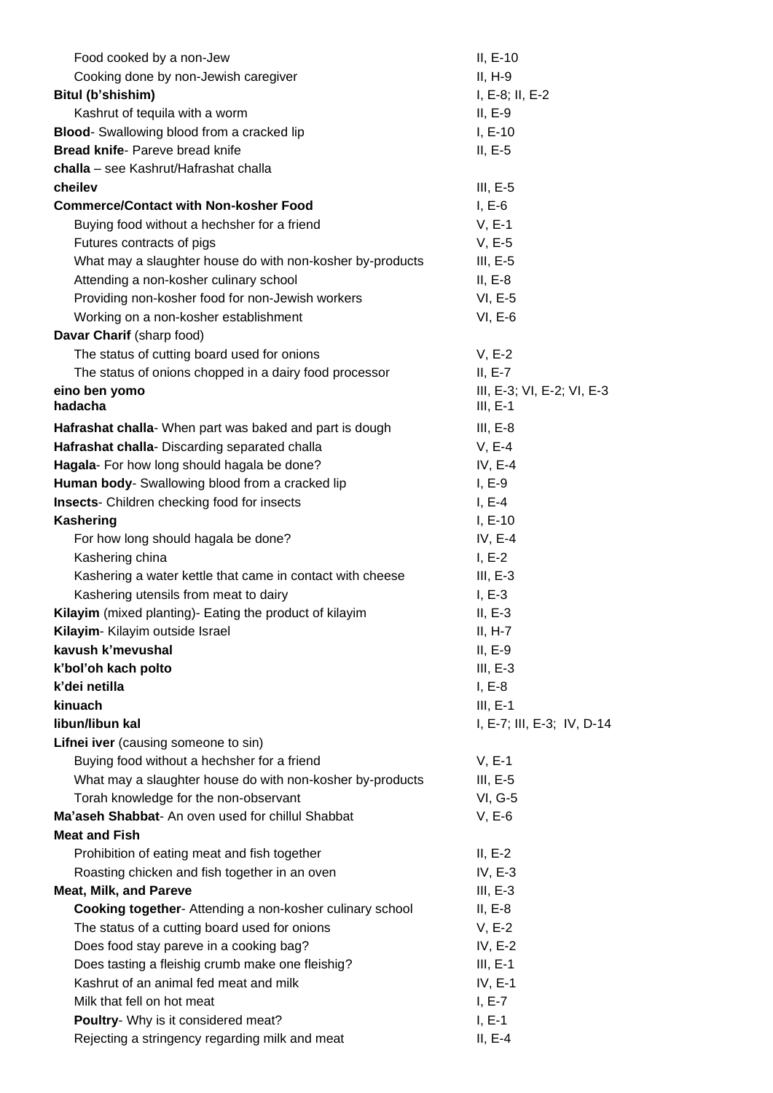| Food cooked by a non-Jew                                  | $II, E-10$                 |
|-----------------------------------------------------------|----------------------------|
| Cooking done by non-Jewish caregiver                      | $II, H-9$                  |
| Bitul (b'shishim)                                         | $I, E-8, II, E-2$          |
| Kashrut of tequila with a worm                            | $II, E-9$                  |
| <b>Blood-</b> Swallowing blood from a cracked lip         | $I, E-10$                  |
| <b>Bread knife- Pareve bread knife</b>                    | $II, E-5$                  |
| challa - see Kashrut/Hafrashat challa                     |                            |
| cheilev                                                   | $III, E-5$                 |
| <b>Commerce/Contact with Non-kosher Food</b>              | $I, E-6$                   |
| Buying food without a hechsher for a friend               | $V, E-1$                   |
| Futures contracts of pigs                                 | $V, E-5$                   |
| What may a slaughter house do with non-kosher by-products | $III, E-5$                 |
| Attending a non-kosher culinary school                    | $II, E-8$                  |
| Providing non-kosher food for non-Jewish workers          | $VI, E-5$                  |
| Working on a non-kosher establishment                     | $VI, E-6$                  |
| Davar Charif (sharp food)                                 |                            |
| The status of cutting board used for onions               | $V, E-2$                   |
| The status of onions chopped in a dairy food processor    | $II, E-7$                  |
| eino ben yomo                                             | III, E-3; VI, E-2; VI, E-3 |
| hadacha                                                   | $III, E-1$                 |
| Hafrashat challa- When part was baked and part is dough   | $III, E-8$                 |
| Hafrashat challa- Discarding separated challa             | $V, E-4$                   |
| Hagala- For how long should hagala be done?               | IV, $E-4$                  |
| Human body- Swallowing blood from a cracked lip           | $I, E-9$                   |
| <b>Insects-</b> Children checking food for insects        | $I, E-4$                   |
| <b>Kashering</b>                                          | $I, E-10$                  |
| For how long should hagala be done?                       | IV, $E-4$                  |
| Kashering china                                           | $I, E-2$                   |
| Kashering a water kettle that came in contact with cheese | III, $E-3$                 |
| Kashering utensils from meat to dairy                     | $I, E-3$                   |
| Kilayim (mixed planting)- Eating the product of kilayim   | $II, E-3$                  |
| Kilayim- Kilayim outside Israel                           | $II, H-7$                  |
| kavush k'mevushal                                         | $II, E-9$                  |
| k'bol'oh kach polto                                       | $III, E-3$                 |
| k'dei netilla                                             | $I, E-8$                   |
| kinuach                                                   | $III, E-1$                 |
| libun/libun kal                                           | I, E-7; III, E-3; IV, D-14 |
| Lifnei iver (causing someone to sin)                      |                            |
| Buying food without a hechsher for a friend               | $V, E-1$                   |
| What may a slaughter house do with non-kosher by-products | $III, E-5$                 |
| Torah knowledge for the non-observant                     | VI, G-5                    |
| Ma'aseh Shabbat- An oven used for chillul Shabbat         | $V, E-6$                   |
| <b>Meat and Fish</b>                                      |                            |
| Prohibition of eating meat and fish together              | $II, E-2$                  |
| Roasting chicken and fish together in an oven             | IV, $E-3$                  |
| <b>Meat, Milk, and Pareve</b>                             | $III, E-3$                 |
| Cooking together- Attending a non-kosher culinary school  | $II, E-8$                  |
| The status of a cutting board used for onions             | $V, E-2$                   |
| Does food stay pareve in a cooking bag?                   | IV, $E-2$                  |
| Does tasting a fleishig crumb make one fleishig?          | $III, E-1$                 |
| Kashrut of an animal fed meat and milk                    | IV, E-1                    |
| Milk that fell on hot meat                                | $I, E-7$                   |
| Poultry- Why is it considered meat?                       | $I, E-1$                   |
| Rejecting a stringency regarding milk and meat            | $II, E-4$                  |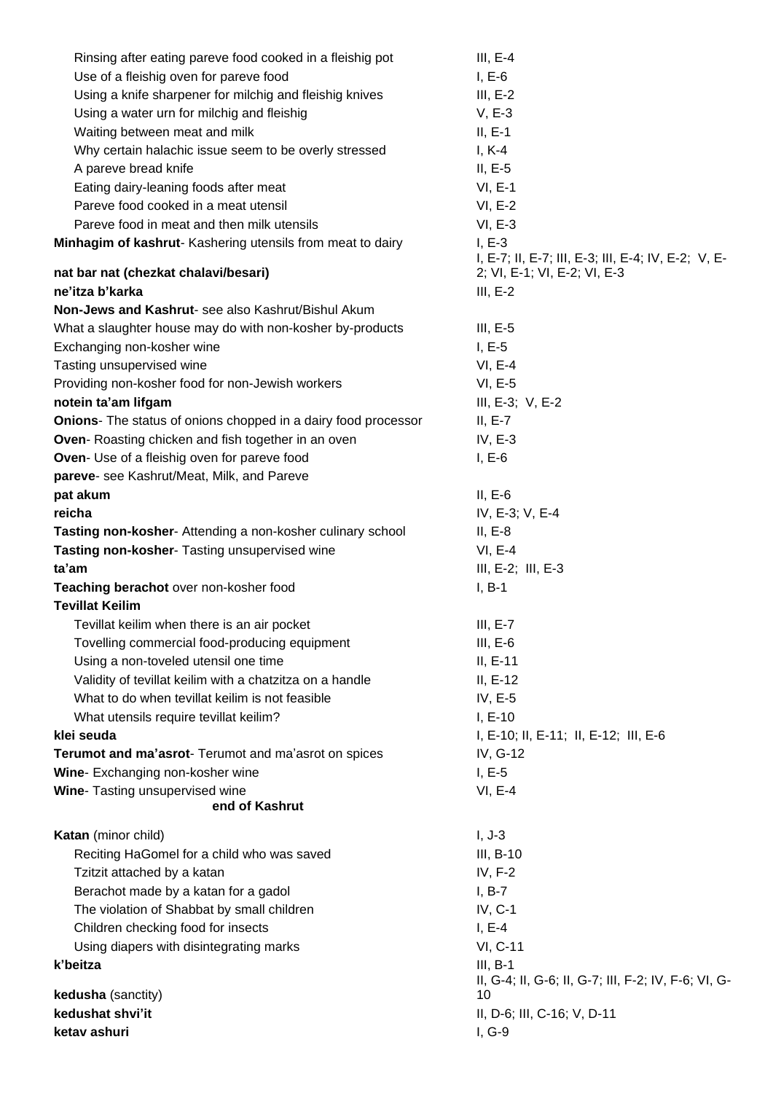| Rinsing after eating pareve food cooked in a fleishig pot             | $III, E-4$                                                      |
|-----------------------------------------------------------------------|-----------------------------------------------------------------|
| Use of a fleishig oven for pareve food                                | $I, E-6$                                                        |
| Using a knife sharpener for milchig and fleishig knives               | $III, E-2$                                                      |
| Using a water urn for milchig and fleishig                            | $V, E-3$                                                        |
| Waiting between meat and milk                                         | $II, E-1$                                                       |
| Why certain halachic issue seem to be overly stressed                 | $I, K-4$                                                        |
| A pareve bread knife                                                  | $II, E-5$                                                       |
| Eating dairy-leaning foods after meat                                 | $VI, E-1$                                                       |
| Pareve food cooked in a meat utensil                                  | $VI, E-2$                                                       |
| Pareve food in meat and then milk utensils                            | $VI, E-3$                                                       |
| Minhagim of kashrut- Kashering utensils from meat to dairy            | $I, E-3$<br>I, E-7; II, E-7; III, E-3; III, E-4; IV, E-2; V, E- |
| nat bar nat (chezkat chalavi/besari)                                  | 2; VI, E-1; VI, E-2; VI, E-3                                    |
| ne'itza b'karka                                                       | $III, E-2$                                                      |
| Non-Jews and Kashrut- see also Kashrut/Bishul Akum                    |                                                                 |
| What a slaughter house may do with non-kosher by-products             | III, $E-5$                                                      |
| Exchanging non-kosher wine                                            | $I, E-5$                                                        |
| Tasting unsupervised wine                                             | $VI, E-4$                                                       |
| Providing non-kosher food for non-Jewish workers                      | $VI, E-5$                                                       |
| notein ta'am lifgam                                                   | III, E-3; V, E-2                                                |
| <b>Onions-</b> The status of onions chopped in a dairy food processor | $II, E-7$                                                       |
| <b>Oven-</b> Roasting chicken and fish together in an oven            | IV, $E-3$                                                       |
| Oven- Use of a fleishig oven for pareve food                          | $I, E-6$                                                        |
| pareve- see Kashrut/Meat, Milk, and Pareve                            |                                                                 |
| pat akum                                                              | $II, E-6$                                                       |
| reicha                                                                | IV, E-3; V, E-4                                                 |
| Tasting non-kosher- Attending a non-kosher culinary school            | $II, E-8$                                                       |
| Tasting non-kosher- Tasting unsupervised wine                         | $VI, E-4$                                                       |
| ta'am                                                                 | $III, E-2; III, E-3$                                            |
| Teaching berachot over non-kosher food                                | $I, B-1$                                                        |
| <b>Tevillat Keilim</b>                                                |                                                                 |
| Tevillat keilim when there is an air pocket                           | $III, E-7$                                                      |
| Tovelling commercial food-producing equipment                         | $III, E-6$                                                      |
| Using a non-toveled utensil one time                                  | $II, E-11$                                                      |
| Validity of tevillat keilim with a chatzitza on a handle              | $II, E-12$                                                      |
| What to do when tevillat keilim is not feasible                       | IV, $E-5$                                                       |
| What utensils require tevillat keilim?                                | $I, E-10$                                                       |
| klei seuda                                                            | I, E-10; II, E-11; II, E-12; III, E-6                           |
| Terumot and ma'asrot- Terumot and ma'asrot on spices                  | IV, G-12                                                        |
| Wine- Exchanging non-kosher wine                                      | $I, E-5$                                                        |
| Wine- Tasting unsupervised wine<br>end of Kashrut                     | $VI, E-4$                                                       |
| Katan (minor child)                                                   | $I, J-3$                                                        |
| Reciting HaGomel for a child who was saved                            | $III, B-10$                                                     |
| Tzitzit attached by a katan                                           | IV, F-2                                                         |
| Berachot made by a katan for a gadol                                  | $I, B-7$                                                        |
| The violation of Shabbat by small children                            | $IV, C-1$                                                       |
| Children checking food for insects                                    | $I, E-4$                                                        |
| Using diapers with disintegrating marks                               | VI, C-11                                                        |
| k'beitza                                                              | $III, B-1$                                                      |
|                                                                       | II, G-4; II, G-6; II, G-7; III, F-2; IV, F-6; VI, G-            |
| kedusha (sanctity)                                                    | 10                                                              |
| kedushat shvi'it                                                      | II, D-6; III, C-16; V, D-11                                     |
| ketav ashuri                                                          | I, G-9                                                          |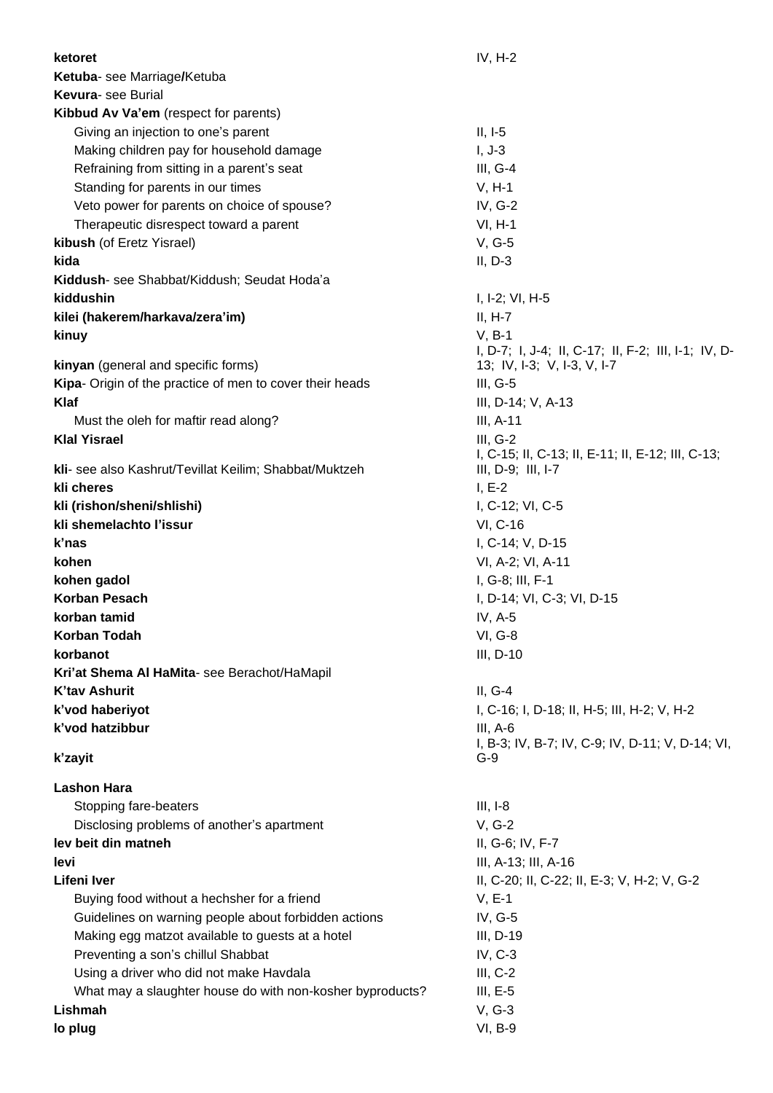| ketoret                                                   | $IV, H-2$                                                      |
|-----------------------------------------------------------|----------------------------------------------------------------|
| Ketuba- see Marriage/Ketuba                               |                                                                |
| <b>Kevura-</b> see Burial                                 |                                                                |
| Kibbud Av Va'em (respect for parents)                     |                                                                |
| Giving an injection to one's parent                       | $II, I-5$                                                      |
| Making children pay for household damage                  | $I, J-3$                                                       |
| Refraining from sitting in a parent's seat                | $III, G-4$                                                     |
| Standing for parents in our times                         | $V, H-1$                                                       |
| Veto power for parents on choice of spouse?               | IV, G-2                                                        |
| Therapeutic disrespect toward a parent                    | $VI, H-1$                                                      |
| kibush (of Eretz Yisrael)                                 | $V, G-5$                                                       |
| kida                                                      | $II, D-3$                                                      |
| Kiddush- see Shabbat/Kiddush; Seudat Hoda'a               |                                                                |
| kiddushin                                                 | I, I-2; VI, H-5                                                |
| kilei (hakerem/harkava/zera'im)                           | $II, H-7$                                                      |
|                                                           | $V, B-1$                                                       |
| kinuy                                                     | I, D-7; I, J-4; II, C-17; II, F-2; III, I-1; IV, D-            |
| kinyan (general and specific forms)                       | 13; IV, I-3; V, I-3, V, I-7                                    |
| Kipa- Origin of the practice of men to cover their heads  | $III, G-5$                                                     |
| Klaf                                                      | III, D-14; V, A-13                                             |
| Must the oleh for maftir read along?                      | $III, A-11$                                                    |
| <b>Klal Yisrael</b>                                       | $III, G-2$                                                     |
|                                                           | I, C-15; II, C-13; II, E-11; II, E-12; III, C-13;              |
| kli- see also Kashrut/Tevillat Keilim; Shabbat/Muktzeh    | $III, D-9; III, I-7$                                           |
| kli cheres                                                | $I, E-2$                                                       |
| kli (rishon/sheni/shlishi)                                | I, C-12; VI, C-5                                               |
| kli shemelachto l'issur                                   | VI, C-16                                                       |
| k'nas                                                     | I, C-14; V, D-15                                               |
| kohen                                                     | VI, A-2; VI, A-11                                              |
| kohen gadol                                               | I, G-8; III, F-1                                               |
| <b>Korban Pesach</b>                                      | I, D-14; VI, C-3; VI, D-15                                     |
| korban tamid                                              | IV, $A-5$                                                      |
| <b>Korban Todah</b>                                       | <b>VI, G-8</b>                                                 |
| korbanot                                                  | III, D-10                                                      |
| Kri'at Shema Al HaMita- see Berachot/HaMapil              |                                                                |
| <b>K'tav Ashurit</b>                                      | $II, G-4$                                                      |
| k'vod haberiyot<br>k'vod hatzibbur                        | I, C-16; I, D-18; II, H-5; III, H-2; V, H-2                    |
|                                                           | $III, A-6$<br>I, B-3; IV, B-7; IV, C-9; IV, D-11; V, D-14; VI, |
| k'zayit                                                   | G-9                                                            |
| <b>Lashon Hara</b>                                        |                                                                |
| Stopping fare-beaters                                     | $III, I-8$                                                     |
| Disclosing problems of another's apartment                | $V, G-2$                                                       |
| lev beit din matneh                                       | II, G-6; IV, F-7                                               |
| levi                                                      | III, A-13; III, A-16                                           |
| <b>Lifeni Iver</b>                                        | II, C-20; II, C-22; II, E-3; V, H-2; V, G-2                    |
| Buying food without a hechsher for a friend               | $V, E-1$                                                       |
| Guidelines on warning people about forbidden actions      | IV, G-5                                                        |
| Making egg matzot available to guests at a hotel          | $III, D-19$                                                    |
| Preventing a son's chillul Shabbat                        | IV, C-3                                                        |
| Using a driver who did not make Havdala                   | $III, C-2$                                                     |
| What may a slaughter house do with non-kosher byproducts? | $III, E-5$                                                     |
| Lishmah                                                   | $V, G-3$                                                       |
| lo plug                                                   | VI, B-9                                                        |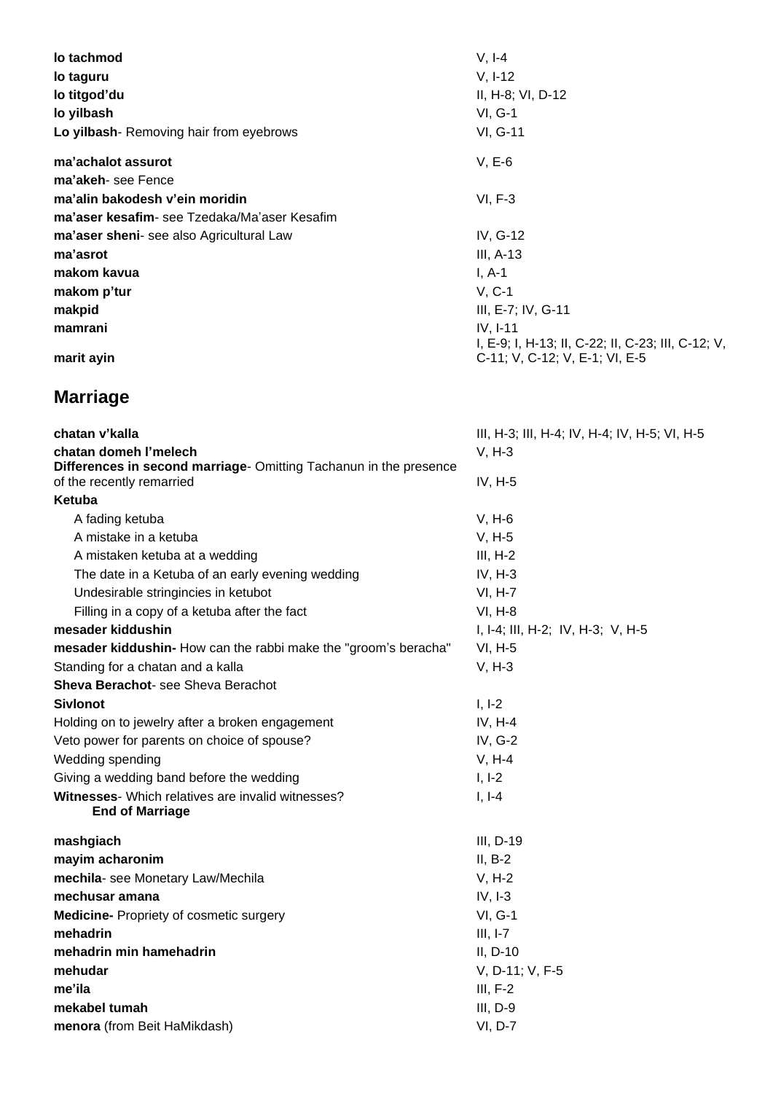| lo tachmod                                   | $V, I-4$                                                         |
|----------------------------------------------|------------------------------------------------------------------|
| lo taguru                                    | $V, I-12$                                                        |
| lo titgod'du                                 | II, H-8; VI, D-12                                                |
| lo yilbash                                   | $VI, G-1$                                                        |
| Lo yilbash- Removing hair from eyebrows      | VI, G-11                                                         |
| ma'achalot assurot                           | $V, E-6$                                                         |
| ma'akeh-see Fence                            |                                                                  |
| ma'alin bakodesh v'ein moridin               | $VI, F-3$                                                        |
| ma'aser kesafim- see Tzedaka/Ma'aser Kesafim |                                                                  |
| ma'aser sheni- see also Agricultural Law     | IV, G-12                                                         |
| ma'asrot                                     | $III, A-13$                                                      |
| makom kavua                                  | $I, A-1$                                                         |
| makom p'tur                                  | $V, C-1$                                                         |
| makpid                                       | III, E-7; IV, G-11                                               |
| mamrani                                      | $IV, I-11$<br>I, E-9; I, H-13; II, C-22; II, C-23; III, C-12; V, |
| marit ayin                                   | C-11; V, C-12; V, E-1; VI, E-5                                   |

# **Marriage**

| chatan v'kalla                                                                                 | III, H-3; III, H-4; IV, H-4; IV, H-5; VI, H-5 |
|------------------------------------------------------------------------------------------------|-----------------------------------------------|
| chatan domeh l'melech                                                                          | $V, H-3$                                      |
| Differences in second marriage- Omitting Tachanun in the presence<br>of the recently remarried | $IV, H-5$                                     |
| Ketuba                                                                                         |                                               |
| A fading ketuba                                                                                | $V, H-6$                                      |
| A mistake in a ketuba                                                                          | $V, H-5$                                      |
| A mistaken ketuba at a wedding                                                                 | $III, H-2$                                    |
| The date in a Ketuba of an early evening wedding                                               | $IV, H-3$                                     |
| Undesirable stringincies in ketubot                                                            | <b>VI, H-7</b>                                |
| Filling in a copy of a ketuba after the fact                                                   | <b>VI, H-8</b>                                |
| mesader kiddushin                                                                              | I, I-4; III, H-2; IV, H-3; V, H-5             |
| mesader kiddushin- How can the rabbi make the "groom's beracha"                                | $VI, H-5$                                     |
| Standing for a chatan and a kalla                                                              | $V, H-3$                                      |
| Sheva Berachot- see Sheva Berachot                                                             |                                               |
| <b>Sivlonot</b>                                                                                | $I, I-2$                                      |
| Holding on to jewelry after a broken engagement                                                | $IV, H-4$                                     |
| Veto power for parents on choice of spouse?                                                    | IV, G-2                                       |
| Wedding spending                                                                               | $V, H-4$                                      |
| Giving a wedding band before the wedding                                                       | $I, I-2$                                      |
| <b>Witnesses-</b> Which relatives are invalid witnesses?<br><b>End of Marriage</b>             | $I, I-4$                                      |
| mashgiach                                                                                      | III, D-19                                     |
| mayim acharonim                                                                                | $II, B-2$                                     |
| mechila- see Monetary Law/Mechila                                                              | $V, H-2$                                      |
| mechusar amana                                                                                 | $IV, I-3$                                     |
| <b>Medicine-</b> Propriety of cosmetic surgery                                                 | $VI, G-1$                                     |
| mehadrin                                                                                       | $III, I-7$                                    |
| mehadrin min hamehadrin                                                                        | $II, D-10$                                    |
| mehudar                                                                                        | V, D-11; V, F-5                               |
| me'ila                                                                                         | $III, F-2$                                    |
| mekabel tumah                                                                                  | $III, D-9$                                    |
| menora (from Beit HaMikdash)                                                                   | VI, D-7                                       |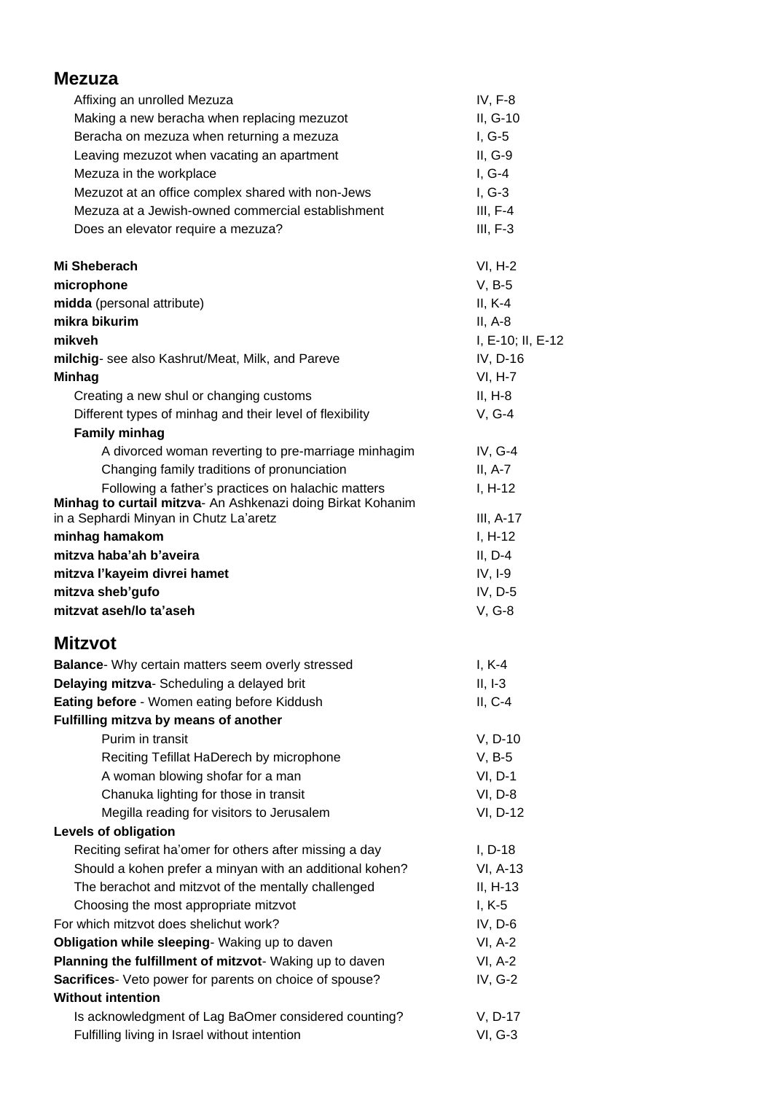| <b>Mezuza</b>                                                                                                       |                       |
|---------------------------------------------------------------------------------------------------------------------|-----------------------|
| Affixing an unrolled Mezuza                                                                                         | $IV, F-8$             |
| Making a new beracha when replacing mezuzot                                                                         | II, G-10              |
| Beracha on mezuza when returning a mezuza                                                                           | $I, G-5$              |
| Leaving mezuzot when vacating an apartment                                                                          | $II, G-9$             |
| Mezuza in the workplace                                                                                             | $I, G-4$              |
| Mezuzot at an office complex shared with non-Jews                                                                   | $I, G-3$              |
| Mezuza at a Jewish-owned commercial establishment                                                                   | $III, F-4$            |
| Does an elevator require a mezuza?                                                                                  | $III, F-3$            |
| <b>Mi Sheberach</b>                                                                                                 | $VI, H-2$             |
| microphone                                                                                                          | $V, B-5$              |
| midda (personal attribute)                                                                                          | $II, K-4$             |
| mikra bikurim                                                                                                       | $II, A-8$             |
| mikveh                                                                                                              | I, E-10; II, E-12     |
| milchig- see also Kashrut/Meat, Milk, and Pareve                                                                    | IV, D-16              |
| <b>Minhag</b>                                                                                                       | VI, H-7               |
| Creating a new shul or changing customs                                                                             | $II, H-8$             |
| Different types of minhag and their level of flexibility                                                            | $V, G-4$              |
| <b>Family minhag</b>                                                                                                |                       |
| A divorced woman reverting to pre-marriage minhagim                                                                 | IV, $G-4$             |
| Changing family traditions of pronunciation                                                                         | $II, A-7$             |
| Following a father's practices on halachic matters                                                                  | $I, H-12$             |
| Minhag to curtail mitzva- An Ashkenazi doing Birkat Kohanim                                                         |                       |
| in a Sephardi Minyan in Chutz La'aretz                                                                              | III, A-17             |
| minhag hamakom                                                                                                      | $I, H-12$             |
| mitzva haba'ah b'aveira                                                                                             | $II, D-4$             |
| mitzva l'kayeim divrei hamet                                                                                        | $IV, I-9$             |
| mitzva sheb'gufo                                                                                                    | IV, D-5               |
| mitzvat aseh/lo ta'aseh                                                                                             | V, G-8                |
| Mitzvot                                                                                                             |                       |
| <b>Balance-</b> Why certain matters seem overly stressed                                                            | $I, K-4$              |
| Delaying mitzva- Scheduling a delayed brit                                                                          | $II, I-3$             |
| Eating before - Women eating before Kiddush<br>Fulfilling mitzva by means of another                                | $II, C-4$             |
| Purim in transit                                                                                                    |                       |
|                                                                                                                     | $V, D-10$<br>$V, B-5$ |
| Reciting Tefillat HaDerech by microphone                                                                            | $VI, D-1$             |
| A woman blowing shofar for a man<br>Chanuka lighting for those in transit                                           | VI, D-8               |
| Megilla reading for visitors to Jerusalem                                                                           | VI, D-12              |
| Levels of obligation                                                                                                |                       |
|                                                                                                                     | $I, D-18$             |
| Reciting sefirat ha'omer for others after missing a day<br>Should a kohen prefer a minyan with an additional kohen? | VI, A-13              |
| The berachot and mitzvot of the mentally challenged                                                                 | $II, H-13$            |
|                                                                                                                     | $I, K-5$              |
| Choosing the most appropriate mitzvot<br>For which mitzvot does shelichut work?                                     | IV, D-6               |
|                                                                                                                     |                       |
| Obligation while sleeping- Waking up to daven                                                                       | $VI, A-2$             |
| Planning the fulfillment of mitzvot- Waking up to daven                                                             | $VI, A-2$             |
| Sacrifices- Veto power for parents on choice of spouse?<br><b>Without intention</b>                                 | IV, G-2               |
|                                                                                                                     |                       |
| Is acknowledgment of Lag BaOmer considered counting?                                                                | V, D-17               |
| Fulfilling living in Israel without intention                                                                       | VI, G-3               |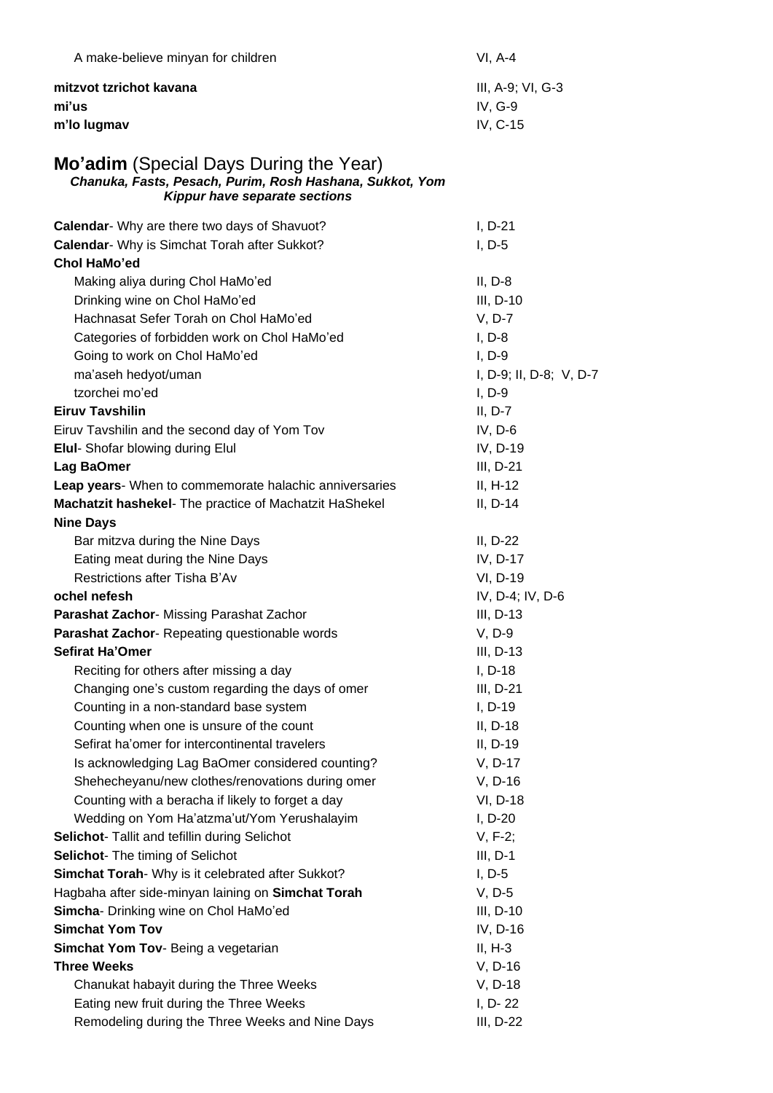| A make-believe minyan for children                                                                                                                | $VI, A-4$               |
|---------------------------------------------------------------------------------------------------------------------------------------------------|-------------------------|
| mitzvot tzrichot kavana                                                                                                                           | III, A-9; VI, G-3       |
| mi'us                                                                                                                                             | IV, G-9                 |
| m'lo lugmav                                                                                                                                       | IV, C-15                |
| <b>Mo'adim</b> (Special Days During the Year)<br>Chanuka, Fasts, Pesach, Purim, Rosh Hashana, Sukkot, Yom<br><b>Kippur have separate sections</b> |                         |
| Calendar- Why are there two days of Shavuot?                                                                                                      | $I, D-21$               |
| Calendar- Why is Simchat Torah after Sukkot?<br>Chol HaMo'ed                                                                                      | $I, D-5$                |
| Making aliya during Chol HaMo'ed                                                                                                                  | $II, D-8$               |
| Drinking wine on Chol HaMo'ed                                                                                                                     | $III, D-10$             |
| Hachnasat Sefer Torah on Chol HaMo'ed                                                                                                             | $V, D-7$                |
| Categories of forbidden work on Chol HaMo'ed                                                                                                      | $I, D-8$                |
| Going to work on Chol HaMo'ed                                                                                                                     | $I, D-9$                |
| ma'aseh hedyot/uman                                                                                                                               | I, D-9; II, D-8; V, D-7 |
| tzorchei mo'ed                                                                                                                                    | $I, D-9$                |
| <b>Eiruv Tavshilin</b>                                                                                                                            | $II, D-7$               |
| Eiruv Tavshilin and the second day of Yom Tov                                                                                                     | IV, D-6                 |
| <b>Elul-</b> Shofar blowing during Elul                                                                                                           | IV, D-19                |
| Lag BaOmer                                                                                                                                        | III, D-21               |
| Leap years- When to commemorate halachic anniversaries                                                                                            | $II, H-12$              |
| Machatzit hashekel- The practice of Machatzit HaShekel                                                                                            | $II, D-14$              |
| <b>Nine Days</b>                                                                                                                                  |                         |
| Bar mitzva during the Nine Days                                                                                                                   | $II, D-22$              |
| Eating meat during the Nine Days                                                                                                                  | IV, D-17                |
| Restrictions after Tisha B'Av                                                                                                                     | VI, D-19                |
| ochel nefesh                                                                                                                                      | IV, D-4; IV, D-6        |
| Parashat Zachor- Missing Parashat Zachor                                                                                                          | III, D-13               |
| Parashat Zachor- Repeating questionable words                                                                                                     | V, D-9                  |
| Sefirat Ha'Omer                                                                                                                                   | $III, D-13$             |
| Reciting for others after missing a day                                                                                                           | $I, D-18$               |
| Changing one's custom regarding the days of omer                                                                                                  | $III, D-21$             |
| Counting in a non-standard base system                                                                                                            | I, D-19                 |
| Counting when one is unsure of the count                                                                                                          | II, D-18                |
| Sefirat ha'omer for intercontinental travelers<br>Is acknowledging Lag BaOmer considered counting?                                                | $II, D-19$<br>V, D-17   |
| Shehecheyanu/new clothes/renovations during omer                                                                                                  | V, D-16                 |
| Counting with a beracha if likely to forget a day                                                                                                 | VI, D-18                |
| Wedding on Yom Ha'atzma'ut/Yom Yerushalayim                                                                                                       | $I, D-20$               |
| Selichot- Tallit and tefillin during Selichot                                                                                                     | $V, F-2;$               |
| Selichot- The timing of Selichot                                                                                                                  | $III, D-1$              |
| Simchat Torah- Why is it celebrated after Sukkot?                                                                                                 | $I, D-5$                |
| Hagbaha after side-minyan laining on Simchat Torah                                                                                                | $V, D-5$                |
| Simcha- Drinking wine on Chol HaMo'ed                                                                                                             | $III, D-10$             |
| <b>Simchat Yom Tov</b>                                                                                                                            | IV, D-16                |
| Simchat Yom Tov- Being a vegetarian                                                                                                               | $II, H-3$               |
| <b>Three Weeks</b>                                                                                                                                | V, D-16                 |
| Chanukat habayit during the Three Weeks                                                                                                           | V, D-18                 |
| Eating new fruit during the Three Weeks                                                                                                           | I, D-22                 |
| Remodeling during the Three Weeks and Nine Days                                                                                                   | III, D-22               |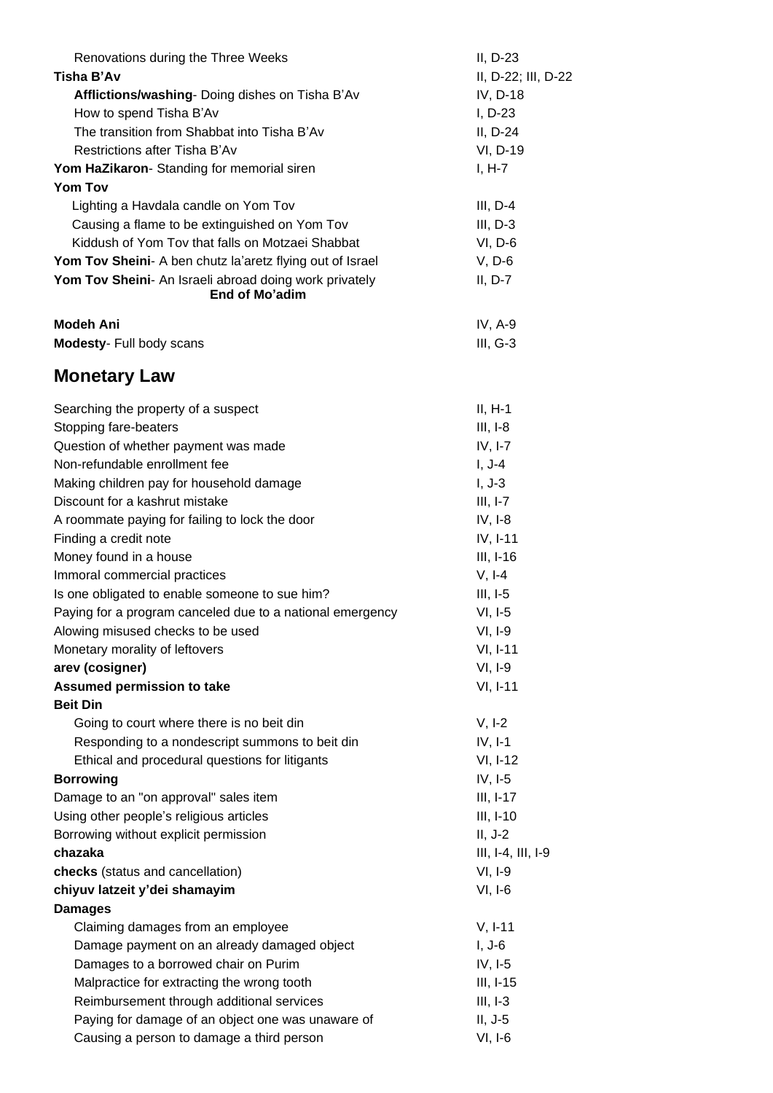| Renovations during the Three Weeks                        | II, D-23            |
|-----------------------------------------------------------|---------------------|
| Tisha B'Av                                                | II, D-22; III, D-22 |
| Afflictions/washing- Doing dishes on Tisha B'Av           | IV, D-18            |
| How to spend Tisha B'Av                                   | $I, D-23$           |
| The transition from Shabbat into Tisha B'Av               | $II, D-24$          |
| Restrictions after Tisha B'Av                             | VI, D-19            |
| Yom HaZikaron- Standing for memorial siren                | $I, H-7$            |
| <b>Yom Tov</b>                                            |                     |
| Lighting a Havdala candle on Yom Tov                      | $III, D-4$          |
| Causing a flame to be extinguished on Yom Tov             | $III, D-3$          |
| Kiddush of Yom Tov that falls on Motzaei Shabbat          | $VI, D-6$           |
| Yom Tov Sheini- A ben chutz la'aretz flying out of Israel | $V, D-6$            |
| Yom Tov Sheini- An Israeli abroad doing work privately    | $II, D-7$           |
| End of Mo'adim                                            |                     |
| <b>Modeh Ani</b>                                          | IV, $A-9$           |
| Modesty- Full body scans                                  | $III, G-3$          |
|                                                           |                     |
| <b>Monetary Law</b>                                       |                     |
| Searching the property of a suspect                       | $II, H-1$           |
| Stopping fare-beaters                                     | $III, I-8$          |
| Question of whether payment was made                      | $IV, I-7$           |
| Non-refundable enrollment fee                             | $I, J-4$            |
| Making children pay for household damage                  | $I, J-3$            |
| Discount for a kashrut mistake                            | $III, I-7$          |
| A roommate paying for failing to lock the door            | $IV, I-8$           |
| Finding a credit note                                     | IV, I-11            |
| Money found in a house                                    | $III, I-16$         |
| Immoral commercial practices                              | $V, I-4$            |
| Is one obligated to enable someone to sue him?            | $III, I-5$          |
| Paying for a program canceled due to a national emergency | $VI, I-5$           |
| Alowing misused checks to be used                         | $VI, I-9$           |
| Monetary morality of leftovers                            | VI, I-11            |
| arev (cosigner)                                           | $VI, I-9$           |
| <b>Assumed permission to take</b>                         | VI, I-11            |
| <b>Beit Din</b>                                           |                     |
| Going to court where there is no beit din                 | $V, I-2$            |
| Responding to a nondescript summons to beit din           | $IV, I-1$           |
| Ethical and procedural questions for litigants            | VI, I-12            |
| <b>Borrowing</b>                                          | $IV, I-5$           |
| Damage to an "on approval" sales item                     | $III, I-17$         |
| Using other people's religious articles                   | III, I-10           |
| Borrowing without explicit permission                     | $II, J-2$           |
| chazaka                                                   | III, I-4, III, I-9  |
| checks (status and cancellation)                          | $VI, I-9$           |
|                                                           | $VI, I-6$           |
| chiyuv latzeit y'dei shamayim                             |                     |
| <b>Damages</b>                                            |                     |
| Claiming damages from an employee                         | $V, I-11$           |
| Damage payment on an already damaged object               | $I, J-6$            |
| Damages to a borrowed chair on Purim                      | $IV, I-5$           |
| Malpractice for extracting the wrong tooth                | $III, I-15$         |
| Reimbursement through additional services                 | $III, I-3$          |
| Paying for damage of an object one was unaware of         | $II, J-5$           |
| Causing a person to damage a third person                 | $VI, I-6$           |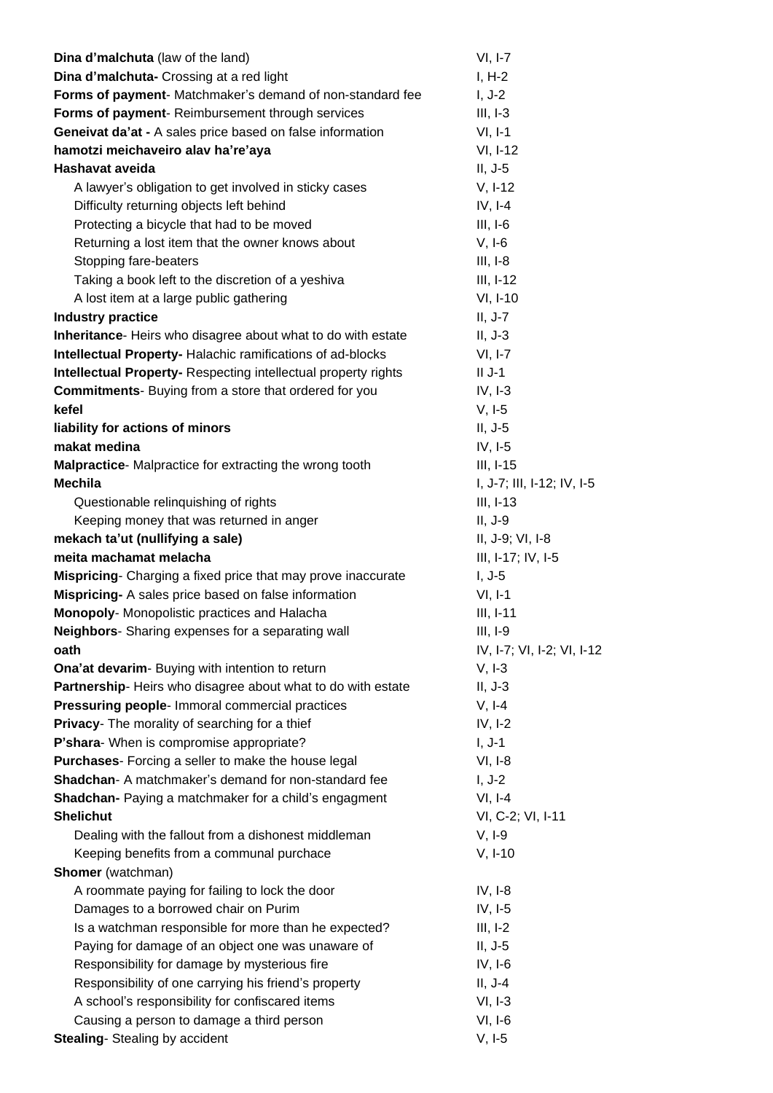| Dina d'malchuta (law of the land)                                     | $VI, I-7$                  |
|-----------------------------------------------------------------------|----------------------------|
| Dina d'malchuta- Crossing at a red light                              | $I, H-2$                   |
| Forms of payment- Matchmaker's demand of non-standard fee             | $I, J-2$                   |
| Forms of payment- Reimbursement through services                      | $III, I-3$                 |
| Geneivat da'at - A sales price based on false information             | $VI, I-1$                  |
| hamotzi meichaveiro alav ha're'aya                                    | VI, I-12                   |
| Hashavat aveida                                                       | $II, J-5$                  |
| A lawyer's obligation to get involved in sticky cases                 | $V, I-12$                  |
| Difficulty returning objects left behind                              | $IV, I-4$                  |
| Protecting a bicycle that had to be moved                             | $III, I-6$                 |
| Returning a lost item that the owner knows about                      | $V, I-6$                   |
| Stopping fare-beaters                                                 | $III, I-8$                 |
| Taking a book left to the discretion of a yeshiva                     | $III, I-12$                |
| A lost item at a large public gathering                               | VI, I-10                   |
| <b>Industry practice</b>                                              | $II, J-7$                  |
| Inheritance- Heirs who disagree about what to do with estate          | $II, J-3$                  |
| Intellectual Property-Halachic ramifications of ad-blocks             | $VI, I-7$                  |
| <b>Intellectual Property- Respecting intellectual property rights</b> | $II$ J-1                   |
| <b>Commitments-</b> Buying from a store that ordered for you          | $IV, I-3$                  |
| kefel                                                                 | $V, I-5$                   |
| liability for actions of minors                                       | $II, J-5$                  |
| makat medina                                                          | $IV, I-5$                  |
| Malpractice-Malpractice for extracting the wrong tooth                | $III, I-15$                |
| <b>Mechila</b>                                                        | I, J-7; III, I-12; IV, I-5 |
| Questionable relinquishing of rights                                  | $III, I-13$                |
| Keeping money that was returned in anger                              | $II, J-9$                  |
| mekach ta'ut (nullifying a sale)                                      | II, J-9; VI, I-8           |
| meita machamat melacha                                                | III, I-17; IV, I-5         |
| Mispricing- Charging a fixed price that may prove inaccurate          | $I, J-5$                   |
| Mispricing- A sales price based on false information                  | $VI, I-1$                  |
| Monopoly- Monopolistic practices and Halacha                          | $III, I-11$                |
| Neighbors- Sharing expenses for a separating wall                     | $III, I-9$                 |
| oath                                                                  | IV, I-7; VI, I-2; VI, I-12 |
| Ona'at devarim- Buying with intention to return                       | $V, I-3$                   |
| Partnership-Heirs who disagree about what to do with estate           | $II, J-3$                  |
| Pressuring people- Immoral commercial practices                       | $V, I-4$                   |
| Privacy- The morality of searching for a thief                        | $IV, I-2$                  |
| P'shara- When is compromise appropriate?                              | $I, J-1$                   |
| Purchases- Forcing a seller to make the house legal                   | $VI, I-8$                  |
| Shadchan- A matchmaker's demand for non-standard fee                  | $I, J-2$                   |
| Shadchan- Paying a matchmaker for a child's engagment                 | $VI, I-4$                  |
| <b>Shelichut</b>                                                      | VI, C-2; VI, I-11          |
| Dealing with the fallout from a dishonest middleman                   | $V, I-9$                   |
| Keeping benefits from a communal purchace                             | $V, I-10$                  |
| Shomer (watchman)                                                     |                            |
| A roommate paying for failing to lock the door                        | $IV, I-8$                  |
| Damages to a borrowed chair on Purim                                  | $IV, I-5$                  |
| Is a watchman responsible for more than he expected?                  | $III, I-2$                 |
| Paying for damage of an object one was unaware of                     | $II, J-5$                  |
| Responsibility for damage by mysterious fire                          | $IV, I-6$                  |
| Responsibility of one carrying his friend's property                  | $II, J-4$                  |
| A school's responsibility for confiscared items                       | $VI, I-3$                  |
| Causing a person to damage a third person                             | $VI, I-6$                  |
| <b>Stealing-</b> Stealing by accident                                 | $V, I-5$                   |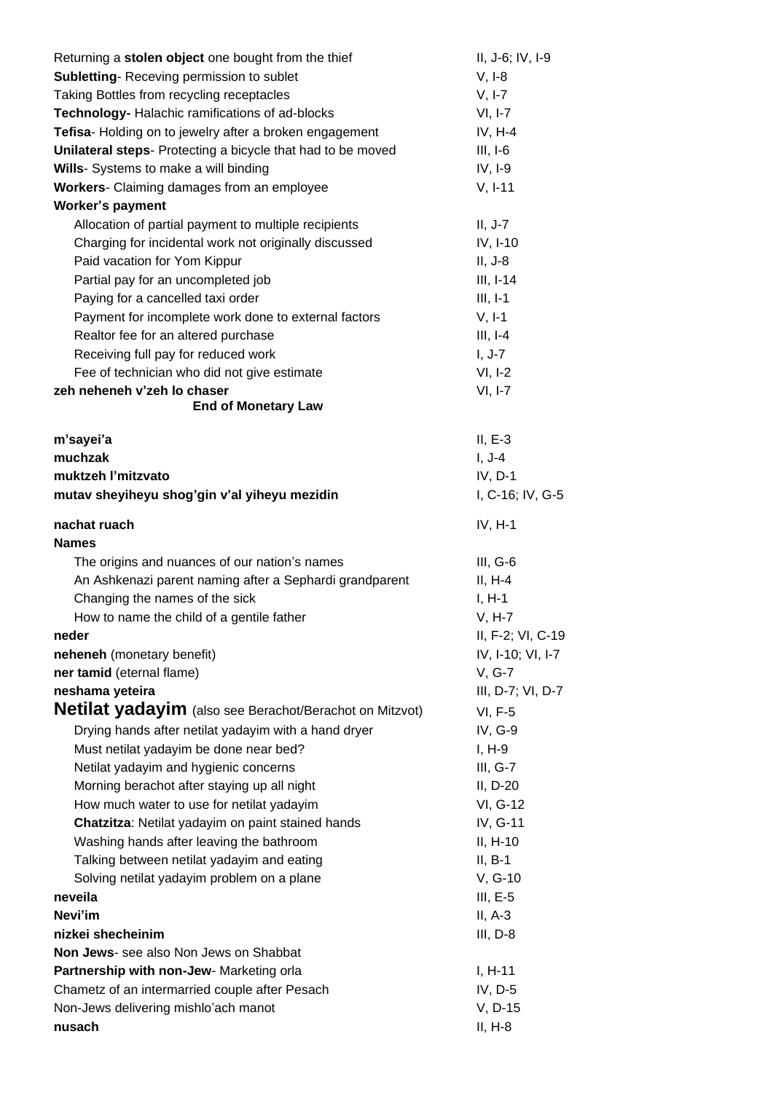| Returning a stolen object one bought from the thief         | II, J-6; IV, I-9     |
|-------------------------------------------------------------|----------------------|
| <b>Subletting-Receving permission to sublet</b>             | $V, I-8$             |
| Taking Bottles from recycling receptacles                   | $V, I-7$             |
| Technology- Halachic ramifications of ad-blocks             | $VI, I-7$            |
| Tefisa- Holding on to jewelry after a broken engagement     | $IV, H-4$            |
| Unilateral steps- Protecting a bicycle that had to be moved | $III, I-6$           |
| Wills- Systems to make a will binding                       | $IV, I-9$            |
| Workers- Claiming damages from an employee                  | $V, I-11$            |
| <b>Worker's payment</b>                                     |                      |
| Allocation of partial payment to multiple recipients        | $II, J-7$            |
| Charging for incidental work not originally discussed       | IV, I-10             |
| Paid vacation for Yom Kippur                                | $II, J-8$            |
| Partial pay for an uncompleted job                          | $III, I-14$          |
| Paying for a cancelled taxi order                           | $III, I-1$           |
| Payment for incomplete work done to external factors        | $V, I-1$             |
| Realtor fee for an altered purchase                         | $III, I-4$           |
| Receiving full pay for reduced work                         | $I, J-7$             |
| Fee of technician who did not give estimate                 | $VI, I-2$            |
| zeh neheneh v'zeh lo chaser                                 | $VI, I-7$            |
| <b>End of Monetary Law</b>                                  |                      |
| m'sayei'a                                                   | $II, E-3$            |
| muchzak                                                     | $I, J-4$             |
| muktzeh l'mitzvato                                          | IV, D-1              |
| mutav sheyiheyu shog'gin v'al yiheyu mezidin                | I, C-16; IV, G-5     |
| nachat ruach                                                | $IV, H-1$            |
| <b>Names</b>                                                |                      |
| The origins and nuances of our nation's names               | $III, G-6$           |
| An Ashkenazi parent naming after a Sephardi grandparent     | $II, H-4$            |
| Changing the names of the sick                              | $I, H-1$             |
| How to name the child of a gentile father                   | $V, H-7$             |
| neder                                                       | II, F-2; VI, C-19    |
| neheneh (monetary benefit)                                  | IV, I-10; VI, I-7    |
| ner tamid (eternal flame)                                   | V, G-7               |
| neshama yeteira                                             | III, D-7; VI, D-7    |
| Netilat yadayim (also see Berachot/Berachot on Mitzvot)     | <b>VI, F-5</b>       |
| Drying hands after netilat yadayim with a hand dryer        | IV, G-9              |
| Must netilat yadayim be done near bed?                      | $I, H-9$             |
| Netilat yadayim and hygienic concerns                       | $III, G-7$           |
| Morning berachot after staying up all night                 | II, D-20             |
| How much water to use for netilat yadayim                   | VI, G-12             |
| Chatzitza: Netilat yadayim on paint stained hands           | IV, G-11             |
| Washing hands after leaving the bathroom                    | $II, H-10$           |
| Talking between netilat yadayim and eating                  | $II, B-1$            |
| Solving netilat yadayim problem on a plane                  | $V, G-10$            |
| neveila                                                     | $III, E-5$           |
| Nevi'im                                                     | $II, A-3$            |
| nizkei shecheinim                                           | $III, D-8$           |
| Non Jews- see also Non Jews on Shabbat                      |                      |
| Partnership with non-Jew- Marketing orla                    | $I, H-11$            |
|                                                             |                      |
| Chametz of an intermarried couple after Pesach              | IV, D-5              |
| Non-Jews delivering mishlo'ach manot<br>nusach              | V, D-15<br>$II, H-8$ |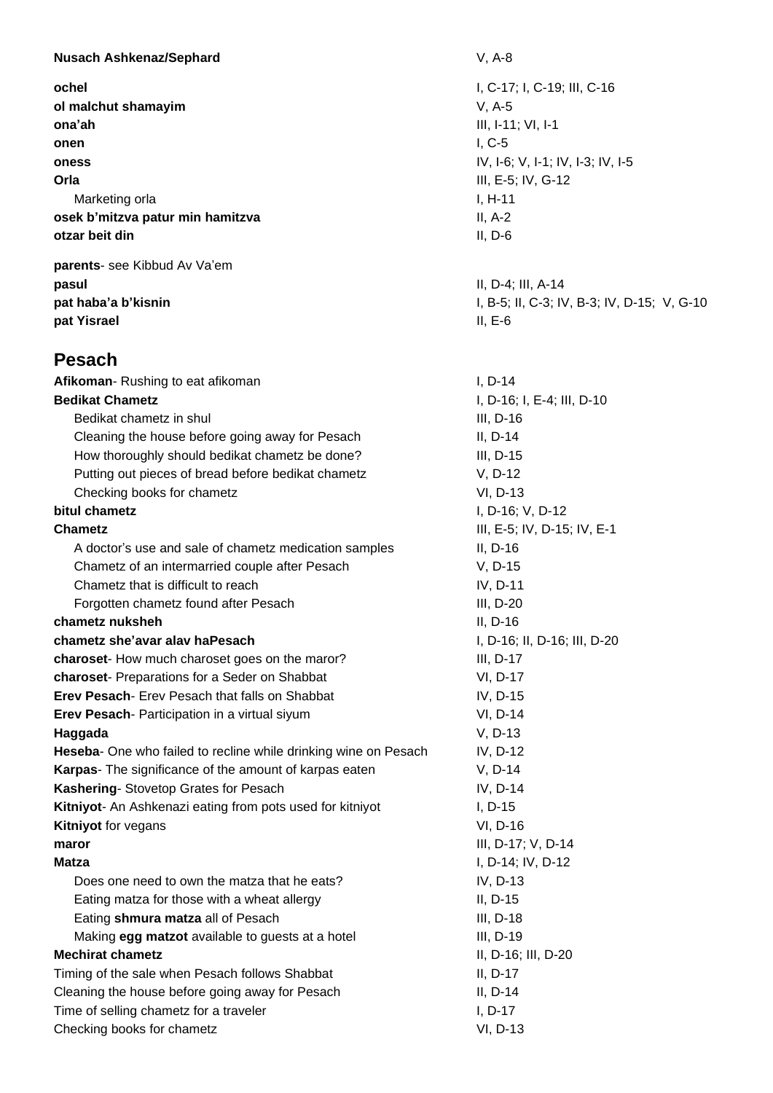| <b>Nusach Ashkenaz/Sephard</b>                                  | $V, A-8$                                    |
|-----------------------------------------------------------------|---------------------------------------------|
| ochel                                                           | I, C-17; I, C-19; III, C-16                 |
| ol malchut shamayim                                             | $V, A-5$                                    |
| ona'ah                                                          | III, I-11; VI, I-1                          |
| onen                                                            | $I, C-5$                                    |
| oness                                                           | IV, I-6; V, I-1; IV, I-3; IV, I-5           |
| Orla                                                            | III, E-5; IV, G-12                          |
| Marketing orla                                                  | $I, H-11$                                   |
| osek b'mitzva patur min hamitzva                                | $II, A-2$                                   |
| otzar beit din                                                  | $II, D-6$                                   |
| parents- see Kibbud Av Va'em                                    |                                             |
| pasul                                                           | II, D-4; III, A-14                          |
| pat haba'a b'kisnin                                             | I, B-5; II, C-3; IV, B-3; IV, D-15; V, G-10 |
| pat Yisrael                                                     | $II, E-6$                                   |
| <b>Pesach</b>                                                   |                                             |
| Afikoman-Rushing to eat afikoman                                | $I, D-14$                                   |
| <b>Bedikat Chametz</b>                                          | I, D-16; I, E-4; III, D-10                  |
| Bedikat chametz in shul                                         | III, D-16                                   |
| Cleaning the house before going away for Pesach                 | $II, D-14$                                  |
| How thoroughly should bedikat chametz be done?                  | $III, D-15$                                 |
| Putting out pieces of bread before bedikat chametz              | V, D-12                                     |
| Checking books for chametz                                      | VI, D-13                                    |
| bitul chametz                                                   | I, D-16; V, D-12                            |
| <b>Chametz</b>                                                  | III, E-5; IV, D-15; IV, E-1                 |
| A doctor's use and sale of chametz medication samples           | II, D-16                                    |
| Chametz of an intermarried couple after Pesach                  | V, D-15                                     |
| Chametz that is difficult to reach                              | IV, D-11                                    |
| Forgotten chametz found after Pesach                            | III, D-20                                   |
| chametz nuksheh                                                 | II, D-16                                    |
| chametz she'avar alay haPesach                                  | I, D-16; II, D-16; III, D-20                |
| charoset- How much charoset goes on the maror?                  | III, D-17                                   |
| charoset- Preparations for a Seder on Shabbat                   | VI, D-17                                    |
| Erev Pesach- Erev Pesach that falls on Shabbat                  | IV, D-15                                    |
| Erev Pesach- Participation in a virtual siyum                   | VI, D-14                                    |
| Haggada                                                         | V, D-13                                     |
| Heseba- One who failed to recline while drinking wine on Pesach | IV, D-12                                    |
| <b>Karpas-</b> The significance of the amount of karpas eaten   | $V, D-14$                                   |
| Kashering- Stovetop Grates for Pesach                           | IV, D-14                                    |
| Kitniyot- An Ashkenazi eating from pots used for kitniyot       | $I, D-15$                                   |
| <b>Kitniyot for vegans</b>                                      | VI, D-16                                    |
| maror                                                           | III, D-17; V, D-14                          |
| <b>Matza</b>                                                    | I, D-14; IV, D-12                           |
| Does one need to own the matza that he eats?                    | IV, D-13                                    |
| Eating matza for those with a wheat allergy                     | $II, D-15$                                  |
| Eating shmura matza all of Pesach                               | III, D-18                                   |
| Making egg matzot available to guests at a hotel                | III, D-19                                   |
| <b>Mechirat chametz</b>                                         | II, D-16; III, D-20                         |
| Timing of the sale when Pesach follows Shabbat                  | II, D-17                                    |
| Cleaning the house before going away for Pesach                 | II, $D-14$                                  |
| Time of selling chametz for a traveler                          | I, D-17                                     |
| Checking books for chametz                                      | VI, D-13                                    |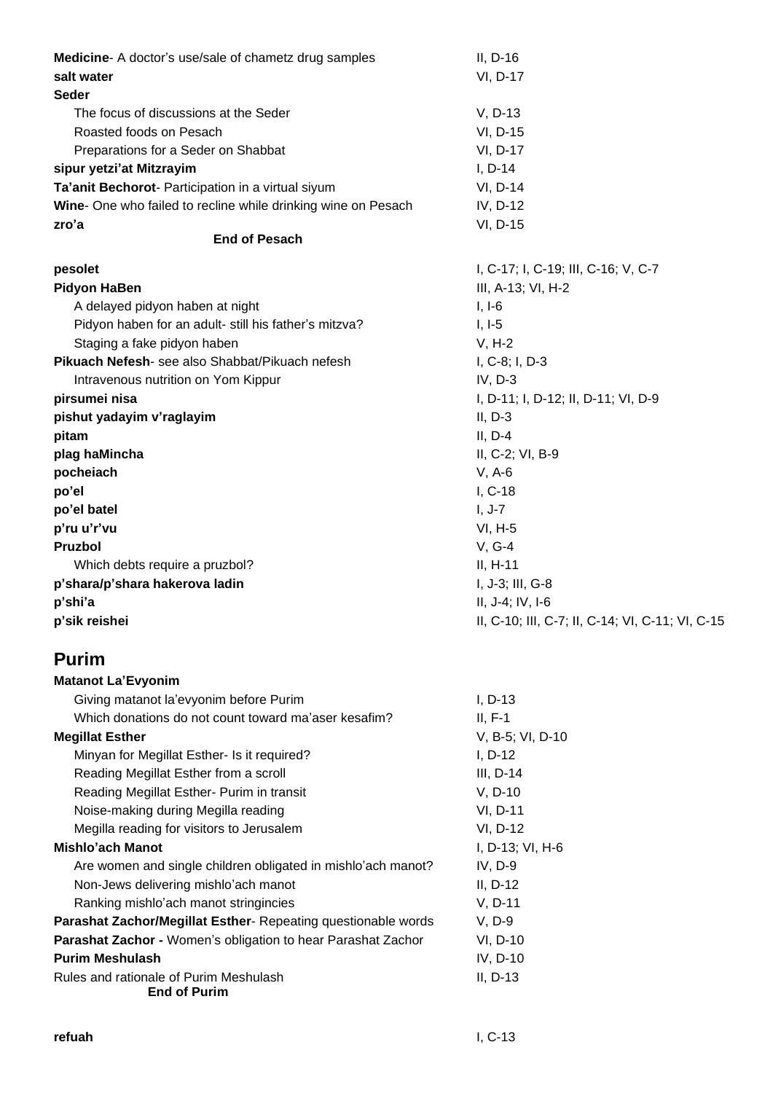| Medicine-A doctor's use/sale of chametz drug samples          | $II, D-16$                                       |
|---------------------------------------------------------------|--------------------------------------------------|
| salt water                                                    | VI, D-17                                         |
| <b>Seder</b>                                                  |                                                  |
| The focus of discussions at the Seder                         | V, D-13                                          |
| Roasted foods on Pesach                                       | VI, D-15                                         |
| Preparations for a Seder on Shabbat                           | VI, D-17                                         |
| sipur yetzi'at Mitzrayim                                      | $I, D-14$                                        |
| Ta'anit Bechorot- Participation in a virtual siyum            | VI, D-14                                         |
| Wine- One who failed to recline while drinking wine on Pesach | IV, D-12                                         |
| zro'a<br><b>End of Pesach</b>                                 | VI, D-15                                         |
|                                                               |                                                  |
| pesolet                                                       | I, C-17; I, C-19; III, C-16; V, C-7              |
| <b>Pidyon HaBen</b>                                           | III, A-13; VI, H-2                               |
| A delayed pidyon haben at night                               | $I, I-6$                                         |
| Pidyon haben for an adult- still his father's mitzva?         | $I, I-5$                                         |
| Staging a fake pidyon haben                                   | $V, H-2$                                         |
| Pikuach Nefesh- see also Shabbat/Pikuach nefesh               | I, C-8; I, D-3                                   |
| Intravenous nutrition on Yom Kippur                           | $IV, D-3$                                        |
| pirsumei nisa                                                 | I, D-11; I, D-12; II, D-11; VI, D-9              |
| pishut yadayim v'raglayim                                     | $II, D-3$                                        |
| pitam                                                         | $II, D-4$                                        |
| plag haMincha                                                 | II, C-2; VI, B-9                                 |
| pocheiach                                                     | $V, A-6$                                         |
| po'el                                                         | $I, C-18$                                        |
| po'el batel                                                   | $I, J-7$                                         |
| p'ru u'r'vu                                                   | $VI, H-5$                                        |
| Pruzbol                                                       | $V, G-4$                                         |
| Which debts require a pruzbol?                                | $II, H-11$                                       |
| p'shara/p'shara hakerova ladin                                | I, J-3; III, G-8                                 |
| p'shi'a                                                       | II, J-4; IV, I-6                                 |
| p'sik reishei                                                 | II, C-10; III, C-7; II, C-14; VI, C-11; VI, C-15 |
| <b>Purim</b>                                                  |                                                  |
| <b>Matanot La'Evyonim</b>                                     |                                                  |
| Giving matanot la'evyonim before Purim                        | $I, D-13$                                        |
| Which donations do not count toward ma'aser kesafim?          | $II, F-1$                                        |
| <b>Megillat Esther</b>                                        | V, B-5; VI, D-10                                 |
| Minyan for Megillat Esther- Is it required?                   | $I, D-12$                                        |
| Reading Megillat Esther from a scroll                         | III, D-14                                        |
| Reading Megillat Esther- Purim in transit                     | V, D-10                                          |
| Noise-making during Megilla reading                           | VI, D-11                                         |
| Megilla reading for visitors to Jerusalem                     | VI, D-12                                         |
| Mishlo'ach Manot                                              | I, D-13; VI, H-6                                 |
| Are women and single children obligated in mishlo'ach manot?  | $IV, D-9$                                        |
| Non-Jews delivering mishlo'ach manot                          | $II, D-12$                                       |
| Ranking mishlo'ach manot stringincies                         | $V, D-11$                                        |
| Parashat Zachor/Megillat Esther- Repeating questionable words | $V, D-9$                                         |
| Parashat Zachor - Women's obligation to hear Parashat Zachor  | VI, D-10                                         |
| <b>Purim Meshulash</b>                                        | IV, D-10                                         |
| Rules and rationale of Purim Meshulash<br><b>End of Purim</b> | II, D-13                                         |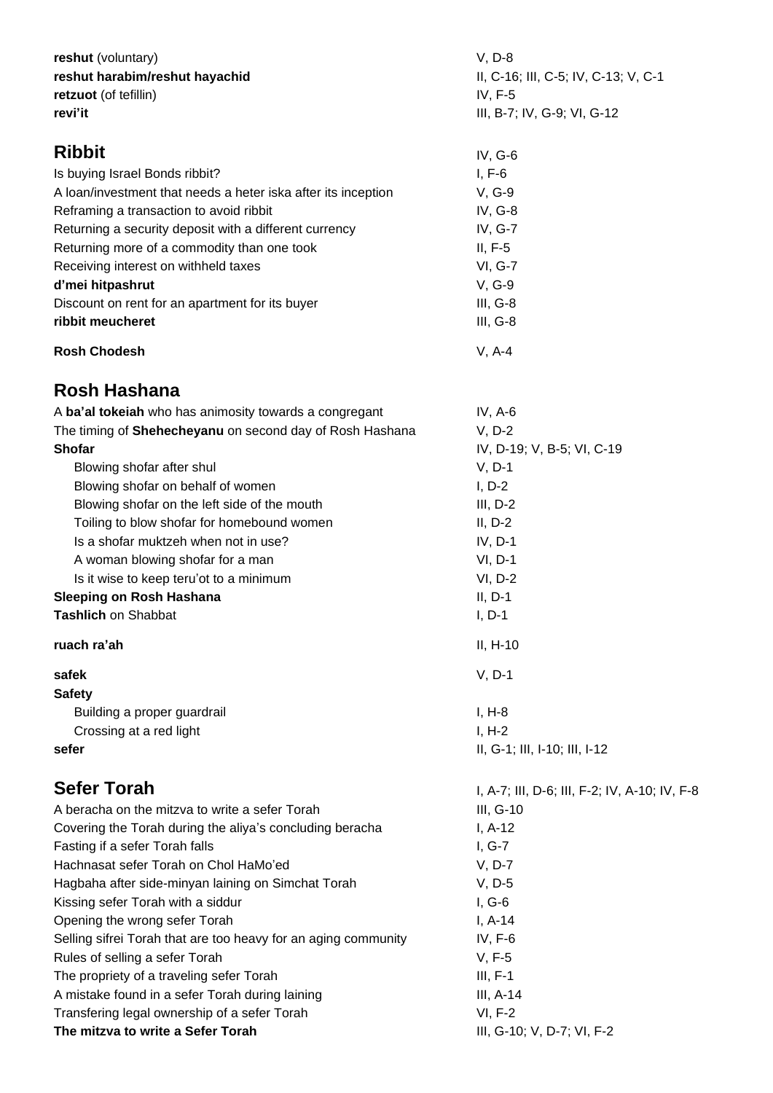| reshut (voluntary)                                             | $V, D-8$                                        |  |
|----------------------------------------------------------------|-------------------------------------------------|--|
| reshut harabim/reshut hayachid                                 | II, C-16; III, C-5; IV, C-13; V, C-1<br>IV, F-5 |  |
| retzuot (of tefillin)                                          |                                                 |  |
| revi'it                                                        | III, B-7; IV, G-9; VI, G-12                     |  |
| <b>Ribbit</b>                                                  | $IV, G-6$                                       |  |
| Is buying Israel Bonds ribbit?                                 | $I, F-6$                                        |  |
| A loan/investment that needs a heter iska after its inception  | V, G-9                                          |  |
| Reframing a transaction to avoid ribbit                        | IV, G-8                                         |  |
| Returning a security deposit with a different currency         | IV, G-7                                         |  |
| Returning more of a commodity than one took                    | $II, F-5$                                       |  |
| Receiving interest on withheld taxes                           | <b>VI, G-7</b>                                  |  |
| d'mei hitpashrut                                               | V, G-9                                          |  |
| Discount on rent for an apartment for its buyer                | $III, G-8$                                      |  |
| ribbit meucheret                                               | III, G-8                                        |  |
| <b>Rosh Chodesh</b>                                            | $V, A-4$                                        |  |
| Rosh Hashana                                                   |                                                 |  |
| A ba'al tokeiah who has animosity towards a congregant         | IV, $A-6$                                       |  |
| The timing of Shehecheyanu on second day of Rosh Hashana       | $V, D-2$                                        |  |
| <b>Shofar</b>                                                  | IV, D-19; V, B-5; VI, C-19                      |  |
| Blowing shofar after shul                                      | $V, D-1$                                        |  |
| Blowing shofar on behalf of women                              | $I, D-2$                                        |  |
| Blowing shofar on the left side of the mouth                   | $III, D-2$                                      |  |
| Toiling to blow shofar for homebound women                     | $II, D-2$                                       |  |
| Is a shofar muktzeh when not in use?                           |                                                 |  |
|                                                                | $IV, D-1$                                       |  |
| A woman blowing shofar for a man                               | $VI, D-1$                                       |  |
| Is it wise to keep teru'ot to a minimum                        | $VI, D-2$                                       |  |
| <b>Sleeping on Rosh Hashana</b>                                | $II, D-1$                                       |  |
| Tashlich on Shabbat                                            | $I, D-1$                                        |  |
| ruach ra'ah                                                    | II, H-10                                        |  |
| safek                                                          | $V, D-1$                                        |  |
| <b>Safety</b>                                                  |                                                 |  |
| Building a proper guardrail                                    | $I, H-8$                                        |  |
| Crossing at a red light                                        | $I, H-2$                                        |  |
| sefer                                                          | II, G-1; III, I-10; III, I-12                   |  |
| <b>Sefer Torah</b>                                             | I, A-7; III, D-6; III, F-2; IV, A-10; IV, F-8   |  |
| A beracha on the mitzva to write a sefer Torah                 | III, G-10                                       |  |
| Covering the Torah during the aliya's concluding beracha       | $I, A-12$                                       |  |
| Fasting if a sefer Torah falls                                 | I, G-7                                          |  |
| Hachnasat sefer Torah on Chol HaMo'ed                          | $V, D-7$                                        |  |
| Hagbaha after side-minyan laining on Simchat Torah             | $V, D-5$                                        |  |
| Kissing sefer Torah with a siddur                              | $I, G-6$                                        |  |
| Opening the wrong sefer Torah                                  | $I, A-14$                                       |  |
| Selling sifrei Torah that are too heavy for an aging community | $IV, F-6$                                       |  |
| Rules of selling a sefer Torah                                 | $V, F-5$                                        |  |
| The propriety of a traveling sefer Torah                       | $III, F-1$                                      |  |
| A mistake found in a sefer Torah during laining                | $III, A-14$                                     |  |
| Transfering legal ownership of a sefer Torah                   | $VI, F-2$                                       |  |
| The mitzva to write a Sefer Torah                              | III, G-10; V, D-7; VI, F-2                      |  |
|                                                                |                                                 |  |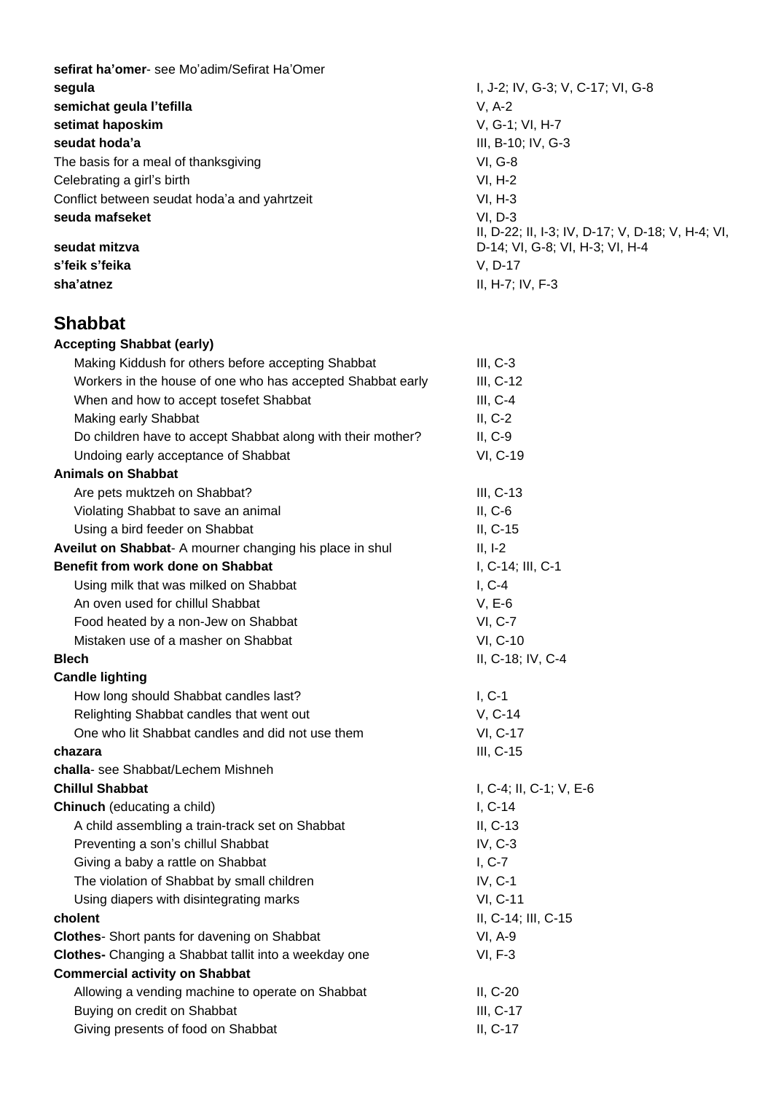**sefirat ha'omer**- see Mo'adim/Sefirat Ha'Omer **segula** I, J-2; IV, G-3; V, C-17; VI, G-8 **semichat geula l'tefilla** V, A-2 **setimat haposkim** V, G-1; VI, H-7 **seudat hoda'a** III, B-10; IV, G-3 The basis for a meal of thanksgiving VI, G-8 Celebrating a girl's birth VI, H-2 Conflict between seudat hoda'a and yahrtzeit VI, H-3 **seuda mafseket** VI, D-3

**s'feik s'feika** V, D-17 **sha'atnez** II, H-7; IV, F-3

#### **Shabbat**

**Accepting Shabbat (early)** Making Kiddush for others before accepting Shabbat III, C-3 Workers in the house of one who has accepted Shabbat early **III, C-12** When and how to accept tosefet Shabbat III, C-4 Making early Shabbat **II**, C-2 Do children have to accept Shabbat along with their mother? II, C-9 Undoing early acceptance of Shabbat VI, C-19 **Animals on Shabbat** Are pets muktzeh on Shabbat? III, C-13 Violating Shabbat to save an animal II, C-6 Using a bird feeder on Shabbat II, C-15 **Aveilut on Shabbat**- A mourner changing his place in shul II, I-2 **Benefit from work done on Shabbat** I, C-14; III, C-1 Using milk that was milked on Shabbat I, C-4 An oven used for chillul Shabbat V, E-6 Food heated by a non-Jew on Shabbat VI, C-7 Mistaken use of a masher on Shabbat VI, C-10 **Blech** II, C-18; IV, C-4 **Candle lighting** How long should Shabbat candles last? I, C-1 Relighting Shabbat candles that went out V, C-14 One who lit Shabbat candles and did not use them VI, C-17 **chazara** III, C-15 **challa**- see Shabbat/Lechem Mishneh **Chillul Shabbat** I, C-4; II, C-1; V, E-6 **Chinuch** (educating a child) **I**, C-14 A child assembling a train-track set on Shabbat II, C-13 Preventing a son's chillul Shabbat IV, C-3 Giving a baby a rattle on Shabbat I, C-7 The violation of Shabbat by small children IV, C-1 Using diapers with disintegrating marks VI, C-11 **cholent** II, C-14; III, C-15 **Clothes**- Short pants for davening on Shabbat VI, A-9 **Clothes-** Changing a Shabbat tallit into a weekday one VI, F-3 **Commercial activity on Shabbat** Allowing a vending machine to operate on Shabbat II, C-20 Buying on credit on Shabbat III, C-17 Giving presents of food on Shabbat II, C-17

II, D-22; II, I-3; IV, D-17; V, D-18; V, H-4; VI, **seudat mitzva** D-14; VI, G-8; VI, H-3; VI, H-4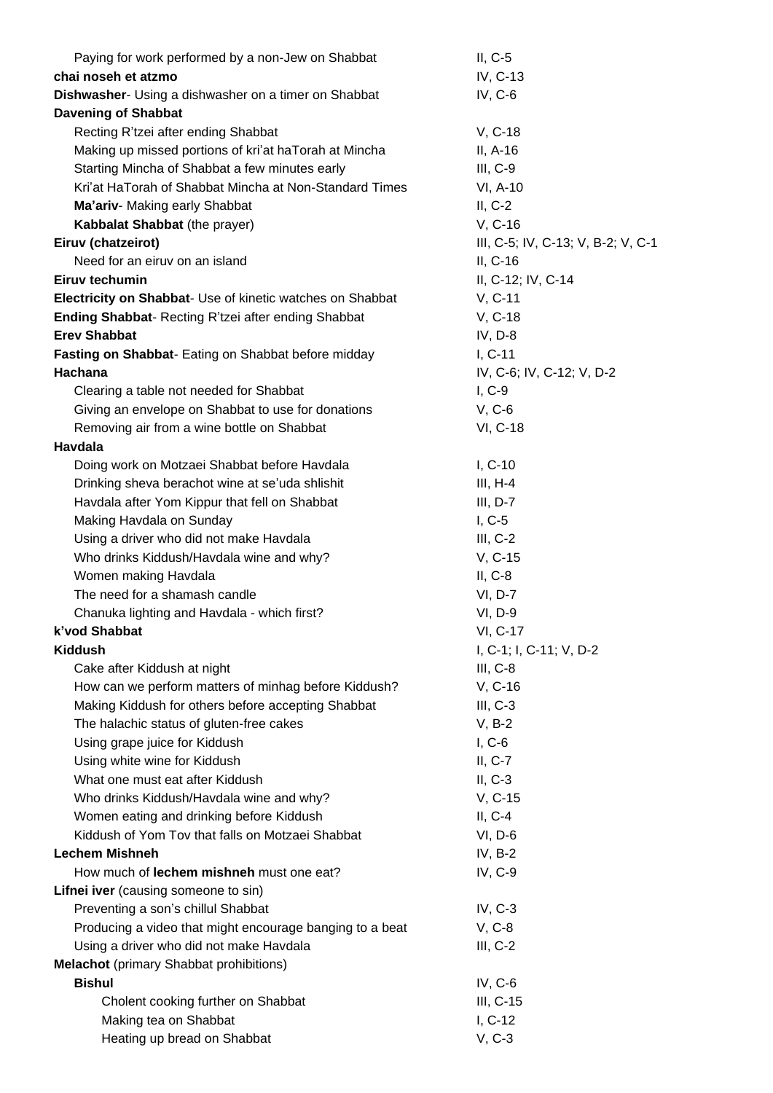| Paying for work performed by a non-Jew on Shabbat         | $II, C-5$                          |  |
|-----------------------------------------------------------|------------------------------------|--|
| chai noseh et atzmo                                       | IV, C-13                           |  |
| Dishwasher- Using a dishwasher on a timer on Shabbat      | $IV, C-6$                          |  |
| <b>Davening of Shabbat</b>                                |                                    |  |
| Recting R'tzei after ending Shabbat                       | V, C-18                            |  |
| Making up missed portions of kri'at haTorah at Mincha     | II, A-16                           |  |
| Starting Mincha of Shabbat a few minutes early            | $III, C-9$                         |  |
| Kri'at HaTorah of Shabbat Mincha at Non-Standard Times    | VI, A-10                           |  |
| Ma'ariv- Making early Shabbat                             | $II, C-2$                          |  |
| Kabbalat Shabbat (the prayer)                             | V, C-16                            |  |
| Eiruv (chatzeirot)                                        | III, C-5; IV, C-13; V, B-2; V, C-1 |  |
| Need for an eiruv on an island                            |                                    |  |
|                                                           | $II, C-16$                         |  |
| Eiruv techumin                                            | II, C-12; IV, C-14                 |  |
| Electricity on Shabbat- Use of kinetic watches on Shabbat | V, C-11                            |  |
| Ending Shabbat- Recting R'tzei after ending Shabbat       | V, C-18                            |  |
| <b>Erev Shabbat</b>                                       | IV, D-8                            |  |
| Fasting on Shabbat- Eating on Shabbat before midday       | $I, C-11$                          |  |
| Hachana                                                   | IV, C-6; IV, C-12; V, D-2          |  |
| Clearing a table not needed for Shabbat                   | $I, C-9$                           |  |
| Giving an envelope on Shabbat to use for donations        | $V, C-6$                           |  |
| Removing air from a wine bottle on Shabbat                | VI, C-18                           |  |
| Havdala                                                   |                                    |  |
| Doing work on Motzaei Shabbat before Havdala              | $I, C-10$                          |  |
| Drinking sheva berachot wine at se'uda shlishit           | $III, H-4$                         |  |
| Havdala after Yom Kippur that fell on Shabbat             | $III, D-7$                         |  |
| Making Havdala on Sunday                                  | $I, C-5$                           |  |
| Using a driver who did not make Havdala                   | $III, C-2$                         |  |
| Who drinks Kiddush/Havdala wine and why?                  | V, C-15                            |  |
| Women making Havdala                                      | $II, C-8$                          |  |
| The need for a shamash candle                             | VI, D-7                            |  |
| Chanuka lighting and Havdala - which first?               | VI, D-9                            |  |
| k'vod Shabbat                                             | <b>VI, C-17</b>                    |  |
| <b>Kiddush</b>                                            | I, C-1; I, C-11; V, D-2            |  |
| Cake after Kiddush at night                               | $III, C-8$                         |  |
| How can we perform matters of minhag before Kiddush?      | V, C-16                            |  |
| Making Kiddush for others before accepting Shabbat        | $III, C-3$                         |  |
| The halachic status of gluten-free cakes                  | $V, B-2$                           |  |
| Using grape juice for Kiddush                             | $I, C-6$                           |  |
| Using white wine for Kiddush                              | $II, C-7$                          |  |
| What one must eat after Kiddush                           | $II, C-3$                          |  |
| Who drinks Kiddush/Havdala wine and why?                  | V, C-15                            |  |
| Women eating and drinking before Kiddush                  | $II, C-4$                          |  |
| Kiddush of Yom Tov that falls on Motzaei Shabbat          | $VI, D-6$                          |  |
| <b>Lechem Mishneh</b>                                     | $IV, B-2$                          |  |
| How much of lechem mishneh must one eat?                  | IV, C-9                            |  |
| Lifnei iver (causing someone to sin)                      |                                    |  |
| Preventing a son's chillul Shabbat                        | $IV, C-3$                          |  |
| Producing a video that might encourage banging to a beat  | V, C-8                             |  |
| Using a driver who did not make Havdala                   | $III, C-2$                         |  |
| <b>Melachot</b> (primary Shabbat prohibitions)            |                                    |  |
| <b>Bishul</b>                                             | IV, $C-6$                          |  |
| Cholent cooking further on Shabbat                        | III, C-15                          |  |
| Making tea on Shabbat                                     | $I, C-12$                          |  |
| Heating up bread on Shabbat                               | $V, C-3$                           |  |
|                                                           |                                    |  |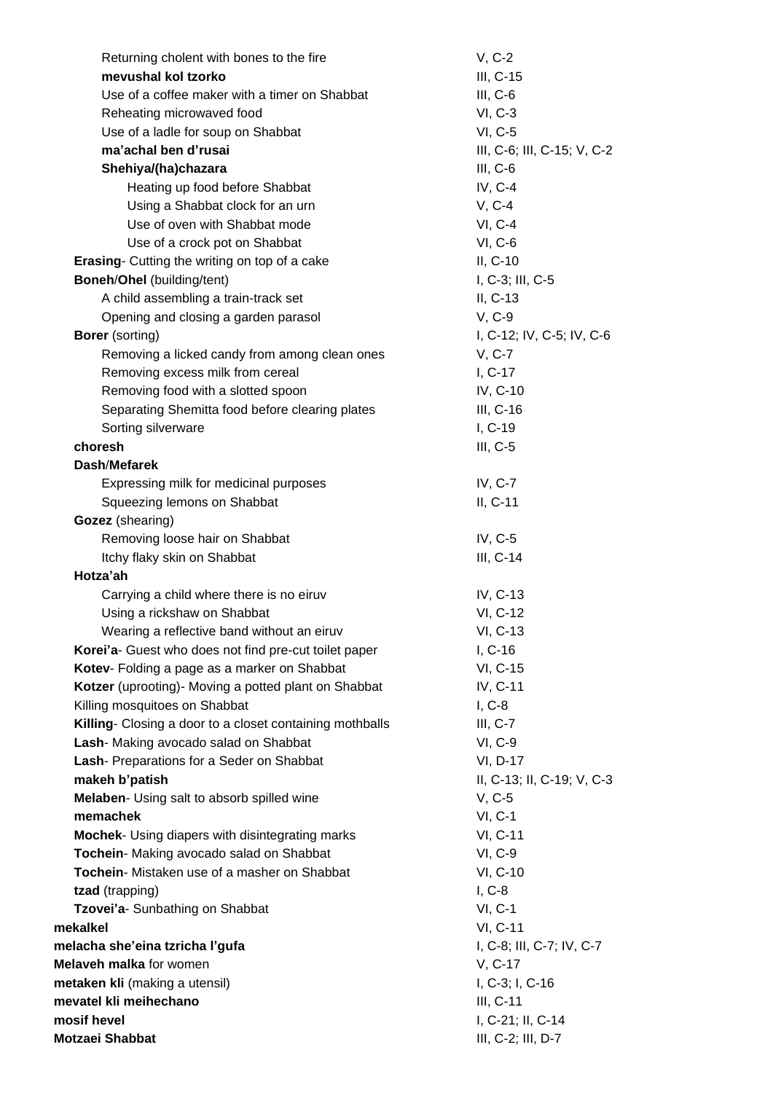| Returning cholent with bones to the fire                    | $V, C-2$                               |
|-------------------------------------------------------------|----------------------------------------|
| mevushal kol tzorko                                         | III, C-15                              |
| Use of a coffee maker with a timer on Shabbat               | $III, C-6$                             |
| Reheating microwaved food                                   | <b>VI, C-3</b>                         |
| Use of a ladle for soup on Shabbat                          | <b>VI, C-5</b>                         |
| ma'achal ben d'rusai                                        | III, C-6; III, C-15; V, C-2            |
| Shehiya/(ha)chazara                                         | $III, C-6$                             |
| Heating up food before Shabbat                              | IV, C-4                                |
| Using a Shabbat clock for an urn                            | $V, C-4$                               |
| Use of oven with Shabbat mode                               | <b>VI, C-4</b>                         |
| Use of a crock pot on Shabbat                               | VI, C-6                                |
| <b>Erasing-</b> Cutting the writing on top of a cake        | II, C-10                               |
| <b>Boneh/Ohel (building/tent)</b>                           | I, C-3; III, C-5                       |
| A child assembling a train-track set                        | II, C-13                               |
| Opening and closing a garden parasol                        | V, C-9                                 |
| <b>Borer</b> (sorting)                                      | I, C-12; IV, C-5; IV, C-6              |
| Removing a licked candy from among clean ones               | V, C-7                                 |
| Removing excess milk from cereal                            | I, C-17                                |
| Removing food with a slotted spoon                          | IV, C-10                               |
| Separating Shemitta food before clearing plates             | III, C-16                              |
| Sorting silverware                                          | I, C-19                                |
| choresh                                                     | $III, C-5$                             |
| Dash/Mefarek                                                |                                        |
| Expressing milk for medicinal purposes                      | IV, C-7                                |
| Squeezing lemons on Shabbat                                 | $II, C-11$                             |
| Gozez (shearing)                                            |                                        |
| Removing loose hair on Shabbat                              | IV, C-5                                |
| Itchy flaky skin on Shabbat                                 | III, C-14                              |
| Hotza'ah                                                    |                                        |
| Carrying a child where there is no eiruv                    | IV, C-13                               |
| Using a rickshaw on Shabbat                                 | VI, C-12                               |
| Wearing a reflective band without an eiruv                  | VI, C-13                               |
| Korei'a- Guest who does not find pre-cut toilet paper       | $I, C-16$                              |
| Kotev- Folding a page as a marker on Shabbat                | VI, C-15                               |
| Kotzer (uprooting)- Moving a potted plant on Shabbat        | IV, C-11                               |
| Killing mosquitoes on Shabbat                               | $I, C-8$                               |
| Killing- Closing a door to a closet containing mothballs    | $III, C-7$                             |
| Lash- Making avocado salad on Shabbat                       | VI, C-9                                |
| Lash- Preparations for a Seder on Shabbat<br>makeh b'patish | VI, D-17<br>II, C-13; II, C-19; V, C-3 |
| Melaben- Using salt to absorb spilled wine                  | V, C-5                                 |
| memachek                                                    | VI, C-1                                |
| Mochek- Using diapers with disintegrating marks             | VI, C-11                               |
| Tochein- Making avocado salad on Shabbat                    | VI, C-9                                |
| Tochein- Mistaken use of a masher on Shabbat                | VI, C-10                               |
| tzad (trapping)                                             | $I, C-8$                               |
| Tzovei'a- Sunbathing on Shabbat                             | VI, C-1                                |
| mekalkel                                                    | VI, C-11                               |
| melacha she'eina tzricha l'gufa                             | I, C-8; III, C-7; IV, C-7              |
| Melaveh malka for women                                     | V, C-17                                |
| metaken kli (making a utensil)                              | I, C-3; I, C-16                        |
| mevatel kli meihechano                                      | III, C-11                              |
| mosif hevel                                                 | I, C-21; II, C-14                      |
| Motzaei Shabbat                                             | III, C-2; III, D-7                     |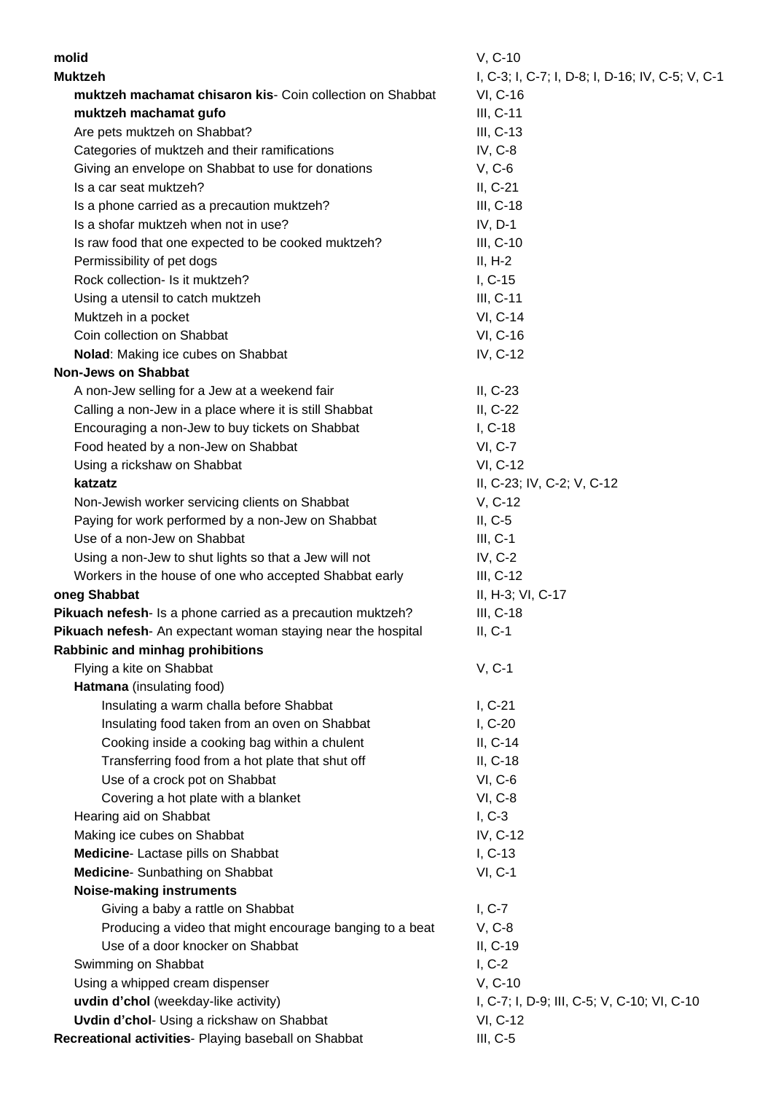| molid                                                        | V, C-10                                          |
|--------------------------------------------------------------|--------------------------------------------------|
| <b>Muktzeh</b>                                               | I, C-3; I, C-7; I, D-8; I, D-16; IV, C-5; V, C-1 |
| muktzeh machamat chisaron kis- Coin collection on Shabbat    | VI, C-16                                         |
| muktzeh machamat gufo                                        | III, C-11                                        |
| Are pets muktzeh on Shabbat?                                 | $III, C-13$                                      |
| Categories of muktzeh and their ramifications                | IV, C-8                                          |
| Giving an envelope on Shabbat to use for donations           | $V, C-6$                                         |
| Is a car seat muktzeh?                                       | II, C-21                                         |
| Is a phone carried as a precaution muktzeh?                  | III, C-18                                        |
| Is a shofar muktzeh when not in use?                         | $IV, D-1$                                        |
| Is raw food that one expected to be cooked muktzeh?          | III, C-10                                        |
| Permissibility of pet dogs                                   | $II, H-2$                                        |
| Rock collection- Is it muktzeh?                              | $I, C-15$                                        |
| Using a utensil to catch muktzeh                             | III, C-11                                        |
| Muktzeh in a pocket                                          | VI, C-14                                         |
| Coin collection on Shabbat                                   | VI, C-16                                         |
| Nolad: Making ice cubes on Shabbat                           | IV, C-12                                         |
| <b>Non-Jews on Shabbat</b>                                   |                                                  |
| A non-Jew selling for a Jew at a weekend fair                | $II, C-23$                                       |
| Calling a non-Jew in a place where it is still Shabbat       | II, C-22                                         |
| Encouraging a non-Jew to buy tickets on Shabbat              | $I, C-18$                                        |
| Food heated by a non-Jew on Shabbat                          | <b>VI, C-7</b>                                   |
| Using a rickshaw on Shabbat                                  | VI, C-12                                         |
| katzatz                                                      | II, C-23; IV, C-2; V, C-12                       |
| Non-Jewish worker servicing clients on Shabbat               | V, C-12                                          |
| Paying for work performed by a non-Jew on Shabbat            | $II, C-5$                                        |
| Use of a non-Jew on Shabbat                                  | $III, C-1$                                       |
| Using a non-Jew to shut lights so that a Jew will not        | $IV, C-2$                                        |
| Workers in the house of one who accepted Shabbat early       | $III, C-12$                                      |
| oneg Shabbat                                                 | II, H-3; VI, C-17                                |
| Pikuach nefesh- Is a phone carried as a precaution muktzeh?  | $III, C-18$                                      |
| Pikuach nefesh- An expectant woman staying near the hospital | $II, C-1$                                        |
| Rabbinic and minhag prohibitions                             |                                                  |
| Flying a kite on Shabbat                                     | $V, C-1$                                         |
| Hatmana (insulating food)                                    |                                                  |
| Insulating a warm challa before Shabbat                      | $I, C-21$                                        |
| Insulating food taken from an oven on Shabbat                | $I, C-20$                                        |
| Cooking inside a cooking bag within a chulent                | II, C-14                                         |
| Transferring food from a hot plate that shut off             | II, C-18                                         |
| Use of a crock pot on Shabbat                                | $VI, C-6$                                        |
| Covering a hot plate with a blanket                          | <b>VI, C-8</b>                                   |
| Hearing aid on Shabbat                                       | $I, C-3$                                         |
| Making ice cubes on Shabbat                                  | IV, C-12                                         |
| Medicine- Lactase pills on Shabbat                           | $I, C-13$                                        |
| Medicine- Sunbathing on Shabbat                              | $VI, C-1$                                        |
| <b>Noise-making instruments</b>                              |                                                  |
| Giving a baby a rattle on Shabbat                            | $I, C-7$                                         |
| Producing a video that might encourage banging to a beat     | $V, C-8$                                         |
| Use of a door knocker on Shabbat                             | II, C-19                                         |
| Swimming on Shabbat                                          | $I, C-2$                                         |
| Using a whipped cream dispenser                              | V, C-10                                          |
| uvdin d'chol (weekday-like activity)                         | I, C-7; I, D-9; III, C-5; V, C-10; VI, C-10      |
| <b>Uvdin d'chol-</b> Using a rickshaw on Shabbat             | VI, C-12                                         |
| Recreational activities- Playing baseball on Shabbat         | $III, C-5$                                       |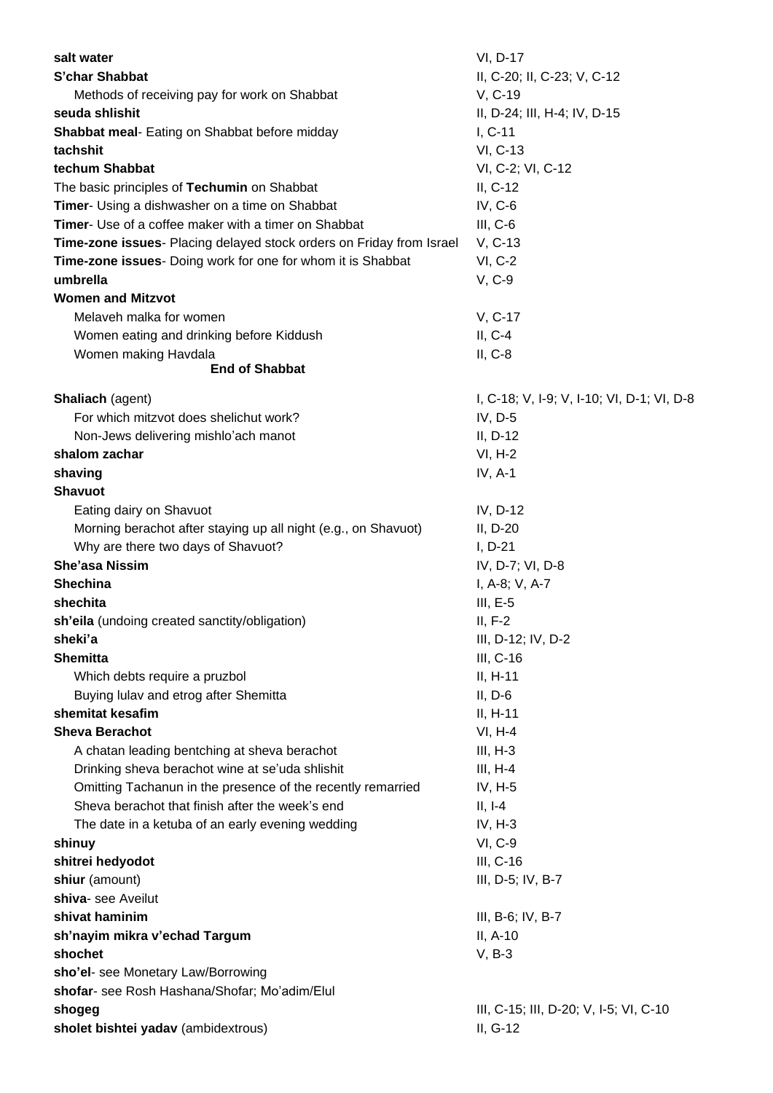| salt water                                                           | VI, D-17                                           |
|----------------------------------------------------------------------|----------------------------------------------------|
| S'char Shabbat                                                       | II, C-20; II, C-23; V, C-12                        |
| Methods of receiving pay for work on Shabbat                         | V, C-19                                            |
| seuda shlishit                                                       | II, D-24; III, H-4; IV, D-15                       |
| <b>Shabbat meal-</b> Eating on Shabbat before midday                 | $I, C-11$                                          |
| tachshit                                                             | VI, C-13                                           |
| techum Shabbat                                                       | VI, C-2; VI, C-12                                  |
| The basic principles of Techumin on Shabbat                          | $II, C-12$                                         |
| Timer- Using a dishwasher on a time on Shabbat                       | IV, $C-6$                                          |
| Timer- Use of a coffee maker with a timer on Shabbat                 | $III, C-6$                                         |
| Time-zone issues- Placing delayed stock orders on Friday from Israel | V, C-13                                            |
| Time-zone issues- Doing work for one for whom it is Shabbat          | <b>VI, C-2</b>                                     |
| umbrella                                                             | V, C-9                                             |
| <b>Women and Mitzvot</b>                                             |                                                    |
| Melaveh malka for women                                              | V, C-17                                            |
| Women eating and drinking before Kiddush                             | $II, C-4$                                          |
| Women making Havdala                                                 | $II, C-8$                                          |
| <b>End of Shabbat</b>                                                |                                                    |
|                                                                      |                                                    |
| Shaliach (agent)                                                     | I, C-18; V, I-9; V, I-10; VI, D-1; VI, D-8         |
| For which mitzvot does shelichut work?                               | IV, $D-5$                                          |
| Non-Jews delivering mishlo'ach manot                                 | $II, D-12$                                         |
| shalom zachar                                                        | $VI, H-2$                                          |
| shaving                                                              | IV, $A-1$                                          |
| <b>Shavuot</b>                                                       |                                                    |
| Eating dairy on Shavuot                                              | IV, D-12                                           |
| Morning berachot after staying up all night (e.g., on Shavuot)       | $II, D-20$                                         |
| Why are there two days of Shavuot?                                   | $I, D-21$                                          |
| <b>She'asa Nissim</b>                                                | IV, D-7; VI, D-8                                   |
| <b>Shechina</b>                                                      | I, A-8; V, A-7                                     |
| shechita                                                             | $III, E-5$                                         |
| sh'eila (undoing created sanctity/obligation)                        | $II, F-2$                                          |
| sheki'a                                                              | III, D-12; IV, D-2                                 |
| <b>Shemitta</b>                                                      | III, C-16                                          |
| Which debts require a pruzbol                                        | $II, H-11$                                         |
| Buying lulav and etrog after Shemitta                                | $II, D-6$                                          |
| shemitat kesafim                                                     | $II, H-11$                                         |
| <b>Sheva Berachot</b>                                                | $VI, H-4$                                          |
| A chatan leading bentching at sheva berachot                         | $III, H-3$                                         |
| Drinking sheva berachot wine at se'uda shlishit                      | $III, H-4$                                         |
| Omitting Tachanun in the presence of the recently remarried          | IV, $H-5$                                          |
| Sheva berachot that finish after the week's end                      | $II, I-4$                                          |
| The date in a ketuba of an early evening wedding                     | IV, H-3                                            |
| shinuy                                                               | VI, C-9                                            |
| shitrei hedyodot                                                     | III, C-16                                          |
| shiur (amount)                                                       | III, D-5; IV, B-7                                  |
| shiva- see Aveilut                                                   |                                                    |
| shivat haminim                                                       | III, B-6; IV, B-7                                  |
| sh'nayim mikra v'echad Targum                                        | II, A-10                                           |
| shochet                                                              | $V, B-3$                                           |
| sho'el- see Monetary Law/Borrowing                                   |                                                    |
| shofar- see Rosh Hashana/Shofar; Mo'adim/Elul                        |                                                    |
|                                                                      |                                                    |
| shogeg<br>sholet bishtei yadav (ambidextrous)                        | III, C-15; III, D-20; V, I-5; VI, C-10<br>II, G-12 |
|                                                                      |                                                    |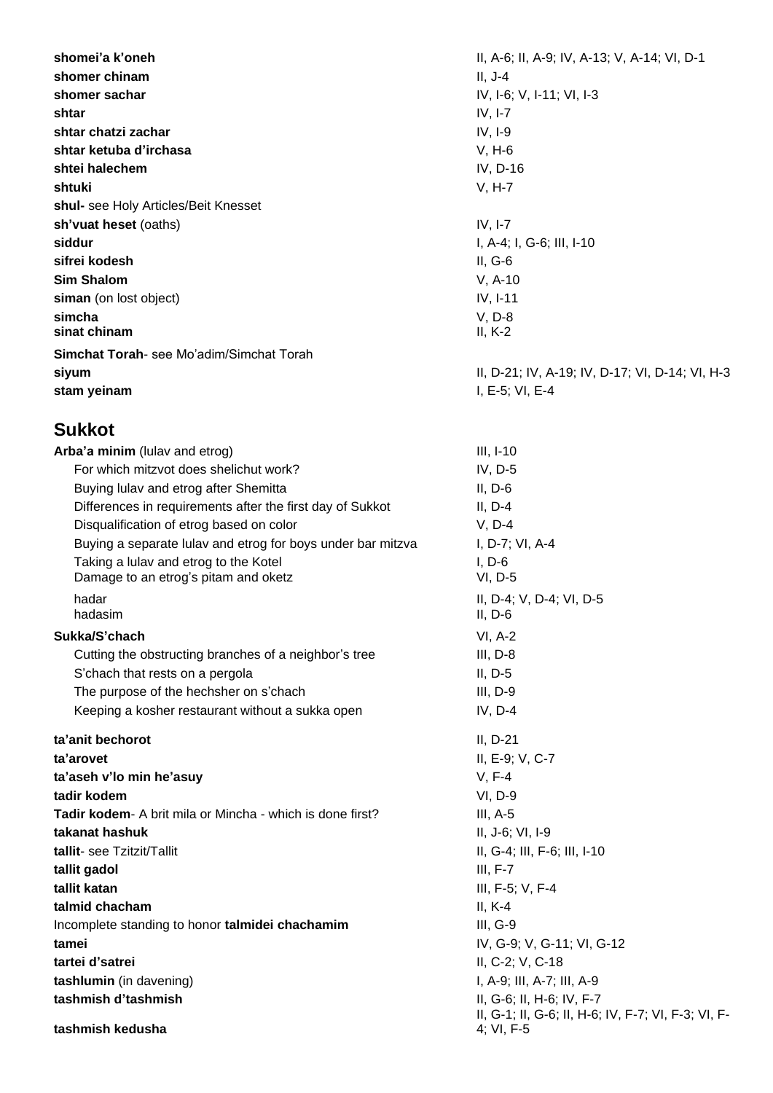**shomer chinam** II, J-4 **shomer sachar** IV, I-6; V, I-11; VI, I-3 **shtar** IV, I-7 **shtar chatzi zachar** IV, I-9 **shtar ketuba d'irchasa** V, H-6 **shtei halechem** IV, D-16 **shtuki** V, H-7 **shul-** see Holy Articles/Beit Knesset **sh'vuat heset** (oaths) **IV, I-7 siddur** I, A-4; I, G-6; III, I-10 **sifrei kodesh** II, G-6 **Sim Shalom** V, A-10 **siman** (on lost object) **IV, I-11 simcha** V, D-8 **sinat chinam** II, K-2 **Simchat Torah**- see Mo'adim/Simchat Torah **siyum** II, D-21; IV, A-19; IV, D-17; VI, D-14; VI, H-3 **stam yeinam** I, E-5; VI, E-4

### **Sukkot**

| Arba'a minim (lulav and etrog)                                                | $III, I-10$                                                                        |  |
|-------------------------------------------------------------------------------|------------------------------------------------------------------------------------|--|
| For which mitzvot does shelichut work?                                        | IV, D-5                                                                            |  |
| Buying lulav and etrog after Shemitta                                         | $II, D-6$                                                                          |  |
| Differences in requirements after the first day of Sukkot                     | $II, D-4$                                                                          |  |
| Disqualification of etrog based on color                                      | $V, D-4$                                                                           |  |
| Buying a separate lulav and etrog for boys under bar mitzva                   | I, D-7; VI, A-4                                                                    |  |
| Taking a lulav and etrog to the Kotel<br>Damage to an etrog's pitam and oketz | $I, D-6$<br>$VI, D-5$                                                              |  |
| hadar<br>hadasim                                                              | II, D-4; V, D-4; VI, D-5<br>$II, D-6$                                              |  |
| Sukka/S'chach                                                                 | $VI, A-2$                                                                          |  |
| Cutting the obstructing branches of a neighbor's tree                         | $III, D-8$                                                                         |  |
| S'chach that rests on a pergola                                               | $II, D-5$                                                                          |  |
| The purpose of the hechsher on s'chach                                        | $III, D-9$                                                                         |  |
| Keeping a kosher restaurant without a sukka open                              | $IV, D-4$                                                                          |  |
| ta'anit bechorot                                                              | $II, D-21$                                                                         |  |
| ta'arovet                                                                     | II, E-9; V, C-7                                                                    |  |
| ta'aseh v'lo min he'asuy                                                      | $V, F-4$                                                                           |  |
| tadir kodem                                                                   | VI, D-9                                                                            |  |
| <b>Tadir kodem-</b> A brit mila or Mincha - which is done first?              | $III, A-5$                                                                         |  |
| takanat hashuk                                                                | II, J-6; VI, I-9                                                                   |  |
| tallit- see Tzitzit/Tallit                                                    | II, G-4; III, F-6; III, I-10                                                       |  |
| tallit gadol                                                                  | $III, F-7$                                                                         |  |
| tallit katan                                                                  | III, F-5; V, F-4                                                                   |  |
| talmid chacham                                                                | $II, K-4$                                                                          |  |
| Incomplete standing to honor talmidei chachamim                               | III, G-9                                                                           |  |
| tamei                                                                         | IV, G-9; V, G-11; VI, G-12                                                         |  |
| tartei d'satrei                                                               | II, C-2; V, C-18                                                                   |  |
| tashlumin (in davening)                                                       | I, A-9; III, A-7; III, A-9                                                         |  |
| tashmish d'tashmish<br>tashmish kedusha                                       | II, G-6; II, H-6; IV, F-7<br>II, G-1; II, G-6; II, H-6; IV, F-7; VI,<br>4; VI, F-5 |  |
|                                                                               |                                                                                    |  |

**shomei'a k'oneh** II, A-6; II, A-6; II, A-9; IV, A-13; V, A-14; VI, D-1 F-3; VI, F-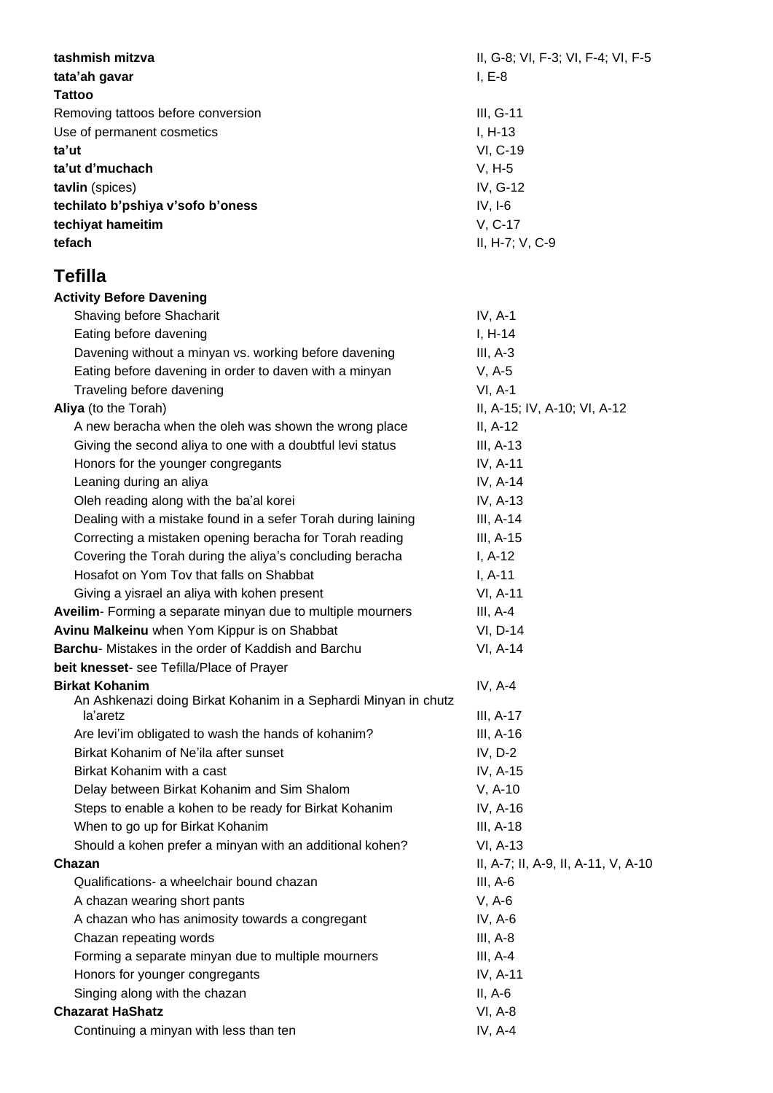| tashmish mitzva                                                 | II, G-8; VI, F-3; VI, F-4; VI, F-5  |  |
|-----------------------------------------------------------------|-------------------------------------|--|
| tata'ah gavar                                                   | $I, E-8$                            |  |
| <b>Tattoo</b>                                                   |                                     |  |
| Removing tattoos before conversion                              | III, G-11                           |  |
| Use of permanent cosmetics                                      | $I, H-13$                           |  |
| ta'ut                                                           | VI, C-19                            |  |
| ta'ut d'muchach                                                 | $V, H-5$                            |  |
| tavlin (spices)                                                 | IV, G-12                            |  |
| techilato b'pshiya v'sofo b'oness                               | $IV, I-6$                           |  |
| techiyat hameitim                                               | V, C-17                             |  |
| tefach                                                          | II, H-7; V, C-9                     |  |
| <b>Tefilla</b>                                                  |                                     |  |
| <b>Activity Before Davening</b>                                 |                                     |  |
| Shaving before Shacharit                                        | $IV, A-1$                           |  |
| Eating before davening                                          | $I, H-14$                           |  |
| Davening without a minyan vs. working before davening           | $III, A-3$                          |  |
| Eating before davening in order to daven with a minyan          | $V, A-5$                            |  |
| Traveling before davening                                       | $VI, A-1$                           |  |
| Aliya (to the Torah)                                            | II, A-15; IV, A-10; VI, A-12        |  |
| A new beracha when the oleh was shown the wrong place           | $II, A-12$                          |  |
| Giving the second aliya to one with a doubtful levi status      | III, $A-13$                         |  |
| Honors for the younger congregants                              | IV, A-11                            |  |
| Leaning during an aliya                                         | IV, A-14                            |  |
| Oleh reading along with the ba'al korei                         | IV, A-13                            |  |
| Dealing with a mistake found in a sefer Torah during laining    | III, A-14                           |  |
| Correcting a mistaken opening beracha for Torah reading         | III, $A-15$                         |  |
| Covering the Torah during the aliya's concluding beracha        | $I, A-12$                           |  |
| Hosafot on Yom Tov that falls on Shabbat                        | $I, A-11$                           |  |
| Giving a yisrael an aliya with kohen present                    | VI, A-11                            |  |
| Aveilim- Forming a separate minyan due to multiple mourners     | $III, A-4$                          |  |
| Avinu Malkeinu when Yom Kippur is on Shabbat                    | VI, D-14                            |  |
| Barchu- Mistakes in the order of Kaddish and Barchu             | VI, A-14                            |  |
| beit knesset- see Tefilla/Place of Prayer                       |                                     |  |
| <b>Birkat Kohanim</b>                                           | IV, $A-4$                           |  |
| An Ashkenazi doing Birkat Kohanim in a Sephardi Minyan in chutz |                                     |  |
| la'aretz                                                        | $III, A-17$                         |  |
| Are levi'im obligated to wash the hands of kohanim?             | III, A-16                           |  |
| Birkat Kohanim of Ne'ila after sunset                           | $IV, D-2$                           |  |
| Birkat Kohanim with a cast                                      | IV, A-15                            |  |
| Delay between Birkat Kohanim and Sim Shalom                     | $V, A-10$                           |  |
| Steps to enable a kohen to be ready for Birkat Kohanim          | IV, A-16                            |  |
| When to go up for Birkat Kohanim                                | III, A-18                           |  |
| Should a kohen prefer a minyan with an additional kohen?        | VI, A-13                            |  |
| Chazan                                                          | II, A-7; II, A-9, II, A-11, V, A-10 |  |
| Qualifications- a wheelchair bound chazan                       | $III, A-6$                          |  |
| A chazan wearing short pants                                    | $V, A-6$                            |  |
| A chazan who has animosity towards a congregant                 | IV, $A-6$                           |  |
| Chazan repeating words                                          | $III, A-8$                          |  |
| Forming a separate minyan due to multiple mourners              | $III, A-4$                          |  |
| Honors for younger congregants                                  | IV, A-11                            |  |
| Singing along with the chazan                                   | $II, A-6$                           |  |
| <b>Chazarat HaShatz</b>                                         | $VI, A-8$                           |  |
| Continuing a minyan with less than ten                          | IV, A-4                             |  |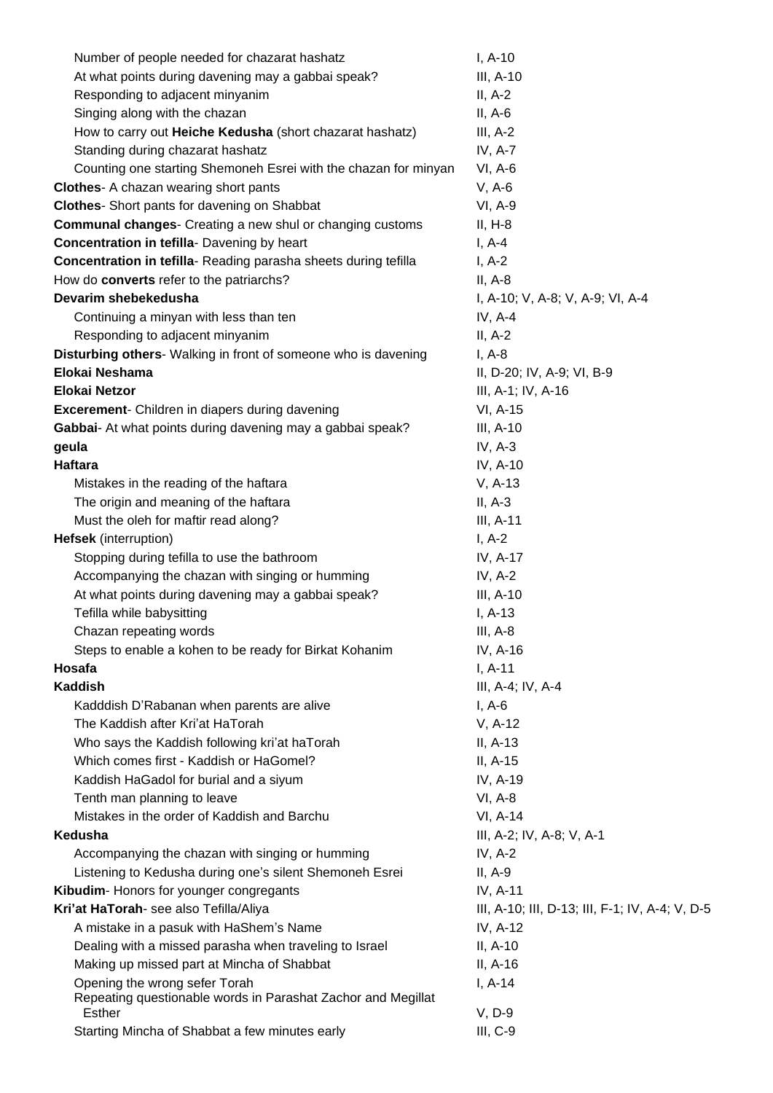| Number of people needed for chazarat hashatz                                                  | $I, A-10$                                       |
|-----------------------------------------------------------------------------------------------|-------------------------------------------------|
| At what points during davening may a gabbai speak?                                            | III, A-10                                       |
| Responding to adjacent minyanim                                                               | $II, A-2$                                       |
| Singing along with the chazan                                                                 | $II, A-6$                                       |
| How to carry out Heiche Kedusha (short chazarat hashatz)                                      | $III, A-2$                                      |
| Standing during chazarat hashatz                                                              | <b>IV, A-7</b>                                  |
| Counting one starting Shemoneh Esrei with the chazan for minyan                               | VI, A-6                                         |
| <b>Clothes-</b> A chazan wearing short pants                                                  | $V, A-6$                                        |
| <b>Clothes-</b> Short pants for davening on Shabbat                                           | VI, A-9                                         |
| <b>Communal changes-</b> Creating a new shul or changing customs                              | $II, H-8$                                       |
| Concentration in tefilla- Davening by heart                                                   | $I, A-4$                                        |
| Concentration in tefilla-Reading parasha sheets during tefilla                                | $I, A-2$                                        |
| How do converts refer to the patriarchs?                                                      | $II, A-8$                                       |
| Devarim shebekedusha                                                                          | I, A-10; V, A-8; V, A-9; VI, A-4                |
| Continuing a minyan with less than ten                                                        | IV, $A-4$                                       |
| Responding to adjacent minyanim                                                               | $II, A-2$                                       |
| Disturbing others- Walking in front of someone who is davening                                | $I, A-8$                                        |
| Elokai Neshama                                                                                | II, D-20; IV, A-9; VI, B-9                      |
| <b>Elokai Netzor</b>                                                                          | III, A-1; IV, A-16                              |
| <b>Excerement-</b> Children in diapers during davening                                        | VI, A-15                                        |
| Gabbai- At what points during davening may a gabbai speak?                                    | III, A-10                                       |
| geula                                                                                         | IV, $A-3$                                       |
| <b>Haftara</b>                                                                                | IV, A-10                                        |
| Mistakes in the reading of the haftara                                                        | $V, A-13$                                       |
| The origin and meaning of the haftara                                                         | $II, A-3$                                       |
| Must the oleh for maftir read along?                                                          | III, A-11                                       |
| <b>Hefsek</b> (interruption)                                                                  | $I, A-2$                                        |
| Stopping during tefilla to use the bathroom                                                   | IV, A-17                                        |
| Accompanying the chazan with singing or humming                                               | IV, A-2                                         |
| At what points during davening may a gabbai speak?                                            | III, A-10                                       |
| Tefilla while babysitting                                                                     | $I, A-13$                                       |
| Chazan repeating words                                                                        | $III, A-8$                                      |
| Steps to enable a kohen to be ready for Birkat Kohanim                                        | IV, A-16                                        |
| Hosafa                                                                                        | $I, A-11$                                       |
| <b>Kaddish</b>                                                                                | III, A-4; IV, A-4                               |
| Kadddish D'Rabanan when parents are alive                                                     | $I, A-6$                                        |
| The Kaddish after Kri'at HaTorah                                                              | $V, A-12$                                       |
| Who says the Kaddish following kri'at haTorah                                                 | $II, A-13$                                      |
| Which comes first - Kaddish or HaGomel?                                                       | II, A-15                                        |
| Kaddish HaGadol for burial and a siyum                                                        | IV, A-19                                        |
| Tenth man planning to leave                                                                   | VI, A-8                                         |
| Mistakes in the order of Kaddish and Barchu                                                   | VI, A-14                                        |
| Kedusha                                                                                       | III, A-2; IV, A-8; V, A-1                       |
| Accompanying the chazan with singing or humming                                               | IV, $A-2$                                       |
| Listening to Kedusha during one's silent Shemoneh Esrei                                       | II, A-9                                         |
| Kibudim-Honors for younger congregants                                                        | IV, A-11                                        |
| Kri'at HaTorah- see also Tefilla/Aliya                                                        | III, A-10; III, D-13; III, F-1; IV, A-4; V, D-5 |
| A mistake in a pasuk with HaShem's Name                                                       | IV, A-12                                        |
| Dealing with a missed parasha when traveling to Israel                                        | $II, A-10$                                      |
| Making up missed part at Mincha of Shabbat                                                    | II, A-16                                        |
| Opening the wrong sefer Torah<br>Repeating questionable words in Parashat Zachor and Megillat | $I, A-14$                                       |
| Esther                                                                                        | $V, D-9$                                        |
| Starting Mincha of Shabbat a few minutes early                                                | $III, C-9$                                      |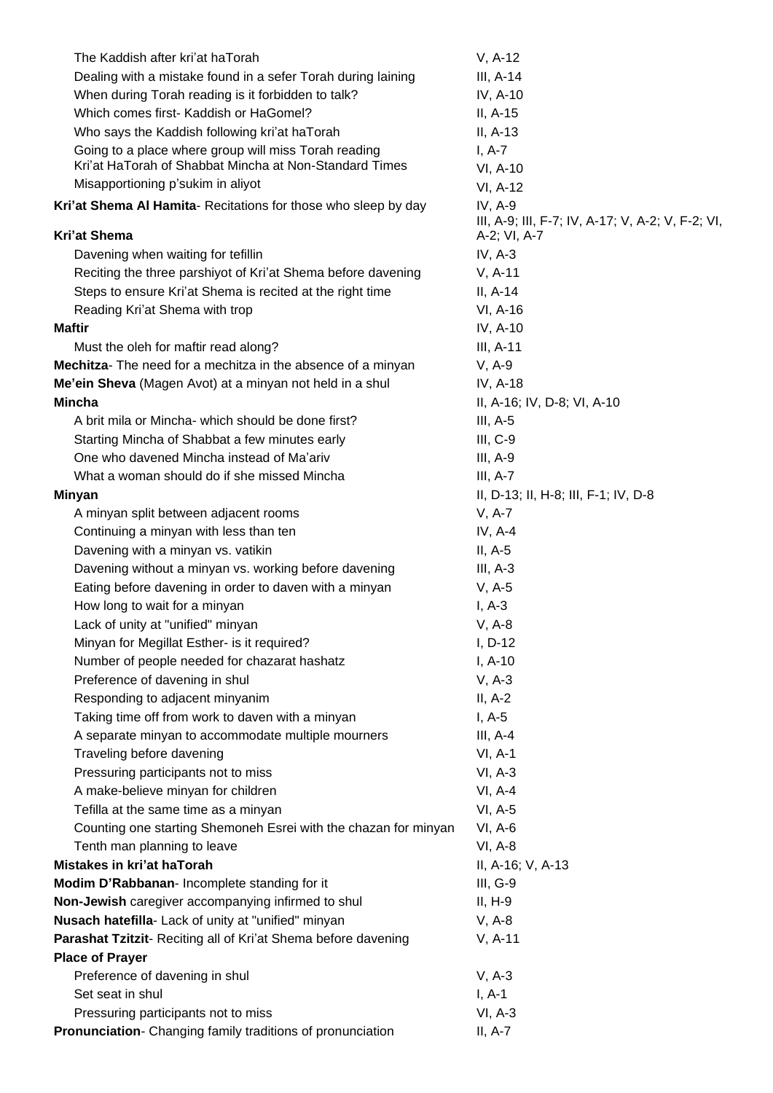| The Kaddish after kri'at haTorah                                | $V, A-12$                                                    |
|-----------------------------------------------------------------|--------------------------------------------------------------|
| Dealing with a mistake found in a sefer Torah during laining    | III, $A-14$                                                  |
| When during Torah reading is it forbidden to talk?              | IV, A-10                                                     |
| Which comes first- Kaddish or HaGomel?                          | II, A-15                                                     |
| Who says the Kaddish following kri'at haTorah                   | $II, A-13$                                                   |
| Going to a place where group will miss Torah reading            | $I, A-7$                                                     |
| Kri'at HaTorah of Shabbat Mincha at Non-Standard Times          | VI, A-10                                                     |
| Misapportioning p'sukim in aliyot                               | VI, A-12                                                     |
| Kri'at Shema AI Hamita- Recitations for those who sleep by day  | IV, A-9<br>III, A-9; III, F-7; IV, A-17; V, A-2; V, F-2; VI, |
| Kri'at Shema                                                    | A-2; VI, A-7                                                 |
| Davening when waiting for tefillin                              | IV, $A-3$                                                    |
| Reciting the three parshiyot of Kri'at Shema before davening    | $V, A-11$                                                    |
| Steps to ensure Kri'at Shema is recited at the right time       | $II, A-14$                                                   |
| Reading Kri'at Shema with trop                                  | VI, A-16                                                     |
| <b>Maftir</b>                                                   | IV, A-10                                                     |
| Must the oleh for maftir read along?                            | III, A-11                                                    |
| Mechitza- The need for a mechitza in the absence of a minyan    | $V, A-9$                                                     |
| Me'ein Sheva (Magen Avot) at a minyan not held in a shul        | IV, A-18                                                     |
| <b>Mincha</b>                                                   | II, A-16; IV, D-8; VI, A-10                                  |
| A brit mila or Mincha- which should be done first?              | $III, A-5$                                                   |
| Starting Mincha of Shabbat a few minutes early                  | $III, C-9$                                                   |
| One who davened Mincha instead of Ma'ariv                       | $III, A-9$                                                   |
| What a woman should do if she missed Mincha                     | $III, A-7$                                                   |
|                                                                 | II, D-13; II, H-8; III, F-1; IV, D-8                         |
| <b>Minyan</b><br>A minyan split between adjacent rooms          | $V, A-7$                                                     |
|                                                                 | IV, $A-4$                                                    |
| Continuing a minyan with less than ten                          |                                                              |
| Davening with a minyan vs. vatikin                              | $II, A-5$                                                    |
| Davening without a minyan vs. working before davening           | $III, A-3$                                                   |
| Eating before davening in order to daven with a minyan          | $V, A-5$                                                     |
| How long to wait for a minyan                                   | $I, A-3$                                                     |
| Lack of unity at "unified" minyan                               | $V, A-8$                                                     |
| Minyan for Megillat Esther- is it required?                     | $I, D-12$                                                    |
| Number of people needed for chazarat hashatz                    | $I, A-10$                                                    |
| Preference of davening in shul                                  | $V, A-3$                                                     |
| Responding to adjacent minyanim                                 | $II, A-2$                                                    |
| Taking time off from work to daven with a minyan                | $I, A-5$                                                     |
| A separate minyan to accommodate multiple mourners              | $III, A-4$                                                   |
| Traveling before davening                                       | $VI, A-1$                                                    |
| Pressuring participants not to miss                             | $VI, A-3$                                                    |
| A make-believe minyan for children                              | $VI, A-4$                                                    |
| Tefilla at the same time as a minyan                            | $VI, A-5$                                                    |
| Counting one starting Shemoneh Esrei with the chazan for minyan | $VI, A-6$                                                    |
| Tenth man planning to leave                                     | $VI, A-8$                                                    |
| Mistakes in kri'at haTorah                                      | II, A-16; V, A-13                                            |
| Modim D'Rabbanan- Incomplete standing for it                    | $III, G-9$                                                   |
| Non-Jewish caregiver accompanying infirmed to shul              | $II, H-9$                                                    |
| Nusach hatefilla- Lack of unity at "unified" minyan             | $V, A-8$                                                     |
| Parashat Tzitzit- Reciting all of Kri'at Shema before davening  | $V, A-11$                                                    |
| <b>Place of Prayer</b>                                          |                                                              |
| Preference of davening in shul                                  | $V, A-3$                                                     |
| Set seat in shul                                                | $I, A-1$                                                     |
| Pressuring participants not to miss                             | $VI, A-3$                                                    |
| Pronunciation- Changing family traditions of pronunciation      | $II, A-7$                                                    |
|                                                                 |                                                              |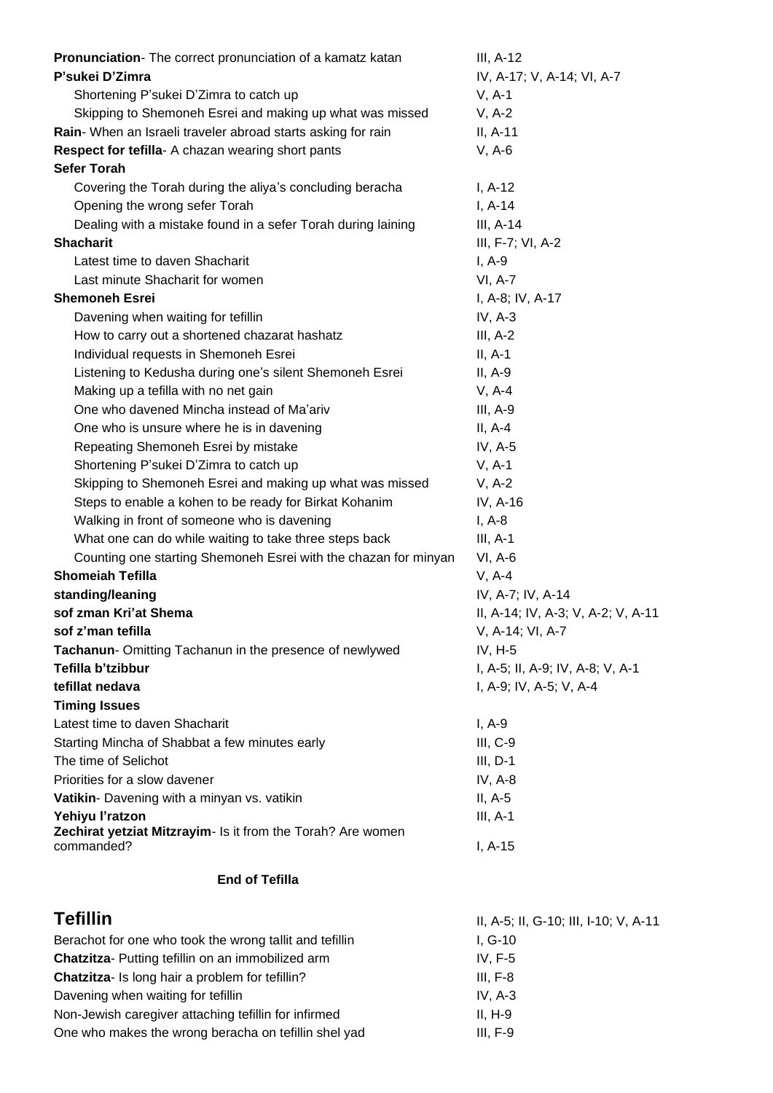| Pronunciation-The correct pronunciation of a kamatz katan                 | $III, A-12$                           |
|---------------------------------------------------------------------------|---------------------------------------|
| P'sukei D'Zimra                                                           | IV, A-17; V, A-14; VI, A-7            |
| Shortening P'sukei D'Zimra to catch up                                    | $V, A-1$                              |
| Skipping to Shemoneh Esrei and making up what was missed                  | $V, A-2$                              |
| Rain-When an Israeli traveler abroad starts asking for rain               | $II, A-11$                            |
| Respect for tefilla- A chazan wearing short pants                         | $V, A-6$                              |
| <b>Sefer Torah</b>                                                        |                                       |
| Covering the Torah during the aliya's concluding beracha                  | $I, A-12$                             |
| Opening the wrong sefer Torah                                             | $I, A-14$                             |
| Dealing with a mistake found in a sefer Torah during laining              | III, A-14                             |
| <b>Shacharit</b>                                                          | III, F-7; VI, A-2                     |
| Latest time to daven Shacharit                                            | $I, A-9$                              |
| Last minute Shacharit for women                                           | <b>VI, A-7</b>                        |
| <b>Shemoneh Esrei</b>                                                     | I, A-8; IV, A-17                      |
| Davening when waiting for tefillin                                        | IV, $A-3$                             |
| How to carry out a shortened chazarat hashatz                             | $III, A-2$                            |
| Individual requests in Shemoneh Esrei                                     | $II, A-1$                             |
| Listening to Kedusha during one's silent Shemoneh Esrei                   | $II, A-9$                             |
| Making up a tefilla with no net gain                                      | $V, A-4$                              |
| One who davened Mincha instead of Ma'ariv                                 | $III, A-9$                            |
| One who is unsure where he is in davening                                 | $II, A-4$                             |
| Repeating Shemoneh Esrei by mistake                                       | IV, A-5                               |
| Shortening P'sukei D'Zimra to catch up                                    | $V, A-1$                              |
| Skipping to Shemoneh Esrei and making up what was missed                  | $V, A-2$                              |
| Steps to enable a kohen to be ready for Birkat Kohanim                    | IV, A-16                              |
| Walking in front of someone who is davening                               | $I, A-8$                              |
| What one can do while waiting to take three steps back                    | $III, A-1$                            |
| Counting one starting Shemoneh Esrei with the chazan for minyan           | $VI, A-6$                             |
| <b>Shomeiah Tefilla</b>                                                   | $V, A-4$                              |
| standing/leaning                                                          | IV, A-7; IV, A-14                     |
| sof zman Kri'at Shema                                                     | II, A-14; IV, A-3; V, A-2; V, A-11    |
| sof z'man tefilla                                                         | V, A-14; VI, A-7                      |
| Tachanun- Omitting Tachanun in the presence of newlywed                   | $IV, H-5$                             |
| Tefilla b'tzibbur                                                         | I, A-5; II, A-9; IV, A-8; V, A-1      |
| tefillat nedava                                                           | I, A-9; IV, A-5; V, A-4               |
| <b>Timing Issues</b>                                                      |                                       |
| Latest time to daven Shacharit                                            | $I, A-9$                              |
| Starting Mincha of Shabbat a few minutes early                            | $III, C-9$                            |
| The time of Selichot                                                      | $III, D-1$                            |
| Priorities for a slow davener                                             | IV, A-8                               |
| Vatikin- Davening with a minyan vs. vatikin                               | $II, A-5$                             |
| Yehiyu l'ratzon                                                           | $III, A-1$                            |
| Zechirat yetziat Mitzrayim- Is it from the Torah? Are women<br>commanded? | $I, A-15$                             |
| <b>End of Tefilla</b>                                                     |                                       |
| <b>Tefillin</b>                                                           | II, A-5; II, G-10; III, I-10; V, A-11 |
| Berachot for one who took the wrong tallit and tefillin                   | $I, G-10$                             |
| Chatzitza- Putting tefillin on an immobilized arm                         | IV, F-5                               |

**Chatzitza**- Is long hair a problem for tefillin? III, F-8 Davening when waiting for tefillin IV, A-3 Non-Jewish caregiver attaching tefillin for infirmed II, H-9 One who makes the wrong beracha on tefillin shel yad III, F-9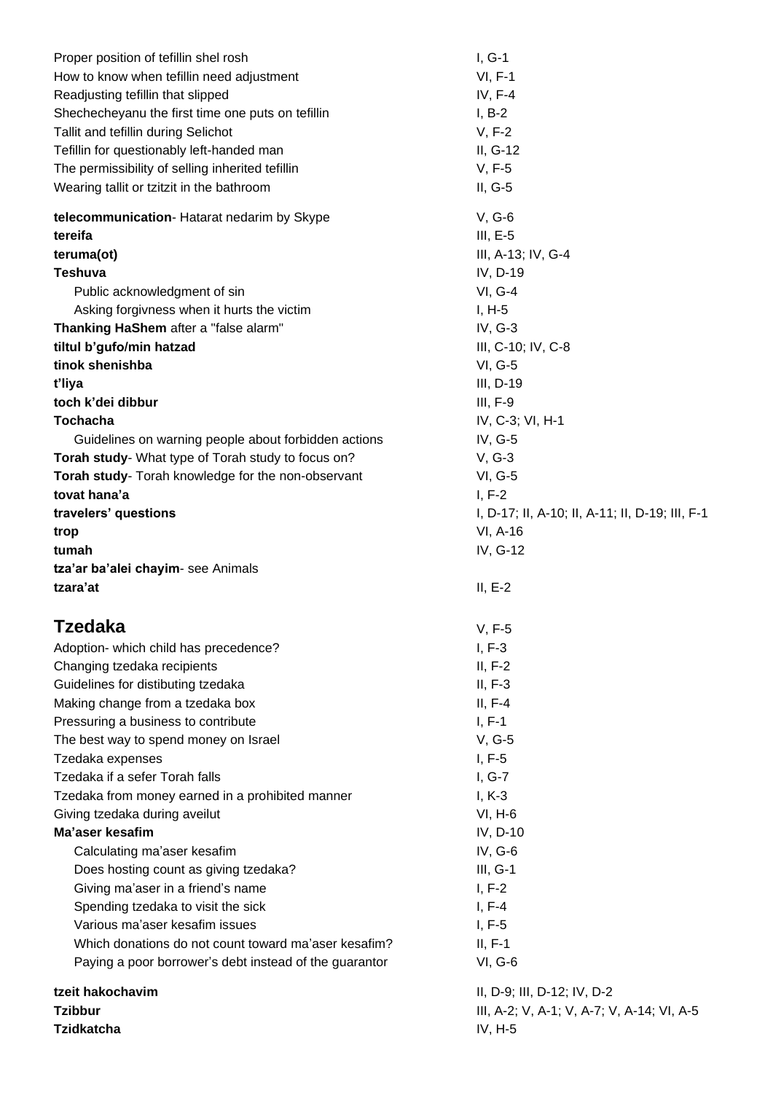| Proper position of tefillin shel rosh                  | $I, G-1$                                        |  |
|--------------------------------------------------------|-------------------------------------------------|--|
| How to know when tefillin need adjustment              | $VI, F-1$                                       |  |
| Readjusting tefillin that slipped                      | IV, $F-4$                                       |  |
| Shechecheyanu the first time one puts on tefillin      | $I, B-2$                                        |  |
| Tallit and tefillin during Selichot                    | $V, F-2$                                        |  |
| Tefillin for questionably left-handed man              | II, G-12                                        |  |
| The permissibility of selling inherited tefillin       | V, F-5                                          |  |
| Wearing tallit or tzitzit in the bathroom              | $II, G-5$                                       |  |
| telecommunication- Hatarat nedarim by Skype            | $V, G-6$                                        |  |
| tereifa                                                | $III, E-5$                                      |  |
| teruma(ot)                                             | III, A-13; IV, G-4                              |  |
| <b>Teshuva</b>                                         | IV, D-19                                        |  |
| Public acknowledgment of sin                           | <b>VI, G-4</b>                                  |  |
| Asking forgivness when it hurts the victim             | $I, H-5$                                        |  |
| Thanking HaShem after a "false alarm"                  | IV, G-3                                         |  |
| tiltul b'gufo/min hatzad                               | III, C-10; IV, C-8                              |  |
| tinok shenishba                                        | <b>VI, G-5</b>                                  |  |
| t'liya                                                 | III, D-19                                       |  |
| toch k'dei dibbur                                      | $III, F-9$                                      |  |
| <b>Tochacha</b>                                        | IV, C-3; VI, H-1                                |  |
| Guidelines on warning people about forbidden actions   | IV, G-5                                         |  |
| Torah study- What type of Torah study to focus on?     | $V, G-3$                                        |  |
| Torah study- Torah knowledge for the non-observant     | <b>VI, G-5</b>                                  |  |
| tovat hana'a                                           | $I, F-2$                                        |  |
| travelers' questions                                   | I, D-17; II, A-10; II, A-11; II, D-19; III, F-1 |  |
| trop                                                   | VI, A-16                                        |  |
| tumah                                                  | IV, G-12                                        |  |
| tza'ar ba'alei chayim- see Animals                     |                                                 |  |
| tzara'at                                               | $II, E-2$                                       |  |
| Tzedaka                                                |                                                 |  |
|                                                        | $V, F-5$                                        |  |
| Adoption- which child has precedence?                  | $I, F-3$                                        |  |
| Changing tzedaka recipients                            | $II, F-2$                                       |  |
| Guidelines for distibuting tzedaka                     | $II, F-3$                                       |  |
| Making change from a tzedaka box                       | $II, F-4$                                       |  |
| Pressuring a business to contribute                    | $I, F-1$                                        |  |
| The best way to spend money on Israel                  | $V, G-5$                                        |  |
| Tzedaka expenses                                       | $I, F-5$                                        |  |
| Tzedaka if a sefer Torah falls                         | $I, G-7$                                        |  |
| Tzedaka from money earned in a prohibited manner       | $I, K-3$                                        |  |
| Giving tzedaka during aveilut                          | $VI, H-6$                                       |  |
| Ma'aser kesafim                                        | IV, D-10                                        |  |
| Calculating ma'aser kesafim                            | IV, G-6                                         |  |
| Does hosting count as giving tzedaka?                  | $III, G-1$                                      |  |
| Giving ma'aser in a friend's name                      | $I, F-2$                                        |  |
| Spending tzedaka to visit the sick                     | $I, F-4$                                        |  |
| Various ma'aser kesafim issues                         | $I, F-5$                                        |  |
| Which donations do not count toward ma'aser kesafim?   | $II, F-1$                                       |  |
| Paying a poor borrower's debt instead of the guarantor | <b>VI, G-6</b>                                  |  |
| tzeit hakochavim                                       | II, D-9; III, D-12; IV, D-2                     |  |
| <b>Tzibbur</b>                                         | III, A-2; V, A-1; V, A-7; V, A-14; VI, A-5      |  |
| <b>Tzidkatcha</b>                                      | $IV, H-5$                                       |  |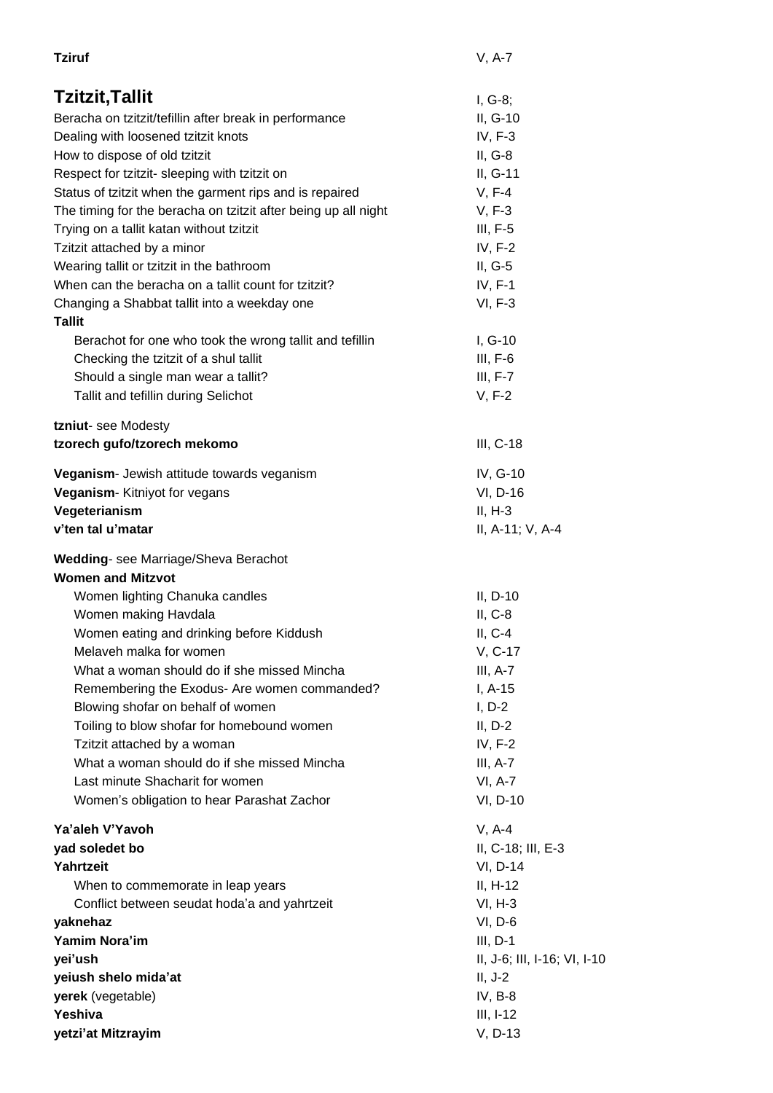| <b>Tziruf</b>                                                  | $V, A-7$                     |
|----------------------------------------------------------------|------------------------------|
| Tzitzit, Tallit                                                | $I, G-8;$                    |
| Beracha on tzitzit/tefillin after break in performance         | II, G-10                     |
| Dealing with loosened tzitzit knots                            | IV, $F-3$                    |
| How to dispose of old tzitzit                                  | $II, G-8$                    |
| Respect for tzitzit- sleeping with tzitzit on                  | II, G-11                     |
| Status of tzitzit when the garment rips and is repaired        | $V, F-4$                     |
| The timing for the beracha on tzitzit after being up all night | $V, F-3$                     |
| Trying on a tallit katan without tzitzit                       | $III, F-5$                   |
| Tzitzit attached by a minor                                    | IV, F-2                      |
| Wearing tallit or tzitzit in the bathroom                      | $II, G-5$                    |
| When can the beracha on a tallit count for tzitzit?            | $IV, F-1$                    |
| Changing a Shabbat tallit into a weekday one                   | VI, F-3                      |
| <b>Tallit</b>                                                  |                              |
| Berachot for one who took the wrong tallit and tefillin        | $I, G-10$                    |
| Checking the tzitzit of a shul tallit                          | $III, F-6$                   |
| Should a single man wear a tallit?                             | $III, F-7$                   |
| Tallit and tefillin during Selichot                            | V, F-2                       |
|                                                                |                              |
| tzniut-see Modesty                                             |                              |
| tzorech gufo/tzorech mekomo                                    | $III, C-18$                  |
| Veganism- Jewish attitude towards veganism                     | IV, G-10                     |
| Veganism- Kitniyot for vegans                                  | VI, D-16                     |
| Vegeterianism                                                  | $II, H-3$                    |
| v'ten tal u'matar                                              | II, A-11; V, A-4             |
| Wedding- see Marriage/Sheva Berachot                           |                              |
| <b>Women and Mitzvot</b>                                       |                              |
| Women lighting Chanuka candles                                 | $II, D-10$                   |
| Women making Havdala                                           | $II, C-8$                    |
| Women eating and drinking before Kiddush                       | $II, C-4$                    |
| Melaveh malka for women                                        | V, C-17                      |
| What a woman should do if she missed Mincha                    | $III, A-7$                   |
| Remembering the Exodus- Are women commanded?                   | $I, A-15$                    |
| Blowing shofar on behalf of women                              | $I, D-2$                     |
| Toiling to blow shofar for homebound women                     | $II, D-2$                    |
| Tzitzit attached by a woman                                    | IV, F-2                      |
| What a woman should do if she missed Mincha                    | $III, A-7$                   |
| Last minute Shacharit for women                                | VI, A-7                      |
| Women's obligation to hear Parashat Zachor                     | VI, D-10                     |
| Ya'aleh V'Yavoh                                                | $V, A-4$                     |
| yad soledet bo                                                 | II, C-18; III, E-3           |
| Yahrtzeit                                                      | VI, D-14                     |
| When to commemorate in leap years                              | II, H-12                     |
| Conflict between seudat hoda'a and yahrtzeit                   | $VI, H-3$                    |
| yaknehaz                                                       | $VI, D-6$                    |
| Yamim Nora'im                                                  | $III, D-1$                   |
| yei'ush                                                        | II, J-6; III, I-16; VI, I-10 |
| yeiush shelo mida'at                                           | $II, J-2$                    |
| yerek (vegetable)                                              | $IV, B-8$                    |
| Yeshiva                                                        | $III, I-12$                  |
| yetzi'at Mitzrayim                                             | V, D-13                      |